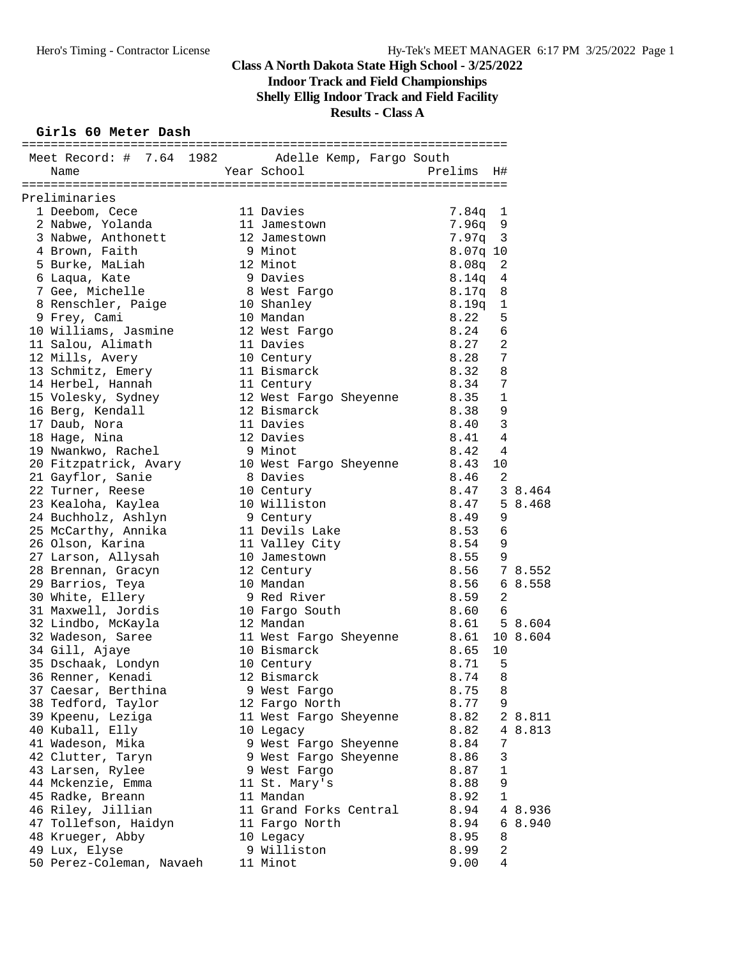## **Indoor Track and Field Championships**

**Shelly Ellig Indoor Track and Field Facility**

## **Results - Class A**

#### **Girls 60 Meter Dash**

| Meet Record: # 7.64 1982 Adelle Kemp, Fargo South<br>Year School<br>Prelims<br>Name<br>Η#<br>Preliminaries<br>1 Deebom, Cece<br>11 Davies<br>$7.84q$ 1<br>2 Nabwe, Yolanda<br>7.96q<br>11 Jamestown<br>9<br>3 Nabwe, Anthonett<br>12 Jamestown<br>7.97q<br>$\overline{3}$<br>4 Brown, Faith<br>9 Minot<br>$8.07q$ 10<br>12 Minot<br>5 Burke, MaLiah<br>8.08q<br>2<br>9 Davies<br>6 Laqua, Kate<br>4<br>8.14q<br>7 Gee, Michelle<br>8 West Fargo<br>10 Shanley<br>8.17q<br>8<br>8 Renschler, Paige<br>8.19q<br>$\mathbf 1$<br>10 Mandan<br>8.22<br>5<br>9 Frey, Cami<br>6<br>10 Williams, Jasmine<br>12 West Fargo<br>8.24<br>8.27<br>$\overline{a}$<br>11 Davies<br>11 Salou, Alimath<br>7<br>8.28<br>12 Mills, Avery<br>10 Century<br>8<br>13 Schmitz, Emery<br>11 Bismarck<br>8.32<br>14 Herbel, Hannah<br>7<br>8.34<br>11 Century<br>15 Volesky, Sydney<br>12 West Fargo Sheyenne<br>$\mathbf 1$<br>8.35<br>9<br>12 Bismarck<br>8.38<br>16 Berg, Kendall<br>3<br>11 Davies<br>8.40<br>17 Daub, Nora<br>4<br>18 Hage, Nina<br>12 Davies<br>8.41<br>9 Minot<br>$\overline{4}$<br>19 Nwankwo, Rachel<br>8.42<br>10 West Fargo Sheyenne<br>20 Fitzpatrick, Avary<br>8.43<br>10<br>8 Davies<br>8.46<br>2<br>21 Gayflor, Sanie<br>8.47<br>3 8.464<br>22 Turner, Reese<br>10 Century<br>23 Kealoha, Kaylea<br>10 Williston<br>8.47<br>5 8.468<br>9<br>24 Buchholz, Ashlyn<br>9 Century<br>8.49<br>6<br>25 McCarthy, Annika<br>11 Devils Lake<br>8.53<br>26 Olson, Karina<br>8.54<br>9<br>11 Valley City<br>27 Larson, Allysah<br>8.55<br>9<br>10 Jamestown<br>8.56<br>28 Brennan, Gracyn<br>12 Century<br>7 8.552<br>8.56<br>68.558<br>29 Barrios, Teya<br>10 Mandan<br>9 Red River<br>8.59<br>2<br>30 White, Ellery<br>31 Maxwell, Jordis<br>8.60<br>6<br>10 Fargo South<br>32 Lindbo, McKayla<br>8.61<br>5 8.604<br>12 Mandan<br>32 Wadeson, Saree<br>8.61<br>10 8.604<br>11 West Fargo Sheyenne<br>34 Gill, Ajaye<br>10 Bismarck<br>8.65<br>10<br>35 Dschaak, Londyn<br>8.71<br>5<br>10 Century<br>12 Bismarck<br>8.74<br>8<br>36 Renner, Kenadi<br>37 Caesar, Berthina<br>9 West Fargo<br>8.75<br>8<br>38 Tedford, Taylor<br>8.77<br>9<br>12 Fargo North<br>39 Kpeenu, Leziga<br>8.82<br>11 West Fargo Sheyenne<br>2 8.811<br>40 Kuball, Elly<br>8.82<br>10 Legacy<br>8.813<br>4<br>9 West Fargo Sheyenne<br>7<br>41 Wadeson, Mika<br>8.84<br>42 Clutter, Taryn<br>8.86<br>3<br>9 West Fargo Sheyenne<br>$1\,$<br>43 Larsen, Rylee<br>8.87<br>9 West Fargo<br>9<br>44 Mckenzie, Emma<br>11 St. Mary's<br>8.88<br>$\mathbf 1$<br>45 Radke, Breann<br>11 Mandan<br>8.92<br>46 Riley, Jillian<br>8.94<br>11 Grand Forks Central<br>4 8.936<br>47 Tollefson, Haidyn<br>8.94<br>11 Fargo North<br>6<br>8.940<br>48 Krueger, Abby<br>10 Legacy<br>8.95<br>8<br>$\sqrt{2}$<br>49 Lux, Elyse<br>9 Williston<br>8.99<br>50 Perez-Coleman, Navaeh<br>11 Minot<br>9.00<br>4 |  |  |  |  |
|------------------------------------------------------------------------------------------------------------------------------------------------------------------------------------------------------------------------------------------------------------------------------------------------------------------------------------------------------------------------------------------------------------------------------------------------------------------------------------------------------------------------------------------------------------------------------------------------------------------------------------------------------------------------------------------------------------------------------------------------------------------------------------------------------------------------------------------------------------------------------------------------------------------------------------------------------------------------------------------------------------------------------------------------------------------------------------------------------------------------------------------------------------------------------------------------------------------------------------------------------------------------------------------------------------------------------------------------------------------------------------------------------------------------------------------------------------------------------------------------------------------------------------------------------------------------------------------------------------------------------------------------------------------------------------------------------------------------------------------------------------------------------------------------------------------------------------------------------------------------------------------------------------------------------------------------------------------------------------------------------------------------------------------------------------------------------------------------------------------------------------------------------------------------------------------------------------------------------------------------------------------------------------------------------------------------------------------------------------------------------------------------------------------------------------------------------------------------------------------------------------------------------------------------------------------------------------------------------------------------------------------------------------------------------------------------------------------------------------------------------------------------------------------------------------------------------------------------------------------|--|--|--|--|
|                                                                                                                                                                                                                                                                                                                                                                                                                                                                                                                                                                                                                                                                                                                                                                                                                                                                                                                                                                                                                                                                                                                                                                                                                                                                                                                                                                                                                                                                                                                                                                                                                                                                                                                                                                                                                                                                                                                                                                                                                                                                                                                                                                                                                                                                                                                                                                                                                                                                                                                                                                                                                                                                                                                                                                                                                                                                  |  |  |  |  |
|                                                                                                                                                                                                                                                                                                                                                                                                                                                                                                                                                                                                                                                                                                                                                                                                                                                                                                                                                                                                                                                                                                                                                                                                                                                                                                                                                                                                                                                                                                                                                                                                                                                                                                                                                                                                                                                                                                                                                                                                                                                                                                                                                                                                                                                                                                                                                                                                                                                                                                                                                                                                                                                                                                                                                                                                                                                                  |  |  |  |  |
|                                                                                                                                                                                                                                                                                                                                                                                                                                                                                                                                                                                                                                                                                                                                                                                                                                                                                                                                                                                                                                                                                                                                                                                                                                                                                                                                                                                                                                                                                                                                                                                                                                                                                                                                                                                                                                                                                                                                                                                                                                                                                                                                                                                                                                                                                                                                                                                                                                                                                                                                                                                                                                                                                                                                                                                                                                                                  |  |  |  |  |
|                                                                                                                                                                                                                                                                                                                                                                                                                                                                                                                                                                                                                                                                                                                                                                                                                                                                                                                                                                                                                                                                                                                                                                                                                                                                                                                                                                                                                                                                                                                                                                                                                                                                                                                                                                                                                                                                                                                                                                                                                                                                                                                                                                                                                                                                                                                                                                                                                                                                                                                                                                                                                                                                                                                                                                                                                                                                  |  |  |  |  |
|                                                                                                                                                                                                                                                                                                                                                                                                                                                                                                                                                                                                                                                                                                                                                                                                                                                                                                                                                                                                                                                                                                                                                                                                                                                                                                                                                                                                                                                                                                                                                                                                                                                                                                                                                                                                                                                                                                                                                                                                                                                                                                                                                                                                                                                                                                                                                                                                                                                                                                                                                                                                                                                                                                                                                                                                                                                                  |  |  |  |  |
|                                                                                                                                                                                                                                                                                                                                                                                                                                                                                                                                                                                                                                                                                                                                                                                                                                                                                                                                                                                                                                                                                                                                                                                                                                                                                                                                                                                                                                                                                                                                                                                                                                                                                                                                                                                                                                                                                                                                                                                                                                                                                                                                                                                                                                                                                                                                                                                                                                                                                                                                                                                                                                                                                                                                                                                                                                                                  |  |  |  |  |
|                                                                                                                                                                                                                                                                                                                                                                                                                                                                                                                                                                                                                                                                                                                                                                                                                                                                                                                                                                                                                                                                                                                                                                                                                                                                                                                                                                                                                                                                                                                                                                                                                                                                                                                                                                                                                                                                                                                                                                                                                                                                                                                                                                                                                                                                                                                                                                                                                                                                                                                                                                                                                                                                                                                                                                                                                                                                  |  |  |  |  |
|                                                                                                                                                                                                                                                                                                                                                                                                                                                                                                                                                                                                                                                                                                                                                                                                                                                                                                                                                                                                                                                                                                                                                                                                                                                                                                                                                                                                                                                                                                                                                                                                                                                                                                                                                                                                                                                                                                                                                                                                                                                                                                                                                                                                                                                                                                                                                                                                                                                                                                                                                                                                                                                                                                                                                                                                                                                                  |  |  |  |  |
|                                                                                                                                                                                                                                                                                                                                                                                                                                                                                                                                                                                                                                                                                                                                                                                                                                                                                                                                                                                                                                                                                                                                                                                                                                                                                                                                                                                                                                                                                                                                                                                                                                                                                                                                                                                                                                                                                                                                                                                                                                                                                                                                                                                                                                                                                                                                                                                                                                                                                                                                                                                                                                                                                                                                                                                                                                                                  |  |  |  |  |
|                                                                                                                                                                                                                                                                                                                                                                                                                                                                                                                                                                                                                                                                                                                                                                                                                                                                                                                                                                                                                                                                                                                                                                                                                                                                                                                                                                                                                                                                                                                                                                                                                                                                                                                                                                                                                                                                                                                                                                                                                                                                                                                                                                                                                                                                                                                                                                                                                                                                                                                                                                                                                                                                                                                                                                                                                                                                  |  |  |  |  |
|                                                                                                                                                                                                                                                                                                                                                                                                                                                                                                                                                                                                                                                                                                                                                                                                                                                                                                                                                                                                                                                                                                                                                                                                                                                                                                                                                                                                                                                                                                                                                                                                                                                                                                                                                                                                                                                                                                                                                                                                                                                                                                                                                                                                                                                                                                                                                                                                                                                                                                                                                                                                                                                                                                                                                                                                                                                                  |  |  |  |  |
|                                                                                                                                                                                                                                                                                                                                                                                                                                                                                                                                                                                                                                                                                                                                                                                                                                                                                                                                                                                                                                                                                                                                                                                                                                                                                                                                                                                                                                                                                                                                                                                                                                                                                                                                                                                                                                                                                                                                                                                                                                                                                                                                                                                                                                                                                                                                                                                                                                                                                                                                                                                                                                                                                                                                                                                                                                                                  |  |  |  |  |
|                                                                                                                                                                                                                                                                                                                                                                                                                                                                                                                                                                                                                                                                                                                                                                                                                                                                                                                                                                                                                                                                                                                                                                                                                                                                                                                                                                                                                                                                                                                                                                                                                                                                                                                                                                                                                                                                                                                                                                                                                                                                                                                                                                                                                                                                                                                                                                                                                                                                                                                                                                                                                                                                                                                                                                                                                                                                  |  |  |  |  |
|                                                                                                                                                                                                                                                                                                                                                                                                                                                                                                                                                                                                                                                                                                                                                                                                                                                                                                                                                                                                                                                                                                                                                                                                                                                                                                                                                                                                                                                                                                                                                                                                                                                                                                                                                                                                                                                                                                                                                                                                                                                                                                                                                                                                                                                                                                                                                                                                                                                                                                                                                                                                                                                                                                                                                                                                                                                                  |  |  |  |  |
|                                                                                                                                                                                                                                                                                                                                                                                                                                                                                                                                                                                                                                                                                                                                                                                                                                                                                                                                                                                                                                                                                                                                                                                                                                                                                                                                                                                                                                                                                                                                                                                                                                                                                                                                                                                                                                                                                                                                                                                                                                                                                                                                                                                                                                                                                                                                                                                                                                                                                                                                                                                                                                                                                                                                                                                                                                                                  |  |  |  |  |
|                                                                                                                                                                                                                                                                                                                                                                                                                                                                                                                                                                                                                                                                                                                                                                                                                                                                                                                                                                                                                                                                                                                                                                                                                                                                                                                                                                                                                                                                                                                                                                                                                                                                                                                                                                                                                                                                                                                                                                                                                                                                                                                                                                                                                                                                                                                                                                                                                                                                                                                                                                                                                                                                                                                                                                                                                                                                  |  |  |  |  |
|                                                                                                                                                                                                                                                                                                                                                                                                                                                                                                                                                                                                                                                                                                                                                                                                                                                                                                                                                                                                                                                                                                                                                                                                                                                                                                                                                                                                                                                                                                                                                                                                                                                                                                                                                                                                                                                                                                                                                                                                                                                                                                                                                                                                                                                                                                                                                                                                                                                                                                                                                                                                                                                                                                                                                                                                                                                                  |  |  |  |  |
|                                                                                                                                                                                                                                                                                                                                                                                                                                                                                                                                                                                                                                                                                                                                                                                                                                                                                                                                                                                                                                                                                                                                                                                                                                                                                                                                                                                                                                                                                                                                                                                                                                                                                                                                                                                                                                                                                                                                                                                                                                                                                                                                                                                                                                                                                                                                                                                                                                                                                                                                                                                                                                                                                                                                                                                                                                                                  |  |  |  |  |
|                                                                                                                                                                                                                                                                                                                                                                                                                                                                                                                                                                                                                                                                                                                                                                                                                                                                                                                                                                                                                                                                                                                                                                                                                                                                                                                                                                                                                                                                                                                                                                                                                                                                                                                                                                                                                                                                                                                                                                                                                                                                                                                                                                                                                                                                                                                                                                                                                                                                                                                                                                                                                                                                                                                                                                                                                                                                  |  |  |  |  |
|                                                                                                                                                                                                                                                                                                                                                                                                                                                                                                                                                                                                                                                                                                                                                                                                                                                                                                                                                                                                                                                                                                                                                                                                                                                                                                                                                                                                                                                                                                                                                                                                                                                                                                                                                                                                                                                                                                                                                                                                                                                                                                                                                                                                                                                                                                                                                                                                                                                                                                                                                                                                                                                                                                                                                                                                                                                                  |  |  |  |  |
|                                                                                                                                                                                                                                                                                                                                                                                                                                                                                                                                                                                                                                                                                                                                                                                                                                                                                                                                                                                                                                                                                                                                                                                                                                                                                                                                                                                                                                                                                                                                                                                                                                                                                                                                                                                                                                                                                                                                                                                                                                                                                                                                                                                                                                                                                                                                                                                                                                                                                                                                                                                                                                                                                                                                                                                                                                                                  |  |  |  |  |
|                                                                                                                                                                                                                                                                                                                                                                                                                                                                                                                                                                                                                                                                                                                                                                                                                                                                                                                                                                                                                                                                                                                                                                                                                                                                                                                                                                                                                                                                                                                                                                                                                                                                                                                                                                                                                                                                                                                                                                                                                                                                                                                                                                                                                                                                                                                                                                                                                                                                                                                                                                                                                                                                                                                                                                                                                                                                  |  |  |  |  |
|                                                                                                                                                                                                                                                                                                                                                                                                                                                                                                                                                                                                                                                                                                                                                                                                                                                                                                                                                                                                                                                                                                                                                                                                                                                                                                                                                                                                                                                                                                                                                                                                                                                                                                                                                                                                                                                                                                                                                                                                                                                                                                                                                                                                                                                                                                                                                                                                                                                                                                                                                                                                                                                                                                                                                                                                                                                                  |  |  |  |  |
|                                                                                                                                                                                                                                                                                                                                                                                                                                                                                                                                                                                                                                                                                                                                                                                                                                                                                                                                                                                                                                                                                                                                                                                                                                                                                                                                                                                                                                                                                                                                                                                                                                                                                                                                                                                                                                                                                                                                                                                                                                                                                                                                                                                                                                                                                                                                                                                                                                                                                                                                                                                                                                                                                                                                                                                                                                                                  |  |  |  |  |
|                                                                                                                                                                                                                                                                                                                                                                                                                                                                                                                                                                                                                                                                                                                                                                                                                                                                                                                                                                                                                                                                                                                                                                                                                                                                                                                                                                                                                                                                                                                                                                                                                                                                                                                                                                                                                                                                                                                                                                                                                                                                                                                                                                                                                                                                                                                                                                                                                                                                                                                                                                                                                                                                                                                                                                                                                                                                  |  |  |  |  |
|                                                                                                                                                                                                                                                                                                                                                                                                                                                                                                                                                                                                                                                                                                                                                                                                                                                                                                                                                                                                                                                                                                                                                                                                                                                                                                                                                                                                                                                                                                                                                                                                                                                                                                                                                                                                                                                                                                                                                                                                                                                                                                                                                                                                                                                                                                                                                                                                                                                                                                                                                                                                                                                                                                                                                                                                                                                                  |  |  |  |  |
|                                                                                                                                                                                                                                                                                                                                                                                                                                                                                                                                                                                                                                                                                                                                                                                                                                                                                                                                                                                                                                                                                                                                                                                                                                                                                                                                                                                                                                                                                                                                                                                                                                                                                                                                                                                                                                                                                                                                                                                                                                                                                                                                                                                                                                                                                                                                                                                                                                                                                                                                                                                                                                                                                                                                                                                                                                                                  |  |  |  |  |
|                                                                                                                                                                                                                                                                                                                                                                                                                                                                                                                                                                                                                                                                                                                                                                                                                                                                                                                                                                                                                                                                                                                                                                                                                                                                                                                                                                                                                                                                                                                                                                                                                                                                                                                                                                                                                                                                                                                                                                                                                                                                                                                                                                                                                                                                                                                                                                                                                                                                                                                                                                                                                                                                                                                                                                                                                                                                  |  |  |  |  |
|                                                                                                                                                                                                                                                                                                                                                                                                                                                                                                                                                                                                                                                                                                                                                                                                                                                                                                                                                                                                                                                                                                                                                                                                                                                                                                                                                                                                                                                                                                                                                                                                                                                                                                                                                                                                                                                                                                                                                                                                                                                                                                                                                                                                                                                                                                                                                                                                                                                                                                                                                                                                                                                                                                                                                                                                                                                                  |  |  |  |  |
|                                                                                                                                                                                                                                                                                                                                                                                                                                                                                                                                                                                                                                                                                                                                                                                                                                                                                                                                                                                                                                                                                                                                                                                                                                                                                                                                                                                                                                                                                                                                                                                                                                                                                                                                                                                                                                                                                                                                                                                                                                                                                                                                                                                                                                                                                                                                                                                                                                                                                                                                                                                                                                                                                                                                                                                                                                                                  |  |  |  |  |
|                                                                                                                                                                                                                                                                                                                                                                                                                                                                                                                                                                                                                                                                                                                                                                                                                                                                                                                                                                                                                                                                                                                                                                                                                                                                                                                                                                                                                                                                                                                                                                                                                                                                                                                                                                                                                                                                                                                                                                                                                                                                                                                                                                                                                                                                                                                                                                                                                                                                                                                                                                                                                                                                                                                                                                                                                                                                  |  |  |  |  |
|                                                                                                                                                                                                                                                                                                                                                                                                                                                                                                                                                                                                                                                                                                                                                                                                                                                                                                                                                                                                                                                                                                                                                                                                                                                                                                                                                                                                                                                                                                                                                                                                                                                                                                                                                                                                                                                                                                                                                                                                                                                                                                                                                                                                                                                                                                                                                                                                                                                                                                                                                                                                                                                                                                                                                                                                                                                                  |  |  |  |  |
|                                                                                                                                                                                                                                                                                                                                                                                                                                                                                                                                                                                                                                                                                                                                                                                                                                                                                                                                                                                                                                                                                                                                                                                                                                                                                                                                                                                                                                                                                                                                                                                                                                                                                                                                                                                                                                                                                                                                                                                                                                                                                                                                                                                                                                                                                                                                                                                                                                                                                                                                                                                                                                                                                                                                                                                                                                                                  |  |  |  |  |
|                                                                                                                                                                                                                                                                                                                                                                                                                                                                                                                                                                                                                                                                                                                                                                                                                                                                                                                                                                                                                                                                                                                                                                                                                                                                                                                                                                                                                                                                                                                                                                                                                                                                                                                                                                                                                                                                                                                                                                                                                                                                                                                                                                                                                                                                                                                                                                                                                                                                                                                                                                                                                                                                                                                                                                                                                                                                  |  |  |  |  |
|                                                                                                                                                                                                                                                                                                                                                                                                                                                                                                                                                                                                                                                                                                                                                                                                                                                                                                                                                                                                                                                                                                                                                                                                                                                                                                                                                                                                                                                                                                                                                                                                                                                                                                                                                                                                                                                                                                                                                                                                                                                                                                                                                                                                                                                                                                                                                                                                                                                                                                                                                                                                                                                                                                                                                                                                                                                                  |  |  |  |  |
|                                                                                                                                                                                                                                                                                                                                                                                                                                                                                                                                                                                                                                                                                                                                                                                                                                                                                                                                                                                                                                                                                                                                                                                                                                                                                                                                                                                                                                                                                                                                                                                                                                                                                                                                                                                                                                                                                                                                                                                                                                                                                                                                                                                                                                                                                                                                                                                                                                                                                                                                                                                                                                                                                                                                                                                                                                                                  |  |  |  |  |
|                                                                                                                                                                                                                                                                                                                                                                                                                                                                                                                                                                                                                                                                                                                                                                                                                                                                                                                                                                                                                                                                                                                                                                                                                                                                                                                                                                                                                                                                                                                                                                                                                                                                                                                                                                                                                                                                                                                                                                                                                                                                                                                                                                                                                                                                                                                                                                                                                                                                                                                                                                                                                                                                                                                                                                                                                                                                  |  |  |  |  |
|                                                                                                                                                                                                                                                                                                                                                                                                                                                                                                                                                                                                                                                                                                                                                                                                                                                                                                                                                                                                                                                                                                                                                                                                                                                                                                                                                                                                                                                                                                                                                                                                                                                                                                                                                                                                                                                                                                                                                                                                                                                                                                                                                                                                                                                                                                                                                                                                                                                                                                                                                                                                                                                                                                                                                                                                                                                                  |  |  |  |  |
|                                                                                                                                                                                                                                                                                                                                                                                                                                                                                                                                                                                                                                                                                                                                                                                                                                                                                                                                                                                                                                                                                                                                                                                                                                                                                                                                                                                                                                                                                                                                                                                                                                                                                                                                                                                                                                                                                                                                                                                                                                                                                                                                                                                                                                                                                                                                                                                                                                                                                                                                                                                                                                                                                                                                                                                                                                                                  |  |  |  |  |
|                                                                                                                                                                                                                                                                                                                                                                                                                                                                                                                                                                                                                                                                                                                                                                                                                                                                                                                                                                                                                                                                                                                                                                                                                                                                                                                                                                                                                                                                                                                                                                                                                                                                                                                                                                                                                                                                                                                                                                                                                                                                                                                                                                                                                                                                                                                                                                                                                                                                                                                                                                                                                                                                                                                                                                                                                                                                  |  |  |  |  |
|                                                                                                                                                                                                                                                                                                                                                                                                                                                                                                                                                                                                                                                                                                                                                                                                                                                                                                                                                                                                                                                                                                                                                                                                                                                                                                                                                                                                                                                                                                                                                                                                                                                                                                                                                                                                                                                                                                                                                                                                                                                                                                                                                                                                                                                                                                                                                                                                                                                                                                                                                                                                                                                                                                                                                                                                                                                                  |  |  |  |  |
|                                                                                                                                                                                                                                                                                                                                                                                                                                                                                                                                                                                                                                                                                                                                                                                                                                                                                                                                                                                                                                                                                                                                                                                                                                                                                                                                                                                                                                                                                                                                                                                                                                                                                                                                                                                                                                                                                                                                                                                                                                                                                                                                                                                                                                                                                                                                                                                                                                                                                                                                                                                                                                                                                                                                                                                                                                                                  |  |  |  |  |
|                                                                                                                                                                                                                                                                                                                                                                                                                                                                                                                                                                                                                                                                                                                                                                                                                                                                                                                                                                                                                                                                                                                                                                                                                                                                                                                                                                                                                                                                                                                                                                                                                                                                                                                                                                                                                                                                                                                                                                                                                                                                                                                                                                                                                                                                                                                                                                                                                                                                                                                                                                                                                                                                                                                                                                                                                                                                  |  |  |  |  |
|                                                                                                                                                                                                                                                                                                                                                                                                                                                                                                                                                                                                                                                                                                                                                                                                                                                                                                                                                                                                                                                                                                                                                                                                                                                                                                                                                                                                                                                                                                                                                                                                                                                                                                                                                                                                                                                                                                                                                                                                                                                                                                                                                                                                                                                                                                                                                                                                                                                                                                                                                                                                                                                                                                                                                                                                                                                                  |  |  |  |  |
|                                                                                                                                                                                                                                                                                                                                                                                                                                                                                                                                                                                                                                                                                                                                                                                                                                                                                                                                                                                                                                                                                                                                                                                                                                                                                                                                                                                                                                                                                                                                                                                                                                                                                                                                                                                                                                                                                                                                                                                                                                                                                                                                                                                                                                                                                                                                                                                                                                                                                                                                                                                                                                                                                                                                                                                                                                                                  |  |  |  |  |
|                                                                                                                                                                                                                                                                                                                                                                                                                                                                                                                                                                                                                                                                                                                                                                                                                                                                                                                                                                                                                                                                                                                                                                                                                                                                                                                                                                                                                                                                                                                                                                                                                                                                                                                                                                                                                                                                                                                                                                                                                                                                                                                                                                                                                                                                                                                                                                                                                                                                                                                                                                                                                                                                                                                                                                                                                                                                  |  |  |  |  |
|                                                                                                                                                                                                                                                                                                                                                                                                                                                                                                                                                                                                                                                                                                                                                                                                                                                                                                                                                                                                                                                                                                                                                                                                                                                                                                                                                                                                                                                                                                                                                                                                                                                                                                                                                                                                                                                                                                                                                                                                                                                                                                                                                                                                                                                                                                                                                                                                                                                                                                                                                                                                                                                                                                                                                                                                                                                                  |  |  |  |  |
|                                                                                                                                                                                                                                                                                                                                                                                                                                                                                                                                                                                                                                                                                                                                                                                                                                                                                                                                                                                                                                                                                                                                                                                                                                                                                                                                                                                                                                                                                                                                                                                                                                                                                                                                                                                                                                                                                                                                                                                                                                                                                                                                                                                                                                                                                                                                                                                                                                                                                                                                                                                                                                                                                                                                                                                                                                                                  |  |  |  |  |
|                                                                                                                                                                                                                                                                                                                                                                                                                                                                                                                                                                                                                                                                                                                                                                                                                                                                                                                                                                                                                                                                                                                                                                                                                                                                                                                                                                                                                                                                                                                                                                                                                                                                                                                                                                                                                                                                                                                                                                                                                                                                                                                                                                                                                                                                                                                                                                                                                                                                                                                                                                                                                                                                                                                                                                                                                                                                  |  |  |  |  |
|                                                                                                                                                                                                                                                                                                                                                                                                                                                                                                                                                                                                                                                                                                                                                                                                                                                                                                                                                                                                                                                                                                                                                                                                                                                                                                                                                                                                                                                                                                                                                                                                                                                                                                                                                                                                                                                                                                                                                                                                                                                                                                                                                                                                                                                                                                                                                                                                                                                                                                                                                                                                                                                                                                                                                                                                                                                                  |  |  |  |  |
|                                                                                                                                                                                                                                                                                                                                                                                                                                                                                                                                                                                                                                                                                                                                                                                                                                                                                                                                                                                                                                                                                                                                                                                                                                                                                                                                                                                                                                                                                                                                                                                                                                                                                                                                                                                                                                                                                                                                                                                                                                                                                                                                                                                                                                                                                                                                                                                                                                                                                                                                                                                                                                                                                                                                                                                                                                                                  |  |  |  |  |
|                                                                                                                                                                                                                                                                                                                                                                                                                                                                                                                                                                                                                                                                                                                                                                                                                                                                                                                                                                                                                                                                                                                                                                                                                                                                                                                                                                                                                                                                                                                                                                                                                                                                                                                                                                                                                                                                                                                                                                                                                                                                                                                                                                                                                                                                                                                                                                                                                                                                                                                                                                                                                                                                                                                                                                                                                                                                  |  |  |  |  |
|                                                                                                                                                                                                                                                                                                                                                                                                                                                                                                                                                                                                                                                                                                                                                                                                                                                                                                                                                                                                                                                                                                                                                                                                                                                                                                                                                                                                                                                                                                                                                                                                                                                                                                                                                                                                                                                                                                                                                                                                                                                                                                                                                                                                                                                                                                                                                                                                                                                                                                                                                                                                                                                                                                                                                                                                                                                                  |  |  |  |  |
|                                                                                                                                                                                                                                                                                                                                                                                                                                                                                                                                                                                                                                                                                                                                                                                                                                                                                                                                                                                                                                                                                                                                                                                                                                                                                                                                                                                                                                                                                                                                                                                                                                                                                                                                                                                                                                                                                                                                                                                                                                                                                                                                                                                                                                                                                                                                                                                                                                                                                                                                                                                                                                                                                                                                                                                                                                                                  |  |  |  |  |
|                                                                                                                                                                                                                                                                                                                                                                                                                                                                                                                                                                                                                                                                                                                                                                                                                                                                                                                                                                                                                                                                                                                                                                                                                                                                                                                                                                                                                                                                                                                                                                                                                                                                                                                                                                                                                                                                                                                                                                                                                                                                                                                                                                                                                                                                                                                                                                                                                                                                                                                                                                                                                                                                                                                                                                                                                                                                  |  |  |  |  |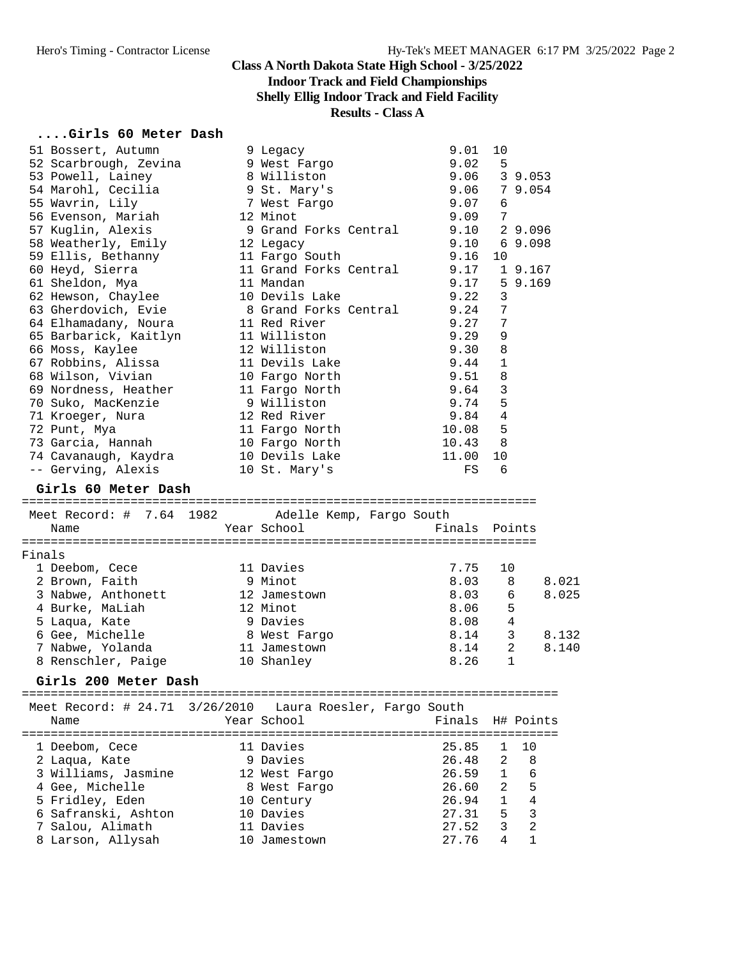## **Indoor Track and Field Championships**

## **Shelly Ellig Indoor Track and Field Facility**

## **Results - Class A**

#### **....Girls 60 Meter Dash**

|        | 51 Bossert, Autumn             | 9 Legacy                   | 9.01          | 10             |                |
|--------|--------------------------------|----------------------------|---------------|----------------|----------------|
|        | 52 Scarbrough, Zevina          | 9 West Fargo               | 9.02          | 5              |                |
|        | 53 Powell, Lainey              | 8 Williston                | 9.06          |                | 3 9.053        |
|        | 54 Marohl, Cecilia             | 9 St. Mary's               | 9.06          |                | 7 9.054        |
|        | 55 Wavrin, Lily                | 7 West Fargo               | 9.07          | 6              |                |
|        | 56 Evenson, Mariah             | 12 Minot                   | 9.09          | 7              |                |
|        | 57 Kuglin, Alexis              | 9 Grand Forks Central      | 9.10          |                | 2 9.096        |
|        | 58 Weatherly, Emily            | 12 Legacy                  | 9.10          |                | 69.098         |
|        | 59 Ellis, Bethanny             | 11 Fargo South             | 9.16          | 10             |                |
|        | 60 Heyd, Sierra                | 11 Grand Forks Central     | 9.17          |                | 1 9.167        |
|        | 61 Sheldon, Mya                | 11 Mandan                  | 9.17          |                | 59.169         |
|        | 62 Hewson, Chaylee             | 10 Devils Lake             | 9.22          | 3              |                |
|        | 63 Gherdovich, Evie            | 8 Grand Forks Central      | 9.24          | 7              |                |
|        | 64 Elhamadany, Noura           | 11 Red River               | 9.27          | 7              |                |
|        |                                | 11 Williston               | 9.29          | 9              |                |
|        | 65 Barbarick, Kaitlyn          |                            |               |                |                |
|        | 66 Moss, Kaylee                | 12 Williston               | 9.30          | 8              |                |
|        | 67 Robbins, Alissa             | 11 Devils Lake             | 9.44          | $\mathbf{1}$   |                |
|        | 68 Wilson, Vivian              | 10 Fargo North             | 9.51          | 8              |                |
|        | 69 Nordness, Heather           | 11 Fargo North             | 9.64          | $\mathbf{3}$   |                |
|        | 70 Suko, MacKenzie             | 9 Williston                | 9.74          | 5              |                |
|        | 71 Kroeger, Nura               | 12 Red River               | 9.84          | 4              |                |
|        | 72 Punt, Mya                   | 11 Fargo North             | 10.08         | 5              |                |
|        | 73 Garcia, Hannah              | 10 Fargo North             | 10.43         | 8              |                |
|        | 74 Cavanaugh, Kaydra           | 10 Devils Lake             | 11.00         | 10             |                |
|        | -- Gerving, Alexis             | 10 St. Mary's              | FS            | 6              |                |
|        | Girls 60 Meter Dash            |                            |               |                |                |
|        | Meet Record: # 7.64 1982       | Adelle Kemp, Fargo South   |               |                |                |
|        | Name                           | Year School                | Finals Points |                |                |
|        |                                |                            |               |                |                |
| Finals |                                |                            |               |                |                |
|        | 1 Deebom, Cece                 | 11 Davies                  | 7.75          | 10             |                |
|        | 2 Brown, Faith                 | 9 Minot                    | 8.03          | 8              | 8.021          |
|        | 3 Nabwe, Anthonett             | 12 Jamestown               | 8.03          | 6              | 8.025          |
|        | 4 Burke, MaLiah                | 12 Minot                   | 8.06          | 5              |                |
|        | 5 Laqua, Kate                  | 9 Davies                   | 8.08          | 4              |                |
|        | 6 Gee, Michelle                | 8 West Fargo               | 8.14          | 3              | 8.132          |
|        | 7 Nabwe, Yolanda               | 11 Jamestown               | 8.14          | 2              | 8.140          |
|        | 8 Renschler, Paige             | 10 Shanley                 | 8.26          | 1              |                |
|        | Girls 200 Meter Dash           |                            |               |                |                |
|        |                                |                            |               |                |                |
|        | Meet Record: # 24.71 3/26/2010 | Laura Roesler, Fargo South |               |                |                |
|        | Name                           | Year School                | Finals        |                | H# Points      |
|        |                                |                            |               |                |                |
|        | 1 Deebom, Cece                 | 11 Davies                  | 25.85         | 1              | 10             |
|        | 2 Laqua, Kate                  | 9 Davies                   | 26.48         | $\overline{2}$ | 8              |
|        | 3 Williams, Jasmine            | 12 West Fargo              | 26.59         | $\mathbf 1$    | 6              |
|        | 4 Gee, Michelle                | 8 West Fargo               | 26.60         | 2              | 5              |
|        | 5 Fridley, Eden                | 10 Century                 | 26.94         | 1              | $\overline{4}$ |
|        |                                |                            |               |                |                |
|        | 6 Safranski, Ashton            | 10 Davies                  | 27.31         | 5              | 3              |
|        | 7 Salou, Alimath               | 11 Davies                  | 27.52         | 3              | $\overline{a}$ |
|        | 8 Larson, Allysah              | 10 Jamestown               | 27.76         | 4              | $\mathbf 1$    |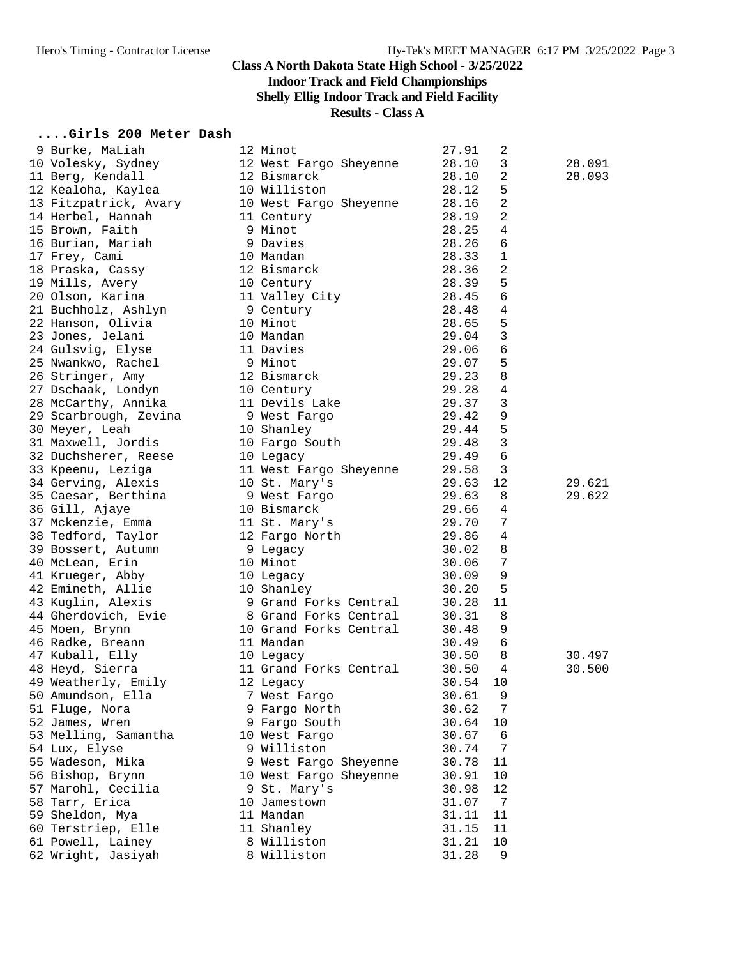# **Indoor Track and Field Championships**

**Shelly Ellig Indoor Track and Field Facility**

## **Results - Class A**

#### **....Girls 200 Meter Dash**

| 9 Burke, MaLiah                           | 12 Minot                                       | 27.91          | 2               |        |
|-------------------------------------------|------------------------------------------------|----------------|-----------------|--------|
| 10 Volesky, Sydney 12 West Fargo Sheyenne |                                                | 28.10          | 3               | 28.091 |
| 11 Berg, Kendall                          | 12 Bismarck                                    | 28.10          | 2               | 28.093 |
| 12 Kealoha, Kaylea                        | 10 Williston                                   | 28.12          | 5               |        |
| 13 Fitzpatrick, Avary                     | 10 West Fargo Sheyenne<br>11 Century           | 28.16          | $\sqrt{2}$      |        |
| 14 Herbel, Hannah                         | 11 Century                                     | 28.19          | $\overline{a}$  |        |
| 15 Brown, Faith                           | 9 Minot                                        | 28.25          | 4               |        |
| 16 Burian, Mariah                         | 9 Davies                                       | 28.26          | 6               |        |
| 17 Frey, Cami                             | 10 Mandan                                      | 28.33          | 1               |        |
| 18 Praska, Cassy                          | 12 Bismarck                                    | 28.36          | 2               |        |
| 19 Mills, Avery                           |                                                | 28.39          | 5               |        |
| 20 Olson, Karina                          | 10 Century<br>11 Valley (<br>11 Valley City    | 28.45          | 6               |        |
| 21 Buchholz, Ashlyn                       | 9 Century                                      | 28.48          | $\,4$           |        |
| 22 Hanson, Olivia                         | 10 Minot                                       | 28.65          | 5               |        |
| 23 Jones, Jelani                          | 10 Mandan                                      | 29.04          | $\mathbf{3}$    |        |
|                                           | 11 Davies                                      | 29.06          | 6               |        |
| 24 Gulsvig, Elyse<br>25 Nwankwo, Rachel   | -- Davies<br>9 Minot<br>12 Bismarck<br>10 Cori | 29.07          | 5               |        |
|                                           |                                                |                | 8               |        |
| 26 Stringer, Amy                          |                                                | 29.23          |                 |        |
| 27 Dschaak, Londyn                        | 10 Century                                     | 29.28          | 4               |        |
| 28 McCarthy, Annika                       | 11 Devils Lake                                 | 29.37          | 3               |        |
| 29 Scarbrough, Zevina                     | 9 West Fargo                                   | 29.42          | 9               |        |
| 30 Meyer, Leah                            | 10 Shanley                                     | 29.44          | 5               |        |
| 31 Maxwell, Jordis                        | 10 Fargo South                                 | 29.48          | $\mathbf{3}$    |        |
| 32 Duchsherer, Reese                      | 10 Legacy                                      | 29.49          | 6               |        |
| 33 Kpeenu, Leziga                         | 11 West Fargo Sheyenne                         | 29.58          | 3               |        |
| 34 Gerving, Alexis                        | 10 St. Mary's                                  | 29.63          | 12              | 29.621 |
| 35 Caesar, Berthina                       | 9 West Fargo                                   | 29.63          | 8               | 29.622 |
| 36 Gill, Ajaye                            | 10 Bismarck                                    | 29.66          | 4               |        |
| 37 Mckenzie, Emma                         | ll St. Mary's<br>12 Fargo North                | 29.70          | $7\phantom{.0}$ |        |
| 38 Tedford, Taylor                        | 12 Fargo North                                 | 29.86          | 4               |        |
| 39 Bossert, Autumn                        | 9 Legacy                                       | 30.02          | 8               |        |
| 40 McLean, Erin                           | 10 Minot                                       | 30.06          | 7               |        |
| 41 Krueger, Abby                          | 10 Legacy                                      | 30.09          | 9               |        |
| 42 Emineth, Allie                         | 10 Shanley                                     | 30.20          | 5               |        |
| 43 Kuglin, Alexis                         | 9 Grand Forks Central                          | 30.28          | 11              |        |
| 44 Gherdovich, Evie                       | 8 Grand Forks Central                          | 30.31          | 8               |        |
| 45 Moen, Brynn                            | 10 Grand Forks Central                         | 30.48          | 9               |        |
| 46 Radke, Breann                          | 11 Mandan                                      | 30.49          | 6               |        |
| 47 Kuball, Elly                           |                                                | 30.50          | 8               | 30.497 |
| 48 Heyd, Sierra                           | 10 Legacy<br>11 Grand Forks Central            | 30.50          | 4               | 30.500 |
| 49 Weatherly, Emily                       | 12 Legacy                                      | 30.54          | 10              |        |
| 50 Amundson, Ella                         | 7 West Fargo                                   | 30.61          | 9               |        |
| 51 Fluge, Nora                            | 9 Fargo North                                  | 30.62          | 7               |        |
| 52 James, Wren                            | 9 Fargo South                                  | 30.64          | 10              |        |
| 53 Melling, Samantha                      | 10 West Fargo                                  | 30.67          | 6               |        |
| 54 Lux, Elyse                             | 9 Williston                                    |                | 7               |        |
|                                           |                                                | 30.74<br>30.78 | 11              |        |
| 55 Wadeson, Mika                          | 9 West Fargo Sheyenne                          |                |                 |        |
| 56 Bishop, Brynn                          | 10 West Fargo Sheyenne                         | 30.91          | 10              |        |
| 57 Marohl, Cecilia                        | 9 St. Mary's                                   | 30.98          | 12              |        |
| 58 Tarr, Erica                            | 10 Jamestown                                   | 31.07          | 7               |        |
| 59 Sheldon, Mya                           | 11 Mandan                                      | 31.11          | 11              |        |
| 60 Terstriep, Elle                        | 11 Shanley                                     | 31.15          | 11              |        |
| 61 Powell, Lainey                         | 8 Williston                                    | 31.21          | 10              |        |
| 62 Wright, Jasiyah                        | 8 Williston                                    | 31.28          | 9               |        |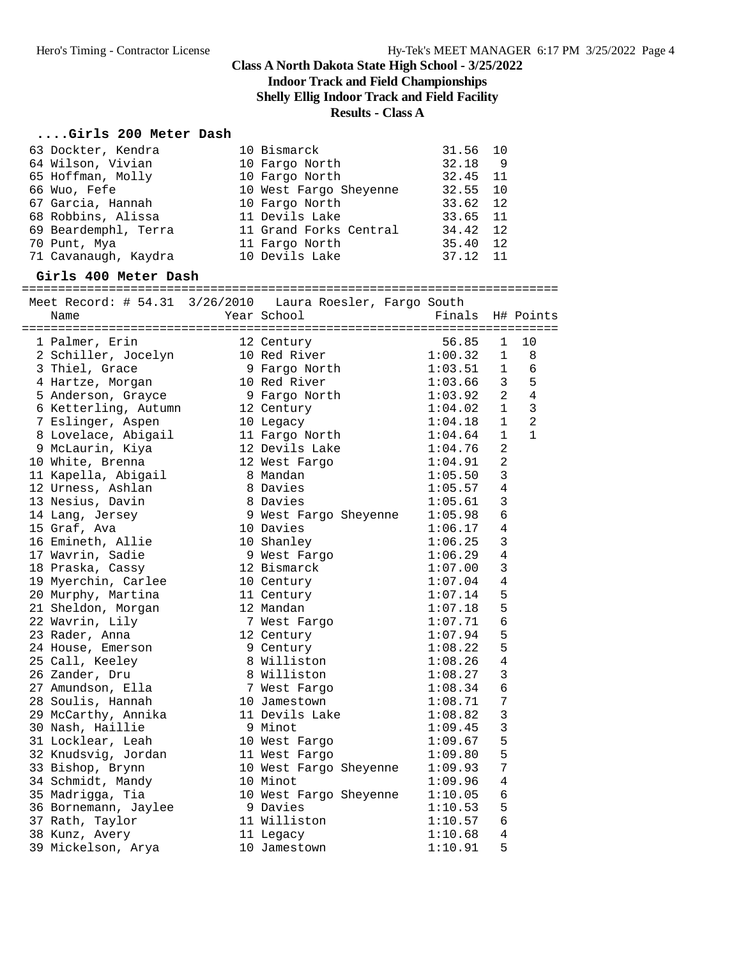**Indoor Track and Field Championships**

**Shelly Ellig Indoor Track and Field Facility**

#### **Results - Class A**

#### **....Girls 200 Meter Dash**

| 63 Dockter, Kendra   | 10 Bismarck            | 31.56 10  |       |
|----------------------|------------------------|-----------|-------|
| 64 Wilson, Vivian    | 10 Fargo North         | $32.18$ 9 |       |
| 65 Hoffman, Molly    | 10 Fargo North         | 32.45 11  |       |
| 66 Wuo, Fefe         | 10 West Fargo Sheyenne | 32.55 10  |       |
| 67 Garcia, Hannah    | 10 Fargo North         | 33.62 12  |       |
| 68 Robbins, Alissa   | 11 Devils Lake         | 33.65 11  |       |
| 69 Beardemphl, Terra | 11 Grand Forks Central | 34.42 12  |       |
| 70 Punt, Mya         | 11 Fargo North         | 35.40 12  |       |
| 71 Cavanaugh, Kaydra | 10 Devils Lake         | 37.12     | $-11$ |

#### **Girls 400 Meter Dash**

========================================================================== Meet Record: # 54.31 3/26/2010 Laura Roesler, Fargo South Name Year School Finals H# Points ========================================================================== 1 Palmer, Erin 12 Century 56.85 1 10 2 Schiller, Jocelyn 10 Red River 1:00.32 1 8 3 Thiel, Grace 9 Fargo North 1:03.51 1 6 4 Hartze, Morgan 10 Red River 1:03.66 3 5 5 Anderson, Grayce 9 Fargo North 1:03.92 2 4 6 Ketterling, Autumn 12 Century 1:04.02 1 3 7 Eslinger, Aspen 10 Legacy 1:04.18 1 2 8 Lovelace, Abigail 11 Fargo North 1:04.64 1 1 9 McLaurin, Kiya 12 Devils Lake 1:04.76 2 10 White, Brenna 12 West Fargo 1:04.91 2 11 Kapella, Abigail 8 Mandan 1:05.50 3 12 Urness, Ashlan 8 Davies 1:05.57 4 13 Nesius, Davin 8 Davies 1:05.61 3 14 Lang, Jersey 9 West Fargo Sheyenne 1:05.98 6 15 Graf, Ava 10 Davies 1:06.17 4 16 Emineth, Allie 10 Shanley 1:06.25 3 17 Wavrin, Sadie 9 West Fargo 1:06.29 4 18 Praska, Cassy 12 Bismarck 1:07.00 3 19 Myerchin, Carlee 10 Century 1:07.04 4 20 Murphy, Martina 11 Century 1:07.14 5 21 Sheldon, Morgan 12 Mandan 1:07.18 5 22 Wavrin, Lily 7 West Fargo 1:07.71 6 23 Rader, Anna 12 Century 1:07.94 5 24 House, Emerson 3 Century 1:08.22 5 25 Call, Keeley 8 Williston 1:08.26 4 26 Zander, Dru 8 Williston 1:08.27 3 27 Amundson, Ella 7 West Fargo 1:08.34 6 28 Soulis, Hannah 10 Jamestown 1:08.71 7 29 McCarthy, Annika 11 Devils Lake 1:08.82 3 30 Nash, Haillie 9 Minot 1:09.45 3 31 Locklear, Leah 10 West Fargo 1:09.67 5 32 Knudsvig, Jordan 11 West Fargo 1:09.80 5 33 Bishop, Brynn 10 West Fargo Sheyenne 1:09.93 7 34 Schmidt, Mandy 10 Minot 1:09.96 4 35 Madrigga, Tia 10 West Fargo Sheyenne 1:10.05 6 36 Bornemann, Jaylee 9 Davies 1:10.53 5 37 Rath, Taylor 11 Williston 1:10.57 6 38 Kunz, Avery 11 Legacy 1:10.68 4 39 Mickelson, Arya 10 Jamestown 1:10.91 5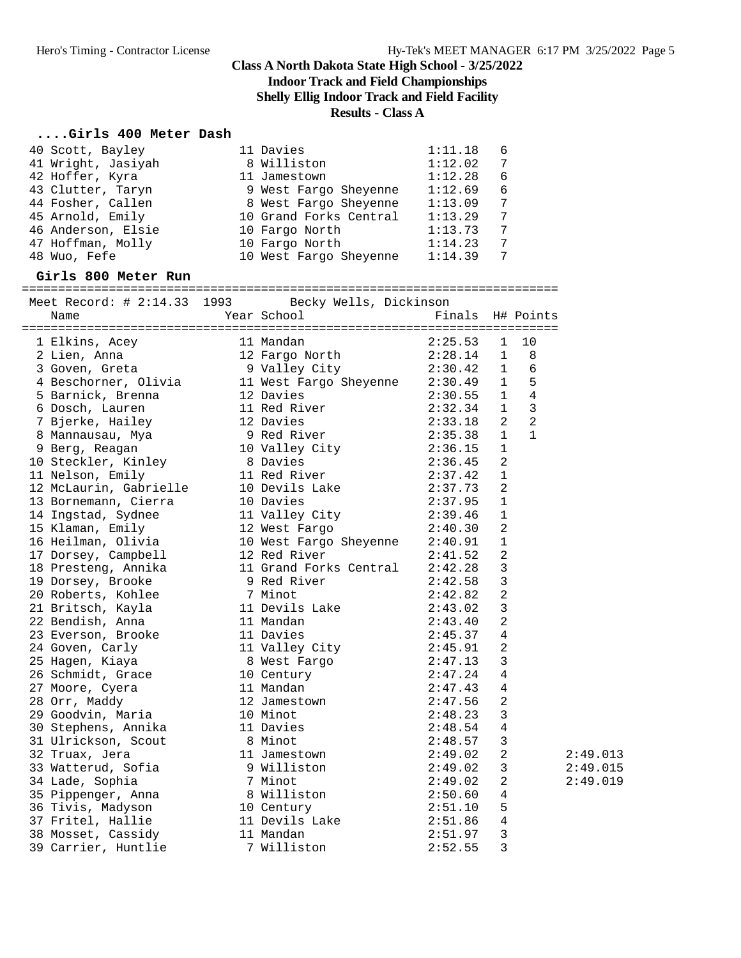**Indoor Track and Field Championships**

**Shelly Ellig Indoor Track and Field Facility**

#### **Results - Class A**

#### **....Girls 400 Meter Dash**

| 40 Scott, Bayley                                                                                                                   | 11 Davies                                                                                 | 1:11.18     | 6                   |          |
|------------------------------------------------------------------------------------------------------------------------------------|-------------------------------------------------------------------------------------------|-------------|---------------------|----------|
| 41 Wright, Jasiyah                                                                                                                 | 8 Williston                                                                               | 1:12.02     | 7                   |          |
| 42 Hoffer, Kyra                                                                                                                    | 11 Jamestown                                                                              | 1:12.28     | 6                   |          |
| 43 Clutter, Taryn                                                                                                                  | 9 West Fargo Sheyenne 1:12.69                                                             |             | 6                   |          |
| 44 Fosher, Callen                                                                                                                  |                                                                                           |             | 7                   |          |
| 45 Arnold, Emily                                                                                                                   | 8 West Fargo Sheyenne 1:13.09<br>10 Grand Forks Central 1:13.29<br>10 Fargo North 1:13.73 |             | 7                   |          |
| 46 Anderson, Elsie                                                                                                                 | 10 Fargo North                                                                            | 1:13.73     | 7                   |          |
| 47 Hoffman, Molly                                                                                                                  | 10 Fargo North                                                                            | 1:14.23     | 7                   |          |
| 48 Wuo, Fefe                                                                                                                       | 10 West Fargo Sheyenne                                                                    | 1:14.39     | 7                   |          |
| Girls 800 Meter Run                                                                                                                |                                                                                           |             |                     |          |
| Meet Record: # 2:14.33 1993                                                                                                        | Becky Wells, Dickinson                                                                    |             |                     |          |
| Name                                                                                                                               | Year School                                                                               |             | Finals H# Points    |          |
| 1 Elkins, Acey                                                                                                                     | 11 Mandan                                                                                 | 2:25.53     | 10<br>1             |          |
|                                                                                                                                    |                                                                                           | 2:28.14     | 8<br>$\mathbf{1}$   |          |
| 2 Lien, Anna 12 Fargo North 2:28.14<br>3 Goven, Greta 9 Valley City 2:30.42<br>4 Beschorner, Olivia 11 West Fargo Sheyenne 2:30.49 |                                                                                           | $2:30.42$ 1 | 6                   |          |
|                                                                                                                                    |                                                                                           |             | 5<br>$\mathbf{1}$   |          |
| 5 Barnick, Brenna                                                                                                                  | 12 Davies                                                                                 | 2:30.55     | 4<br>1              |          |
| 6 Dosch, Lauren                                                                                                                    | 11 Red River                                                                              | 2:32.34     | $\mathbf{1}$<br>3   |          |
| 7 Bjerke, Hailey                                                                                                                   | 12 Davies                                                                                 | 2:33.18     | $\overline{a}$<br>2 |          |
| 8 Mannausau, Mya                                                                                                                   |                                                                                           | 2:35.38     | $\mathbf{1}$<br>1   |          |
| 9 Berg, Reagan                                                                                                                     | 9 Red River<br>10 Valley City                                                             | 2:36.15     | $1\,$               |          |
| 10 Steckler, Kinley                                                                                                                | 8 Davies                                                                                  | 2:36.45     | 2                   |          |
| 11 Nelson, Emily                                                                                                                   | 11 Red River                                                                              | 2:37.42     | 1                   |          |
| 12 McLaurin, Gabrielle                                                                                                             | 10 Devils Lake                                                                            | 2:37.73     | 2                   |          |
| 13 Bornemann, Cierra                                                                                                               | 10 Davies                                                                                 | 2:37.95     | $\mathbf 1$         |          |
| 14 Ingstad, Sydnee                                                                                                                 | 11 Valley City                                                                            | 2:39.46     | $\mathbf 1$         |          |
| 15 Klaman, Emily                                                                                                                   | 12 West Fargo                                                                             | 2:40.30     | 2                   |          |
| 16 Heilman, Olivia                                                                                                                 | 10 West Fargo Sheyenne 2:40.91                                                            |             | 1                   |          |
| 17 Dorsey, Campbell                                                                                                                | 12 Red River                                                                              | 2:41.52     | 2                   |          |
| 18 Presteng, Annika                                                                                                                | 11 Grand Forks Central                                                                    | 2:42.28     | 3                   |          |
| 19 Dorsey, Brooke                                                                                                                  | 9 Red River                                                                               | 2:42.58     | 3                   |          |
| 20 Roberts, Kohlee                                                                                                                 | 7 Minot                                                                                   | 2:42.82     | 2                   |          |
| 21 Britsch, Kayla                                                                                                                  | 11 Devils Lake                                                                            | 2:43.02     | 3                   |          |
| 22 Bendish, Anna                                                                                                                   | 11 Mandan                                                                                 | 2:43.40     | 2                   |          |
| 23 Everson, Brooke                                                                                                                 | 11 Davies                                                                                 | 2:45.37     | 4                   |          |
| 24 Goven, Carly                                                                                                                    | 11 Valley City 2:45.91                                                                    |             | 2                   |          |
| 25 Hagen, Kiaya                                                                                                                    | 8 West Fargo                                                                              | 2:47.13     | 3                   |          |
| 26 Schmidt, Grace                                                                                                                  | 10 Century                                                                                | 2:47.24     | 4                   |          |
| 27 Moore, Cyera                                                                                                                    | 11 Mandan                                                                                 | 2:47.43 4   |                     |          |
| 28 Orr, Maddy                                                                                                                      | 12 Jamestown                                                                              | 2:47.56     | 2                   |          |
| 29 Goodvin, Maria                                                                                                                  | 10 Minot                                                                                  | 2:48.23     | 3                   |          |
| 30 Stephens, Annika                                                                                                                | 11 Davies                                                                                 | 2:48.54     | 4                   |          |
| 31 Ulrickson, Scout                                                                                                                | 8 Minot                                                                                   | 2:48.57     | 3                   |          |
| 32 Truax, Jera                                                                                                                     | 11 Jamestown                                                                              | 2:49.02     | 2                   | 2:49.013 |
| 33 Watterud, Sofia                                                                                                                 | 9 Williston                                                                               | 2:49.02     | 3                   | 2:49.015 |
| 34 Lade, Sophia                                                                                                                    | 7 Minot                                                                                   | 2:49.02     | 2                   | 2:49.019 |
| 35 Pippenger, Anna                                                                                                                 | 8 Williston                                                                               | 2:50.60     | 4                   |          |
| 36 Tivis, Madyson                                                                                                                  | 10 Century                                                                                | 2:51.10     | 5                   |          |
| 37 Fritel, Hallie                                                                                                                  | 11 Devils Lake                                                                            | 2:51.86     | 4                   |          |
| 38 Mosset, Cassidy                                                                                                                 | 11 Mandan                                                                                 | 2:51.97     | 3                   |          |
| 39 Carrier, Huntlie                                                                                                                | 7 Williston                                                                               | 2:52.55     | 3                   |          |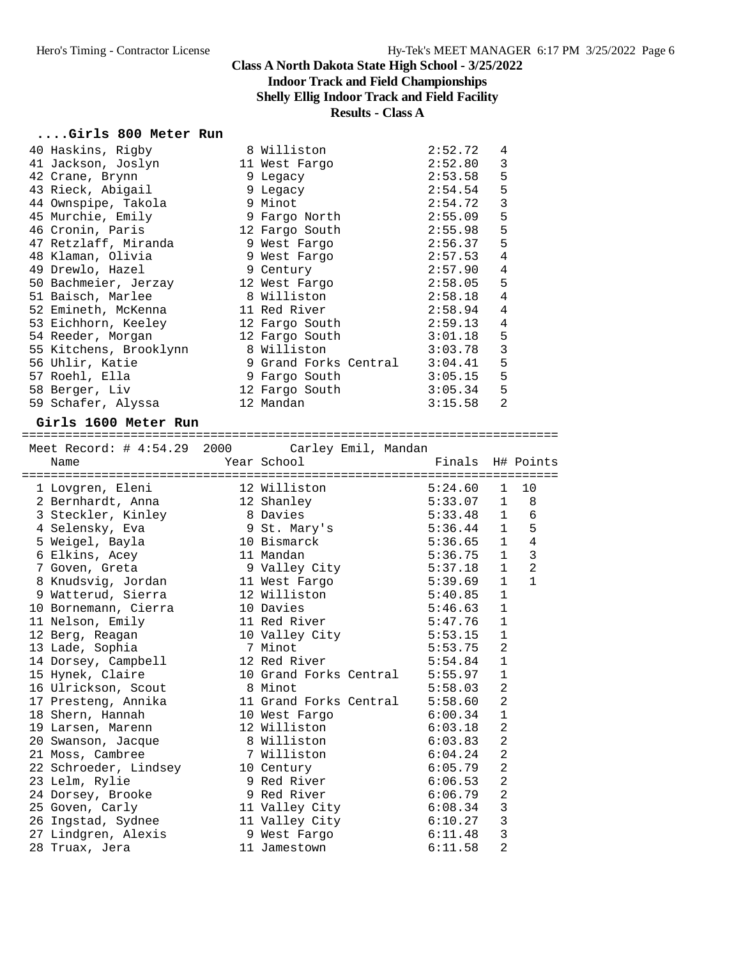#### **Class A North Dakota State High School - 3/25/2022 Indoor Track and Field Championships Shelly Ellig Indoor Track and Field Facility**

## **Results - Class A**

#### **....Girls 800 Meter Run**

| 40 Haskins, Rigby 8 Williston                                                                                                         |                        | 2:52.72 | 4              |
|---------------------------------------------------------------------------------------------------------------------------------------|------------------------|---------|----------------|
| 41 Jackson, Joslyn 11 West Fargo 2:52.80                                                                                              |                        |         | 3              |
|                                                                                                                                       |                        | 2:53.58 | 5              |
|                                                                                                                                       |                        | 2:54.54 | 5              |
| 42 Crane, Brynn                       9 Legacy<br>43 Rieck, Abigail                 9 Legacy<br>44 Ownspipe, Takola           9 Minot | 2:54.72                |         | 3              |
| 45 Murchie, Emily 5 9 Fargo North                                                                                                     |                        | 2:55.09 | 5              |
| 46 Cronin, Paris 12 Fargo South 2:55.98                                                                                               |                        |         | 5              |
| 47 Retzlaff, Miranda 19 West Fargo 2:56.37                                                                                            |                        |         | 5              |
| 48 Klaman, Olivia               9 West Fargo               2:57.53                                                                    |                        |         | 4              |
| 49 Drewlo, Hazel 9 Century 2:57.90<br>50 Bachmeier, Jerzay 12 West Fargo 2:58.05                                                      |                        |         | $\overline{4}$ |
|                                                                                                                                       |                        |         | 5              |
| 51 Baisch, Marlee 68 Williston                                                                                                        |                        | 2:58.18 | $\overline{4}$ |
| 52 Emineth, McKenna 11 Red River 2:58.94                                                                                              |                        |         | $\overline{4}$ |
| 53 Eichhorn, Keeley                                                                                                                   | 12 Fargo South 2:59.13 |         | $\overline{4}$ |
| 54 Reeder, Morgan                                                                                                                     | 12 Fargo South 3:01.18 |         | 5              |
| 55 Kitchens, Brooklynn 8 Williston 3:03.78                                                                                            |                        |         | 3              |
| 56 Uhlir, Katie 3:04.41                                                                                                               |                        |         | 5              |
|                                                                                                                                       |                        |         | 5              |
| 58 Berger, Liv                         12 Fargo South                   3:05.34                                                       |                        |         | 5              |
| 59 Schafer, Alyssa                                                                                                                    | 12 Mandan 3:15.58      |         | $\overline{2}$ |
| Girls 1600 Meter Run                                                                                                                  |                        |         |                |
|                                                                                                                                       |                        |         |                |

| Meet Record: # 4:54.29 2000                                                     |                                | Carley Emil, Mandan |                  |                |                |
|---------------------------------------------------------------------------------|--------------------------------|---------------------|------------------|----------------|----------------|
| Name                                                                            | Year School                    |                     | Finals H# Points |                |                |
| 1 Lovgren, Eleni                                                                | 12 Williston                   |                     | 5:24.60          | $\mathbf{1}$   | 10             |
| 2 Bernhardt, Anna                                                               | 12 Shanley                     |                     | 5:33.07          | $\mathbf{1}$   | 8              |
| 3 Steckler, Kinley 8 Davies 5:33.48                                             |                                |                     |                  | 1              | 6              |
| 4 Selensky, Eva                                                                 | 9 St. Mary's 5:36.44           |                     |                  | $\mathbf{1}$   | 5              |
| 5 Weigel, Bayla 10 Bismarck                                                     |                                |                     | 5:36.65          | 1              | 4              |
| 6 Elkins, Acey                                                                  | 11 Mandan                      |                     | 5:36.75          | $\mathbf{1}$   | 3              |
| 7 Goven, Greta                                                                  | 9 Valley City                  |                     | 5:37.18          | $\mathbf{1}$   | $\overline{2}$ |
| 8 Knudsvig, Jordan 11 West Fargo                                                |                                |                     | 5:39.69          | $\mathbf{1}$   | $\mathbf{1}$   |
| 9 Watterud, Sierra                 12 Williston                         5:40.85 |                                |                     |                  | $\mathbf{1}$   |                |
| 10 Bornemann, Cierra                                                            | 10 Davies                      |                     | 5:46.63          | $\mathbf{1}$   |                |
| 11 Nelson, Emily                                                                | 11 Red River                   |                     | 5:47.76          | $\mathbf{1}$   |                |
| 12 Berg, Reagan                                                                 | 10 Valley City                 |                     | 5:53.15          | $\mathbf{1}$   |                |
| 13 Lade, Sophia                                                                 | 7 Minot                        |                     | 5:53.75          | 2              |                |
| 14 Dorsey, Campbell                                                             | 12 Red River 5:54.84           |                     |                  | $\mathbf{1}$   |                |
| 15 Hynek, Claire                                                                | 10 Grand Forks Central 5:55.97 |                     |                  | $\mathbf{1}$   |                |
| 16 Ulrickson, Scout                                                             | 8 Minot                        |                     | 5:58.03          | 2              |                |
| 17 Presteng, Annika                                                             | 11 Grand Forks Central         |                     | 5:58.60          | 2              |                |
| 18 Shern, Hannah                                                                | 10 West Fargo                  |                     | 6:00.34          | $\mathbf{1}$   |                |
| 19 Larsen, Marenn                                                               | 12 Williston                   |                     | 6:03.18          | $\overline{a}$ |                |
| 20 Swanson, Jacque                                                              | 8 Williston                    |                     | 6:03.83          | $\overline{2}$ |                |
| 21 Moss, Cambree                                                                | 7 Williston                    |                     | 6:04.24          | $\overline{2}$ |                |
| 22 Schroeder, Lindsey                                                           | 10 Century                     |                     | 6:05.79          | $\overline{a}$ |                |
| 23 Lelm, Rylie                                                                  | 9 Red River                    |                     | 6:06.53          | $\overline{a}$ |                |
| 24 Dorsey, Brooke                                                               | 9 Red River                    |                     | 6:06.79          | $\overline{a}$ |                |
| 25 Goven, Carly                                                                 | 11 Valley City                 |                     | 6:08.34          | 3              |                |
| 26 Ingstad, Sydnee                                                              | 11 Valley City 6:10.27         |                     |                  | 3              |                |
| 27 Lindgren, Alexis                                                             | 9 West Fargo                   |                     | 6:11.48          | 3              |                |
| 28 Truax, Jera                                                                  | 11 Jamestown                   |                     | 6:11.58          | $\overline{2}$ |                |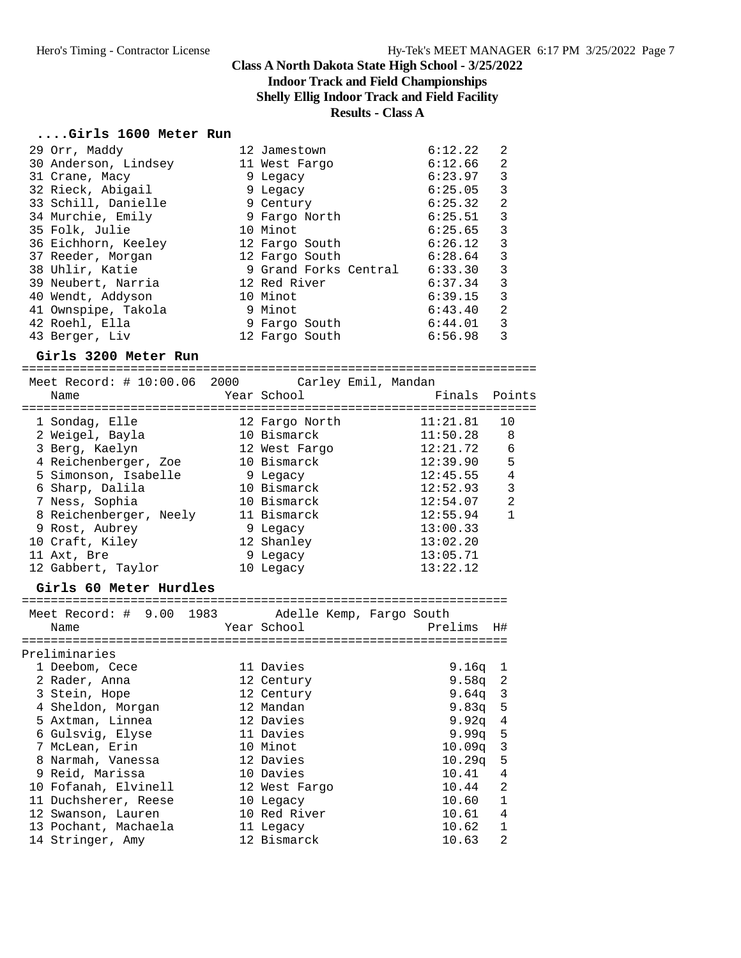# **Indoor Track and Field Championships**

**Shelly Ellig Indoor Track and Field Facility**

#### **Results - Class A**

#### **....Girls 1600 Meter Run**

| 29 Orr, Maddy        | 12 Jamestown          | 6:12.22<br>2 |
|----------------------|-----------------------|--------------|
| 30 Anderson, Lindsey | 11 West Fargo         | 2<br>6:12.66 |
| 31 Crane, Macy       | 9 Legacy              | 3<br>6:23.97 |
| 32 Rieck, Abigail    | 9 Legacy              | 3<br>6:25.05 |
| 33 Schill, Danielle  | 9 Century             | 2<br>6:25.32 |
| 34 Murchie, Emily    | 9 Fargo North         | 3<br>6:25.51 |
| 35 Folk, Julie       | 10 Minot              | 3<br>6:25.65 |
| 36 Eichhorn, Keeley  | 12 Fargo South        | 3<br>6:26.12 |
| 37 Reeder, Morgan    | 12 Fargo South        | 3<br>6:28.64 |
| 38 Uhlir, Katie      | 9 Grand Forks Central | 3<br>6:33.30 |
| 39 Neubert, Narria   | 12 Red River          | 3<br>6:37.34 |
| 40 Wendt, Addyson    | 10 Minot              | 3<br>6:39.15 |
| 41 Ownspipe, Takola  | 9 Minot               | 2<br>6:43.40 |
| 42 Roehl, Ella       | 9 Fargo South         | 3<br>6:44.01 |
| 43 Berger, Liv       | 12 Fargo South        | 3<br>6:56.98 |

#### **Girls 3200 Meter Run**

======================================================================= Meet Record: # 10:00.06 2000 Carley Emil, Mandan Name The Year School The Finals Points ======================================================================= 1 Sondag, Elle 12 Fargo North 11:21.81 10 2 Weigel, Bayla 10 Bismarck 11:50.28 8 3 Berg, Kaelyn 12 West Fargo 12:21.72 6 4 Reichenberger, Zoe 10 Bismarck 12:39.90 5 5 Simonson, Isabelle 9 Legacy 12:45.55 4 6 Sharp, Dalila 10 Bismarck 12:52.93 3 7 Ness, Sophia 10 Bismarck 12:54.07 2 8 Reichenberger, Neely 11 Bismarck 12:55.94 1 9 Rost, Aubrey 9 Legacy 13:00.33 10 Craft, Kiley 12 Shanley 13:02.20 11 Axt, Bre 6 20 3 9 Legacy 13:05.71 12 Gabbert, Taylor 10 Legacy 13:22.12

**Girls 60 Meter Hurdles** =================================================================== Meet Record: # 9.00 1983 Adelle Kemp, Fargo South Name Year School Prelims H# =================================================================== Preliminaries 1 Deebom, Cece 11 Davies 9.16q 1 2 Rader, Anna 12 Century 9.58q 2 3 Stein, Hope 12 Century 9.64q 3 4 Sheldon, Morgan 12 Mandan 9.83q 5 5 Axtman, Linnea 12 Davies 9.92q 4 6 Gulsvig, Elyse 11 Davies 9.99q 5 7 McLean, Erin 10 Minot 10.09q 3 8 Narmah, Vanessa 12 Davies 10.29q 5 9 Reid, Marissa 10 Davies 10.41 4 10 Fofanah, Elvinell 12 West Fargo 10.44 2 11 Duchsherer, Reese 10 Legacy 10 10.60 1 12 Swanson, Lauren 10 Red River 10.61 4

13 Pochant, Machaela 11 Legacy 10.62 1 14 Stringer, Amy 12 Bismarck 10.63 2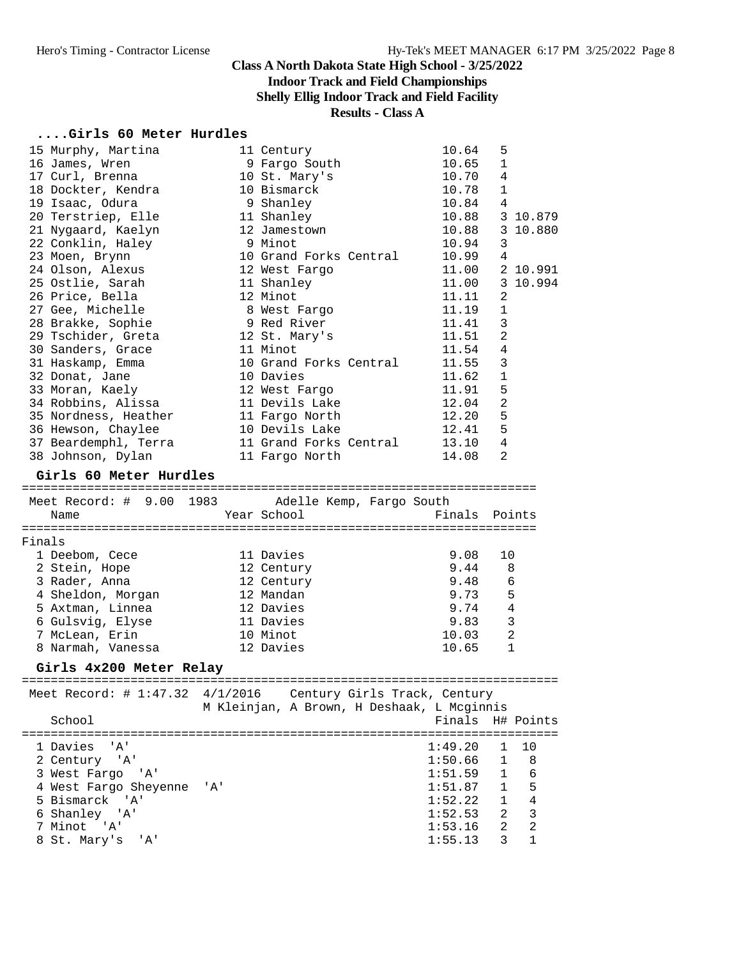8 St. Mary's 'A'

## **Class A North Dakota State High School - 3/25/2022**

## **Indoor Track and Field Championships**

**Shelly Ellig Indoor Track and Field Facility**

# **Results - Class A**

#### **....Girls 60 Meter Hurdles**

|        | 15 Murphy, Martina               |     | 11 Century                                 | 10.64                        | 5              |                |
|--------|----------------------------------|-----|--------------------------------------------|------------------------------|----------------|----------------|
|        | 16 James, Wren                   |     | 9 Fargo South                              | 10.65                        | 1              |                |
|        | 17 Curl, Brenna                  |     | 10 St. Mary's                              | 10.70                        | 4              |                |
|        | 18 Dockter, Kendra               |     | 10 Bismarck                                | 10.78                        | 1              |                |
|        | 19 Isaac, Odura                  |     | 9 Shanley                                  | 10.84                        | -4             |                |
|        | 20 Terstriep, Elle               |     | 11 Shanley                                 | 10.88                        |                | 3 10.879       |
|        | 21 Nygaard, Kaelyn               |     | 12 Jamestown                               | 10.88                        |                | 3 10.880       |
|        | 22 Conklin, Haley                |     | 9 Minot                                    | 10.94                        | 3              |                |
|        | 23 Moen, Brynn                   |     | 10 Grand Forks Central                     | 10.99 4                      |                |                |
|        | 24 Olson, Alexus                 |     | 12 West Fargo                              | 11.00                        |                | 2 10.991       |
|        | 25 Ostlie, Sarah                 |     |                                            |                              |                |                |
|        |                                  |     | 11 Shanley                                 | 11.00                        |                | 3 10.994       |
|        | 26 Price, Bella                  |     | 12 Minot                                   | 11.11                        | 2              |                |
|        | 27 Gee, Michelle                 |     | 8 West Fargo                               | 11.19                        | 1              |                |
|        | 28 Brakke, Sophie                |     | 9 Red River                                | 11.41                        | 3              |                |
|        | 29 Tschider, Greta 12 St. Mary's |     |                                            | 11.51                        | $\overline{2}$ |                |
|        | 30 Sanders, Grace                |     | 11 Minot                                   | 11.54                        | 4              |                |
|        | 31 Haskamp, Emma                 |     | 10 Grand Forks Central                     | 11.55                        | 3              |                |
|        | 32 Donat, Jane                   |     | 10 Davies                                  | 11.62                        | $\mathbf{1}$   |                |
|        | 33 Moran, Kaely                  |     | 12 West Fargo                              | 11.91                        | 5              |                |
|        | 34 Robbins, Alissa               |     | 11 Devils Lake                             | 12.04                        | $\overline{2}$ |                |
|        | 35 Nordness, Heather             |     | 11 Fargo North                             | 12.20                        | 5              |                |
|        | 36 Hewson, Chaylee               |     | 10 Devils Lake                             | 12.41                        | 5              |                |
|        | 37 Beardemphl, Terra             |     | 11 Grand Forks Central                     | 13.10                        | $\overline{4}$ |                |
|        | 38 Johnson, Dylan                |     | 11 Fargo North                             | 14.08                        | 2              |                |
|        |                                  |     |                                            |                              |                |                |
|        | Girls 60 Meter Hurdles           |     |                                            |                              |                |                |
|        |                                  |     |                                            |                              |                |                |
|        | Meet Record: # 9.00 1983         |     | Adelle Kemp, Fargo South                   |                              |                |                |
|        | Name                             |     | Year School                                | Finals Points                |                |                |
|        |                                  |     |                                            |                              |                |                |
| Finals |                                  |     |                                            |                              |                |                |
|        | 1 Deebom, Cece                   |     | 11 Davies                                  | 9.08                         | 10             |                |
|        | 2 Stein, Hope                    |     | 12 Century                                 | 9.44                         | 8              |                |
|        | 3 Rader, Anna                    |     | 12 Century                                 | 9.48                         | 6              |                |
|        | 4 Sheldon, Morgan                |     | 12 Mandan                                  | 9.73                         | 5              |                |
|        | 5 Axtman, Linnea                 |     | 12 Davies                                  | 9.74                         | 4              |                |
|        | 6 Gulsvig, Elyse                 |     | 11 Davies                                  | 9.83                         | 3              |                |
|        | 7 McLean, Erin                   |     | 10 Minot                                   | 10.03                        | $\overline{2}$ |                |
|        | 8 Narmah, Vanessa                |     | 12 Davies                                  | 10.65                        | 1              |                |
|        |                                  |     |                                            |                              |                |                |
|        | Girls 4x200 Meter Relay          |     |                                            |                              |                |                |
|        | Meet Record: # 1:47.32 4/1/2016  |     |                                            | Century Girls Track, Century |                |                |
|        |                                  |     | M Kleinjan, A Brown, H Deshaak, L Mcginnis |                              |                |                |
|        | School                           |     |                                            | Finals                       |                | H# Points      |
|        |                                  |     |                                            |                              |                |                |
|        |                                  |     |                                            | 1:49.20                      | 1              |                |
|        | 1 Davies<br>'' A '               |     |                                            |                              |                | 10             |
|        | 2 Century 'A'                    |     |                                            | 1:50.66                      | $\mathbf 1$    | 8              |
|        | 3 West Fargo 'A'                 |     |                                            | 1:51.59                      | $\mathbf{1}$   | 6              |
|        | 4 West Fargo Sheyenne            | 'A' |                                            | 1:51.87                      | $\mathbf{1}$   | 5              |
|        | 5 Bismarck 'A'                   |     |                                            | 1:52.22                      | $\mathbf{1}$   | $\overline{4}$ |
|        | 6 Shanley 'A'                    |     |                                            | 1:52.53                      | 2              | $\mathbf{3}$   |
|        | 7 Minot 'A'                      |     |                                            | 1:53.16                      | $\overline{a}$ | $\overline{2}$ |
|        | 8 St. Mary's 'A'                 |     |                                            | 1:55.13                      | 3              | 1              |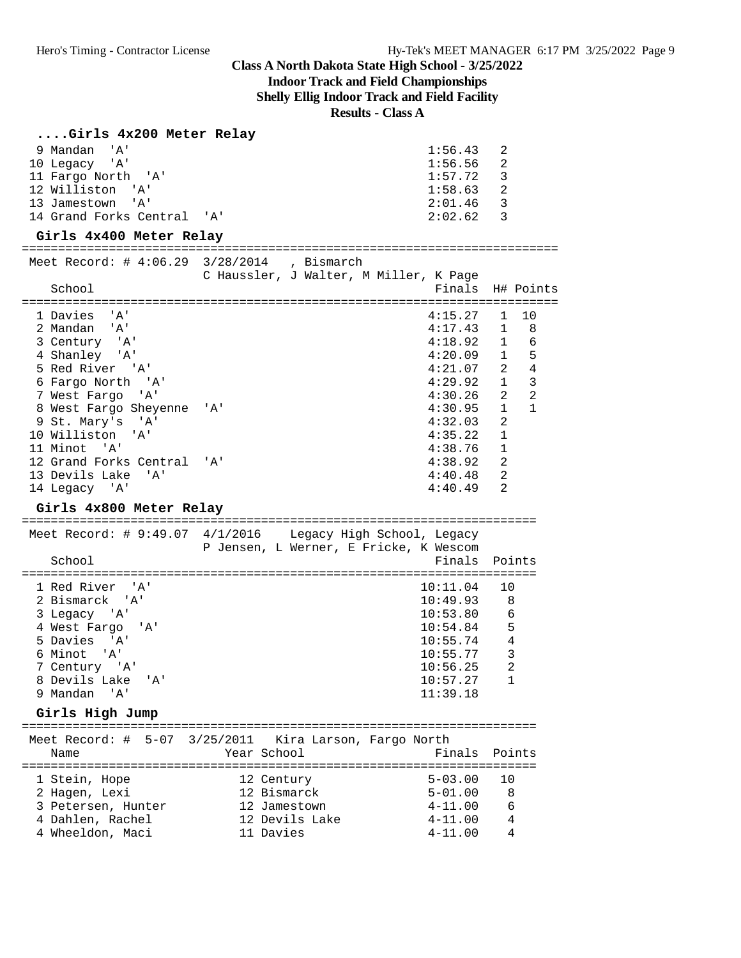## **Indoor Track and Field Championships**

**Shelly Ellig Indoor Track and Field Facility**

**Results - Class A**

#### **....Girls 4x200 Meter Relay**

| 9 Mandan<br>'A'<br>10 Legacy<br>' A '<br>11 Fargo North<br>' A '<br>12 Williston<br>'A'<br>13 Jamestown<br>'A'<br>14 Grand Forks Central 'A'<br>Girls 4x400 Meter Relay                                                                                                                                                        | ======================================                                                                          | 1:56.43<br>1:56.56<br>1:57.72<br>1:58.63<br>2:01.46<br>2:02.62                                                                                         | 2<br>2<br>3<br>$\overline{2}$<br>$\overline{3}$<br>3                                                                                                    |
|--------------------------------------------------------------------------------------------------------------------------------------------------------------------------------------------------------------------------------------------------------------------------------------------------------------------------------|-----------------------------------------------------------------------------------------------------------------|--------------------------------------------------------------------------------------------------------------------------------------------------------|---------------------------------------------------------------------------------------------------------------------------------------------------------|
| Meet Record: # $4:06.29$ 3/28/2014<br>School                                                                                                                                                                                                                                                                                   | , Bismarch<br>C Haussler, J Walter, M Miller, K Page                                                            | Finals                                                                                                                                                 | H# Points                                                                                                                                               |
| 1 Davies<br>'A'<br>2 Mandan 'A'<br>3 Century 'A'<br>4 Shanley 'A'<br>5 Red River 'A'<br>6 Fargo North<br>'' A '<br>7 West Fargo<br>' A '<br>8 West Fargo Sheyenne<br>9 St. Mary's 'A'<br>10 Williston<br>'A'<br>11 Minot 'A'<br>12 Grand Forks Central<br>13 Devils Lake<br>'' A '<br>14 Legacy 'A'<br>Girls 4x800 Meter Relay | '' A '<br>'A'                                                                                                   | 4:15.27<br>4:17.43<br>4:18.92<br>4:20.09<br>4:21.07<br>4:29.92<br>4:30.26<br>4:30.95<br>4:32.03<br>4:35.22<br>4:38.76<br>4:38.92<br>4:40.48<br>4:40.49 | 1<br>10<br>1<br>8<br>1<br>6<br>5<br>$\mathbf{1}$<br>2<br>4<br>3<br>$\mathbf{1}$<br>2<br>2<br>$\mathbf{1}$<br>1<br>2<br>$\mathbf{1}$<br>1<br>2<br>2<br>2 |
| School                                                                                                                                                                                                                                                                                                                         | Meet Record: # 9:49.07 4/1/2016 Legacy High School, Legacy<br>P Jensen, L Werner, E Fricke, K Wescom            | Finals                                                                                                                                                 | Points                                                                                                                                                  |
| 1 Red River 'A'<br>2 Bismarck<br>' A '<br>3 Legacy 'A'<br>4 West Fargo<br>' A '<br>5 Davies<br>" A '<br>6 Minot<br>" A '<br>7 Century 'A'<br>8 Devils Lake<br>'A'<br>9 Mandan<br>'A'<br>Girls High Jump                                                                                                                        |                                                                                                                 | 10:11.04<br>10:49.93<br>10:53.80<br>10:54.84<br>10:55.74<br>10:55.77<br>10:56.25<br>10:57.27<br>11:39.18                                               | 10<br>8<br>6<br>5<br>4<br>3<br>$\overline{a}$<br>$\mathbf 1$                                                                                            |
| =========================                                                                                                                                                                                                                                                                                                      | Meet Record: # 5-07 3/25/2011 Kira Larson, Fargo North                                                          |                                                                                                                                                        |                                                                                                                                                         |
| Name<br>===============================<br>1 Stein, Hope<br>2 Hagen, Lexi<br>3 Petersen, Hunter<br>4 Dahlen, Rachel<br>4 Wheeldon, Maci                                                                                                                                                                                        | Year School<br>====================<br>12 Century<br>12 Bismarck<br>12 Jamestown<br>12 Devils Lake<br>11 Davies | Finals<br>===================<br>$5 - 03.00$<br>$5 - 01.00$<br>$4 - 11.00$<br>$4 - 11.00$<br>$4 - 11.00$                                               | Points<br>10<br>8<br>6<br>4<br>4                                                                                                                        |
|                                                                                                                                                                                                                                                                                                                                |                                                                                                                 |                                                                                                                                                        |                                                                                                                                                         |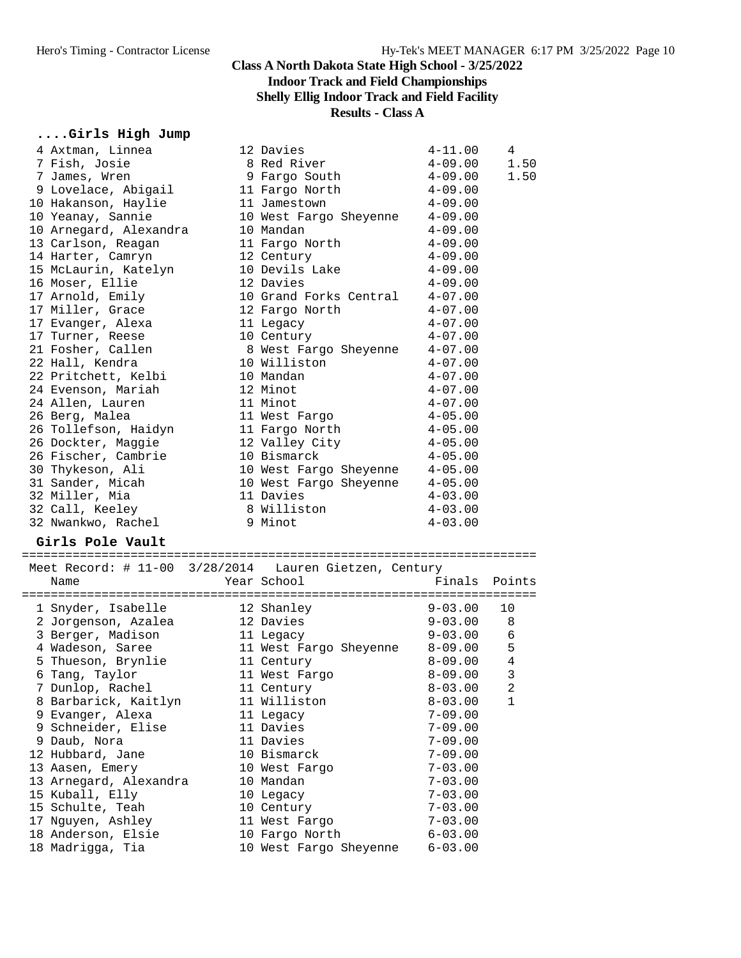#### **Class A North Dakota State High School - 3/25/2022 Indoor Track and Field Championships Shelly Ellig Indoor Track and Field Facility Results - Class A**

## **....Girls High Jump**

| 4 Axtman, Linnea                       | 12 Davies                                              | $4 - 11.00$                | 4              |
|----------------------------------------|--------------------------------------------------------|----------------------------|----------------|
| 7 Fish, Josie                          | 8 Red River                                            | $4 - 09.00$                | 1.50           |
| 7 James, Wren                          | 9 Fargo South                                          | $4 - 09.00$                | 1.50           |
| 9 Lovelace, Abigail                    | 11 Fargo North                                         | $4 - 09.00$                |                |
| 10 Hakanson, Haylie                    | 11 Jamestown                                           | $4 - 09.00$                |                |
| 10 Yeanay, Sannie                      | 10 West Fargo Sheyenne                                 | $4 - 09.00$                |                |
| 10 Arnegard, Alexandra                 | 10 Mandan                                              | $4 - 09.00$                |                |
| 13 Carlson, Reagan                     | 11 Fargo North                                         | $4 - 09.00$                |                |
| 14 Harter, Camryn                      | 12 Century                                             | $4 - 09.00$                |                |
| 15 McLaurin, Katelyn                   | 10 Devils Lake                                         | $4 - 09.00$                |                |
| 16 Moser, Ellie                        | 12 Davies                                              | $4 - 09.00$                |                |
| 17 Arnold, Emily                       | 10 Grand Forks Central                                 | $4 - 07.00$                |                |
| 17 Miller, Grace                       | 12 Fargo North                                         | $4 - 07.00$                |                |
| 17 Evanger, Alexa                      | 11 Legacy                                              | $4 - 07.00$                |                |
| 17 Turner, Reese                       | 10 Century                                             | $4 - 07.00$                |                |
| 21 Fosher, Callen                      | 8 West Fargo Sheyenne                                  | $4 - 07.00$                |                |
| 22 Hall, Kendra                        | 10 Williston                                           | $4 - 07.00$                |                |
| 22 Pritchett, Kelbi                    | 10 Mandan                                              | $4 - 07.00$                |                |
| 24 Evenson, Mariah                     | 12 Minot                                               | $4 - 07.00$                |                |
| 24 Allen, Lauren                       | 11 Minot                                               | $4 - 07.00$                |                |
| 26 Berg, Malea                         | 11 West Fargo                                          | $4 - 05.00$                |                |
|                                        | 11 Fargo North                                         |                            |                |
| 26 Tollefson, Haidyn                   |                                                        | $4 - 05.00$                |                |
| 26 Dockter, Maggie                     | 12 Valley City                                         | $4 - 05.00$                |                |
| 26 Fischer, Cambrie                    | 10 Bismarck                                            | $4 - 05.00$                |                |
| 30 Thykeson, Ali                       | 10 West Fargo Sheyenne                                 | $4 - 05.00$                |                |
| 31 Sander, Micah                       | 10 West Fargo Sheyenne                                 | $4 - 05.00$                |                |
|                                        |                                                        |                            |                |
| 32 Miller, Mia                         | 11 Davies                                              | $4 - 03.00$                |                |
| 32 Call, Keeley                        | 8 Williston                                            | $4 - 03.00$                |                |
| 32 Nwankwo, Rachel                     | 9 Minot                                                | $4 - 03.00$                |                |
| Girls Pole Vault                       |                                                        |                            |                |
|                                        |                                                        |                            |                |
|                                        | Meet Record: # 11-00 3/28/2014 Lauren Gietzen, Century |                            |                |
| Name                                   | Year School                                            | Finals                     | Points         |
|                                        |                                                        |                            |                |
| 1 Snyder, Isabelle                     | 12 Shanley                                             | $9 - 03.00$                | 10             |
| 2 Jorgenson, Azalea                    | 12 Davies                                              | $9 - 03.00$                | 8              |
| 3 Berger, Madison                      | 11 Legacy                                              | $9 - 03.00$                | 6              |
| 4 Wadeson, Saree                       | 11 West Fargo Sheyenne                                 | $8 - 09.00$                | 5              |
| 5 Thueson, Brynlie                     | 11 Century                                             | $8 - 09.00$                | $\overline{4}$ |
| 6 Tang, Taylor                         | 11 West Fargo                                          | $8 - 09.00$                | 3              |
| 7 Dunlop, Rachel                       | 11 Century                                             | $8 - 03.00$                | 2              |
| 8 Barbarick, Kaitlyn                   | 11 Williston                                           | $8 - 03.00$                | 1              |
| 9 Evanger, Alexa                       | 11 Legacy                                              | $7 - 09.00$                |                |
| 9 Schneider, Elise                     | 11 Davies                                              | $7 - 09.00$                |                |
| 9 Daub, Nora                           | 11 Davies                                              | $7 - 09.00$                |                |
| 12 Hubbard, Jane                       | 10 Bismarck                                            | $7 - 09.00$                |                |
| 13 Aasen, Emery                        | 10 West Fargo                                          | $7 - 03.00$                |                |
| 13 Arnegard, Alexandra                 | 10 Mandan                                              | $7 - 03.00$                |                |
| 15 Kuball, Elly                        | 10 Legacy                                              | $7 - 03.00$                |                |
| 15 Schulte, Teah                       | 10 Century                                             | $7 - 03.00$                |                |
| 17 Nguyen, Ashley                      | 11 West Fargo                                          | $7 - 03.00$                |                |
| 18 Anderson, Elsie<br>18 Madrigga, Tia | 10 Fargo North<br>10 West Fargo Sheyenne               | $6 - 03.00$<br>$6 - 03.00$ |                |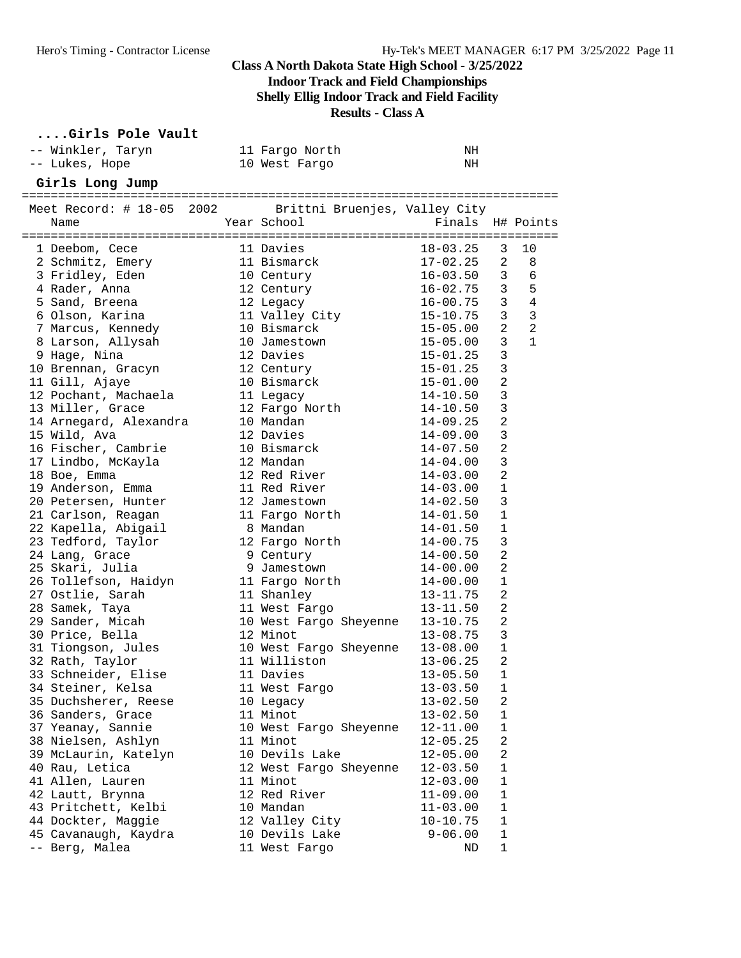**Indoor Track and Field Championships**

**Shelly Ellig Indoor Track and Field Facility**

**Results - Class A**

#### **....Girls Pole Vault**

| -- Winkler, Taryn                                       | 11 Fargo North                | NH               |                |                          |
|---------------------------------------------------------|-------------------------------|------------------|----------------|--------------------------|
| -- Lukes, Hope                                          | 10 West Fargo                 | NH               |                |                          |
| Girls Long Jump                                         |                               |                  |                |                          |
| Meet Record: # 18-05 2002 Brittni Bruenjes, Valley City |                               |                  |                |                          |
| Name                                                    | Year School                   | Finals H# Points |                |                          |
|                                                         |                               |                  |                |                          |
| 1 Deebom, Cece                                          | 11 Davies                     | 18-03.25         | 3              | 10                       |
| 2 Schmitz, Emery                                        | 11 Bismarck                   | 17-02.25         | 2              | 8                        |
| 3 Fridley, Eden                                         | 10 Century                    | $16 - 03.50$     |                | 3 <sup>7</sup><br>6      |
| 4 Rader, Anna                                           | 12 Century                    | $16 - 02.75$     | $\overline{3}$ | 5                        |
| 5 Sand, Breena                                          | 12 Legacy                     | $16 - 00.75$     | $\overline{3}$ | $\overline{4}$           |
| 6 Olson, Karina                                         | 11 Valley City<br>10 Bismarck | 15-10.75         | $\mathbf{3}$   | $\overline{\phantom{a}}$ |
| 7 Marcus, Kennedy                                       | 10 Bismarck                   | 15-05.00         | 2              | 2                        |
| 8 Larson, Allysah                                       | 10 Jamestown                  | $15 - 05.00$     | 3              | 1                        |
| 9 Hage, Nina                                            | 12 Davies                     | 15-01.25         | $\mathbf{3}$   |                          |
| 10 Brennan, Gracyn                                      | 12 Century                    | $15 - 01.25$     | $\mathbf{3}$   |                          |
| 11 Gill, Ajaye                                          | 10 Bismarck                   | $15 - 01.00$     | $\overline{2}$ |                          |
| 12 Pochant, Machaela                                    | 11 Legacy                     | 14-10.50         | 3              |                          |
| 13 Miller, Grace                                        | 12 Fargo North                | $14 - 10.50$     | 3              |                          |
| 14 Arnegard, Alexandra                                  | 10 Mandan                     | $14 - 09.25$     | $\overline{a}$ |                          |
| 15 Wild, Ava                                            | 12 Davies                     | $14 - 09.00$     | 3              |                          |
| 16 Fischer, Cambrie                                     | 10 Bismarck                   | $14 - 07.50$     | $\overline{2}$ |                          |
| 17 Lindbo, McKayla                                      | 12 Mandan                     | 14-04.00         | $\mathbf{3}$   |                          |
| 18 Boe, Emma                                            | 12 Red River                  | 14-03.00         | $\overline{2}$ |                          |
| 19 Anderson, Emma                                       | 11 Red River                  | $14 - 03.00$     | 1              |                          |
| 20 Petersen, Hunter                                     | 12 Jamestown                  | $14 - 02.50$     | 3              |                          |
| 21 Carlson, Reagan                                      | 11 Fargo North                | $14 - 01.50$     | 1              |                          |
| 22 Kapella, Abigail                                     | 8 Mandan                      | $14 - 01.50$     | $\mathbf{1}$   |                          |
| 23 Tedford, Taylor                                      | 12 Fargo North                | $14 - 00.75$     | 3              |                          |
| 24 Lang, Grace                                          | 9 Century                     | $14 - 00.50$     | $\overline{2}$ |                          |
| 25 Skari, Julia                                         | 9 Jamestown                   | 14-00.00         | 2              |                          |
| 26 Tollefson, Haidyn                                    | 11 Fargo North                | $14 - 00.00$     | 1              |                          |
| 27 Ostlie, Sarah                                        | 11 Shanley                    | 13-11.75         | $\overline{2}$ |                          |
| 28 Samek, Taya                                          | 11 West Fargo                 | $13 - 11.50$     | $\overline{2}$ |                          |
| 29 Sander, Micah                                        | 10 West Fargo Sheyenne        | $13 - 10.75$     | $\overline{2}$ |                          |
| 30 Price, Bella                                         | 12 Minot                      | $13 - 08.75$     | $\overline{3}$ |                          |
| 31 Tiongson, Jules                                      | 10 West Fargo Sheyenne        | $13 - 08.00$     | 1              |                          |
| 32 Rath, Taylor                                         | 11 Williston                  | $13 - 06.25$     | 2              |                          |
| 33 Schneider, Elise                                     | 11 Davies                     | $13 - 05.50$     | 1              |                          |
| 34 Steiner, Kelsa                                       | 11 West Fargo                 | $13 - 03.50$ 1   |                |                          |
| 35 Duchsherer, Reese                                    | 10 Legacy                     | $13 - 02.50$     | 2              |                          |
| 36 Sanders, Grace                                       | 11 Minot                      | $13 - 02.50$     | 1              |                          |
| 37 Yeanay, Sannie                                       | 10 West Fargo Sheyenne        | $12 - 11.00$     | 1              |                          |
| 38 Nielsen, Ashlyn                                      | 11 Minot                      | $12 - 05.25$     | 2              |                          |
| 39 McLaurin, Katelyn                                    | 10 Devils Lake                | $12 - 05.00$     | 2              |                          |
| 40 Rau, Letica                                          | 12 West Fargo Sheyenne        | $12 - 03.50$     | $\mathbf{1}$   |                          |
| 41 Allen, Lauren                                        | 11 Minot                      | $12 - 03.00$     | $\mathbf{1}$   |                          |
| 42 Lautt, Brynna                                        | 12 Red River                  | $11 - 09.00$     | $\mathbf{1}$   |                          |
| 43 Pritchett, Kelbi                                     | 10 Mandan                     | $11 - 03.00$     | 1              |                          |
| 44 Dockter, Maggie                                      | 12 Valley City                | $10 - 10.75$     | $\mathbf{1}$   |                          |
| 45 Cavanaugh, Kaydra                                    | 10 Devils Lake                | $9 - 06.00$      | 1              |                          |
| -- Berg, Malea                                          | 11 West Fargo                 | ND               | 1              |                          |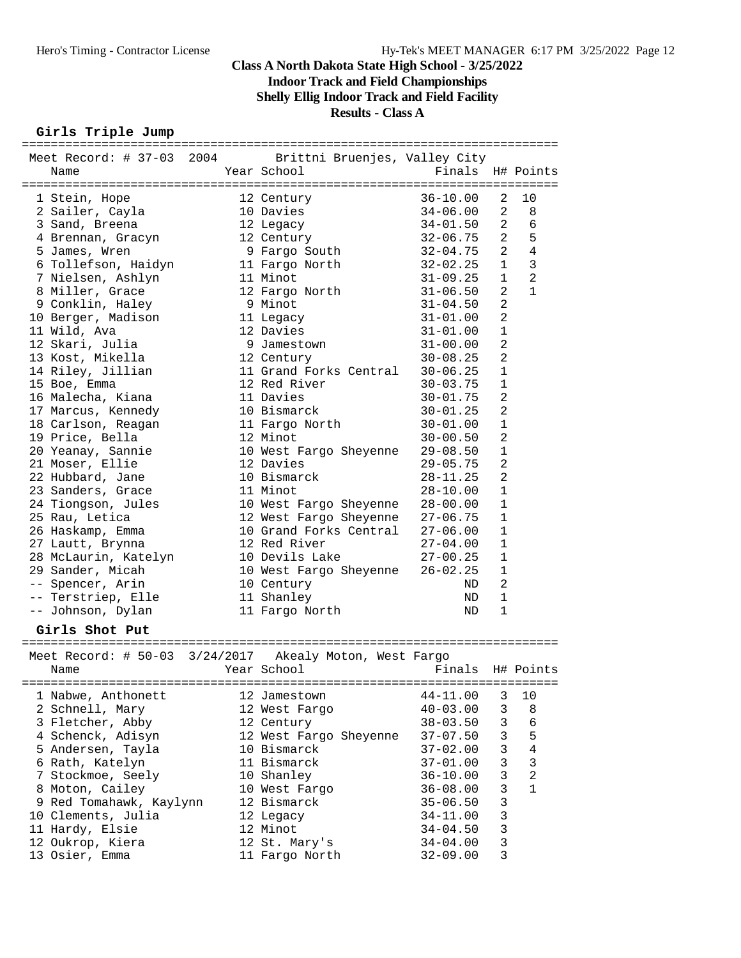**Indoor Track and Field Championships**

**Shelly Ellig Indoor Track and Field Facility**

#### **Results - Class A**

#### **Girls Triple Jump** ==========================================================================

| Meet Record: # 37-03 2004 Brittni Bruenjes, Valley City                     |                                 |                  |                |                |
|-----------------------------------------------------------------------------|---------------------------------|------------------|----------------|----------------|
| Name                                                                        | Year School                     | Finals H# Points |                |                |
|                                                                             |                                 |                  |                |                |
| 1 Stein, Hope                                                               | 12 Century                      | $36 - 10.00$     | 2              | 10             |
| 2 Sailer, Cayla                                                             | 10 Davies                       | $34 - 06.00$     | 2              | 8              |
| 3 Sand, Breena                                                              | 12 Legacy                       | $34 - 01.50$     | $\mathbf{2}$   | 6              |
| 4 Brennan, Gracyn                                                           |                                 | 32-06.75         | $\overline{a}$ | 5              |
| 5 James, Wren                                                               | 12 Century<br>9 Fargo South     | $32 - 04.75$     | $\overline{a}$ | $\overline{4}$ |
| 6 Tollefson, Haidyn                                                         | 11 Fargo North<br>11 Minot      | $32 - 02.25$     | $\mathbf{1}$   | $\overline{3}$ |
| 7 Nielsen, Ashlyn                                                           | 11 Minot                        | $31 - 09.25$     | $\mathbf{1}$   | 2              |
| 8 Miller, Grace                                                             | 12 Fargo North 31-06.50         |                  | $\overline{2}$ | 1              |
| 9 Conklin, Haley                                                            | 9 Minot                         | $31 - 04.50$     | 2              |                |
| 10 Berger, Madison                                                          | 11 Legacy                       | $31 - 01.00$     | $\overline{a}$ |                |
| 11 Wild, Ava                                                                | 12 Davies                       | $31 - 01.00$     | $\mathbf{1}$   |                |
| 12 Skari, Julia                                                             | 9 Jamestown                     | $31 - 00.00$     | $\overline{2}$ |                |
| 13 Kost, Mikella                                                            | 12 Century                      | 30-08.25         | 2              |                |
| 14 Riley, Jillian                                                           | 11 Grand Forks Central 30-06.25 |                  | 1              |                |
| 15 Boe, Emma                                                                | 12 Red River                    | $30 - 03.75$     | 1              |                |
| 16 Malecha, Kiana                                                           | 11 Davies                       | $30 - 01.75$     | 2              |                |
| 17 Marcus, Kennedy                                                          | 10 Bismarck                     | $30 - 01.25$     | 2              |                |
| 18 Carlson, Reagan                                                          | 11 Fargo North                  | $30 - 01.00$     | $\mathbf 1$    |                |
| 19 Price, Bella                                                             | 12 Minot                        | $30 - 00.50$     | 2              |                |
| 20 Yeanay, Sannie                                                           | 10 West Fargo Sheyenne          | $29 - 08.50$     | 1              |                |
| 21 Moser, Ellie                                                             | 12 Davies                       | $29 - 05.75$     | $\overline{2}$ |                |
| 22 Hubbard, Jane                                                            | 10 Bismarck                     | $28 - 11.25$     | $\overline{a}$ |                |
| 23 Sanders, Grace                                                           | 11 Minot                        | $28 - 10.00$     | $\mathbf{1}$   |                |
|                                                                             | 10 West Fargo Sheyenne 28-00.00 |                  | 1              |                |
| 23 Sanadis, diace<br>24 Tiongson, Jules<br>25 Rau, Letica<br>25 Rau, Letica | 12 West Fargo Sheyenne 27-06.75 |                  | 1              |                |
| 26 Haskamp, Emma                                                            | 10 Grand Forks Central 27-06.00 |                  | $\mathbf{1}$   |                |
| 27 Lautt, Brynna                                                            | 12 Red River                    | $27 - 04.00$     | 1              |                |
| 28 McLaurin, Katelyn                                                        | 10 Devils Lake                  | 27-00.25         | $1\,$          |                |
| 29 Sander, Micah                                                            | 10 West Fargo Sheyenne 26-02.25 |                  | $1\,$          |                |
| -- Spencer, Arin                                                            | 10 Century                      | ND               | $\overline{a}$ |                |
| -- Terstriep, Elle                                                          | 11 Shanley                      | ND               | 1              |                |
| -- Johnson, Dylan                                                           | 11 Fargo North                  | ND               | 1              |                |
|                                                                             |                                 |                  |                |                |
| Girls Shot Put                                                              |                                 |                  |                |                |
|                                                                             |                                 |                  |                |                |
| Meet Record: # 50-03 3/24/2017 Akealy Moton, West Fargo                     |                                 |                  |                |                |
| Name                                                                        | Year School                     | Finals H# Points |                |                |
|                                                                             |                                 |                  |                |                |
| 1 Nabwe, Anthonett 12 Jamestown                                             |                                 | $44 - 11.00$ 3   |                | 10             |
| 2 Schnell, Mary                                                             | 12 West Fargo                   | $40 - 03.00$     | 3              | 8              |
| 3 Fletcher, Abby                                                            | 12 Century                      | $38 - 03.50$     | 3              | 6              |
| 4 Schenck, Adisyn                                                           | 12 West Fargo Sheyenne          | $37 - 07.50$     | 3              | 5              |
| 5 Andersen, Tayla                                                           | 10 Bismarck                     | $37 - 02.00$     | 3              | 4              |
| 6 Rath, Katelyn                                                             | 11 Bismarck                     | $37 - 01.00$     | 3              | 3              |
| 7 Stockmoe, Seely                                                           | 10 Shanley                      | $36 - 10.00$     | 3              | $\overline{2}$ |
| 8 Moton, Cailey                                                             | 10 West Fargo                   | $36 - 08.00$     | 3              | $\mathbf{1}$   |
| 9 Red Tomahawk, Kaylynn                                                     | 12 Bismarck                     | $35 - 06.50$     | 3              |                |
| 10 Clements, Julia                                                          | 12 Legacy                       | $34 - 11.00$     | 3              |                |
| 11 Hardy, Elsie                                                             | 12 Minot                        | $34 - 04.50$     | 3              |                |
| 12 Oukrop, Kiera                                                            | 12 St. Mary's                   | $34 - 04.00$     | 3              |                |
| 13 Osier, Emma                                                              | 11 Fargo North                  | $32 - 09.00$     | 3              |                |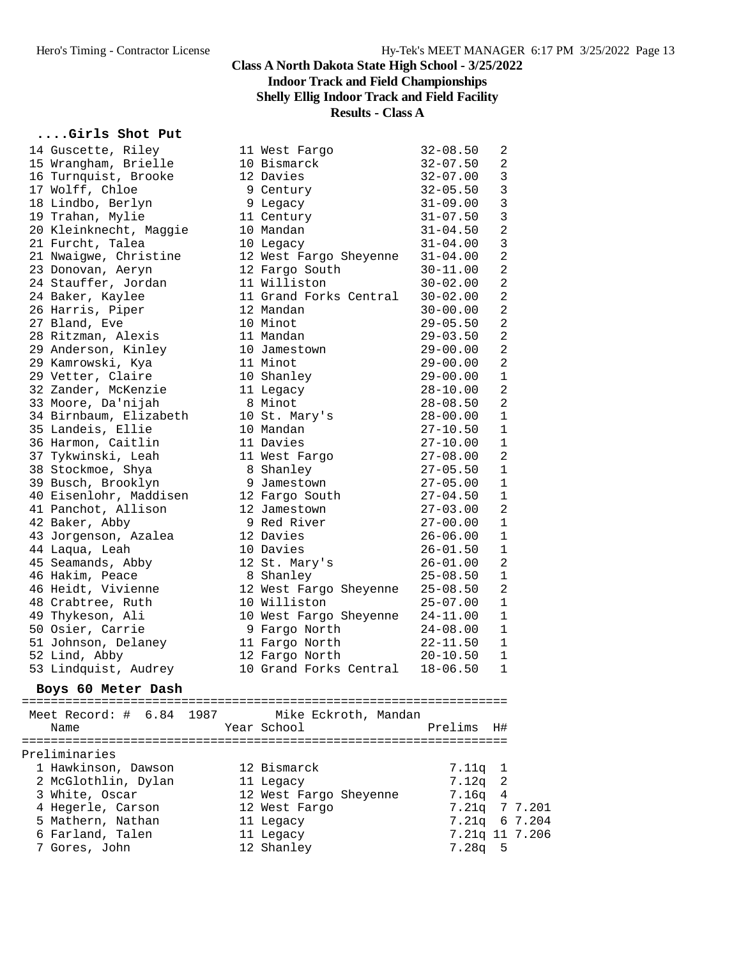## **Indoor Track and Field Championships**

## **Shelly Ellig Indoor Track and Field Facility**

**Results - Class A**

# **....Girls Shot Put**

| 14 Guscette, Riley             | 11 West Fargo          | $32 - 08.50$ | 2              |                |
|--------------------------------|------------------------|--------------|----------------|----------------|
| 15 Wrangham, Brielle           | 10 Bismarck            | $32 - 07.50$ | $\overline{c}$ |                |
| 16 Turnquist, Brooke           | 12 Davies              | $32 - 07.00$ | 3              |                |
| 17 Wolff, Chloe                | 9 Century              | $32 - 05.50$ | 3              |                |
| 18 Lindbo, Berlyn              | 9 Legacy               | $31 - 09.00$ | 3              |                |
| 19 Trahan, Mylie               | 11 Century             | $31 - 07.50$ | 3              |                |
| 20 Kleinknecht, Maggie         | 10 Mandan              | $31 - 04.50$ | $\overline{a}$ |                |
| 21 Furcht, Talea               | 10 Legacy              | $31 - 04.00$ | 3              |                |
| 21 Nwaigwe, Christine          | 12 West Fargo Sheyenne | $31 - 04.00$ | 2              |                |
| 23 Donovan, Aeryn              | 12 Fargo South         | $30 - 11.00$ | $\overline{a}$ |                |
| 24 Stauffer, Jordan            | 11 Williston           | $30 - 02.00$ | $\overline{a}$ |                |
| 24 Baker, Kaylee               | 11 Grand Forks Central | $30 - 02.00$ | 2              |                |
| 26 Harris, Piper               | 12 Mandan              | $30 - 00.00$ | $\overline{c}$ |                |
| 27 Bland, Eve                  | 10 Minot               | $29 - 05.50$ | 2              |                |
| 28 Ritzman, Alexis             | 11 Mandan              | $29 - 03.50$ | 2              |                |
|                                |                        |              | $\overline{a}$ |                |
| 29 Anderson, Kinley            | 10 Jamestown           | $29 - 00.00$ | $\overline{a}$ |                |
| 29 Kamrowski, Kya              | 11 Minot               | $29 - 00.00$ |                |                |
| 29 Vetter, Claire              | 10 Shanley             | $29 - 00.00$ | $\mathbf{1}$   |                |
| 32 Zander, McKenzie            | 11 Legacy              | $28 - 10.00$ | $\overline{c}$ |                |
| 33 Moore, Da'nijah             | 8 Minot                | 28-08.50     | 2              |                |
| 34 Birnbaum, Elizabeth         | 10 St. Mary's          | $28 - 00.00$ | 1              |                |
| 35 Landeis, Ellie              | 10 Mandan              | $27 - 10.50$ | $\mathbf{1}$   |                |
| 36 Harmon, Caitlin             | 11 Davies              | $27 - 10.00$ | $\mathbf 1$    |                |
| 37 Tykwinski, Leah             | 11 West Fargo          | $27 - 08.00$ | $\overline{a}$ |                |
| 38 Stockmoe, Shya              | 8 Shanley              | $27 - 05.50$ | $\mathbf{1}$   |                |
| 39 Busch, Brooklyn             | 9 Jamestown            | $27 - 05.00$ | 1              |                |
| 40 Eisenlohr, Maddisen         | 12 Fargo South         | $27 - 04.50$ | $\mathbf 1$    |                |
| 41 Panchot, Allison            | 12 Jamestown           | $27 - 03.00$ | $\overline{a}$ |                |
| 42 Baker, Abby                 | 9 Red River            | $27 - 00.00$ | $\mathbf 1$    |                |
| 43 Jorgenson, Azalea           | 12 Davies              | $26 - 06.00$ | $\mathbf{1}$   |                |
| 44 Laqua, Leah                 | 10 Davies              | $26 - 01.50$ | $\mathbf 1$    |                |
| 45 Seamands, Abby              | 12 St. Mary's          | $26 - 01.00$ | 2              |                |
| 46 Hakim, Peace                | 8 Shanley              | $25 - 08.50$ | 1              |                |
| 46 Heidt, Vivienne             | 12 West Fargo Sheyenne | $25 - 08.50$ | $\overline{a}$ |                |
| 48 Crabtree, Ruth              | 10 Williston           | $25 - 07.00$ | $\mathbf 1$    |                |
| 49 Thykeson, Ali               | 10 West Fargo Sheyenne | $24 - 11.00$ | $\mathbf 1$    |                |
| 50 Osier, Carrie               | 9 Fargo North          | $24 - 08.00$ | $\mathbf 1$    |                |
| 51 Johnson, Delaney            | 11 Fargo North         | $22 - 11.50$ | $\mathbf 1$    |                |
| 52 Lind, Abby                  | 12 Fargo North         | $20 - 10.50$ | 1              |                |
| 53 Lindquist, Audrey           | 10 Grand Forks Central | $18 - 06.50$ | $\mathbf 1$    |                |
| Boys 60 Meter Dash             |                        |              |                |                |
|                                |                        |              |                |                |
| Meet Record: $\#$ 6.84<br>1987 | Mike Eckroth, Mandan   |              |                |                |
| Name                           | Year School            | Prelims      | H#             |                |
|                                |                        |              |                |                |
| Preliminaries                  |                        |              |                |                |
| 1 Hawkinson, Dawson            | 12 Bismarck            | 7.11q        | ı              |                |
| 2 McGlothlin, Dylan            | 11 Legacy              | 7.12q        | 2              |                |
| 3 White, Oscar                 | 12 West Fargo Sheyenne | 7.16q        | 4              |                |
| 4 Hegerle, Carson              | 12 West Fargo          | 7.21q        |                | 7 7.201        |
| 5 Mathern, Nathan              | 11 Legacy              | 7.21q        |                | 6 7.204        |
| 6 Farland, Talen               | 11 Legacy              |              |                | 7.21q 11 7.206 |
| 7 Gores, John                  | 12 Shanley             | $7.28q$ 5    |                |                |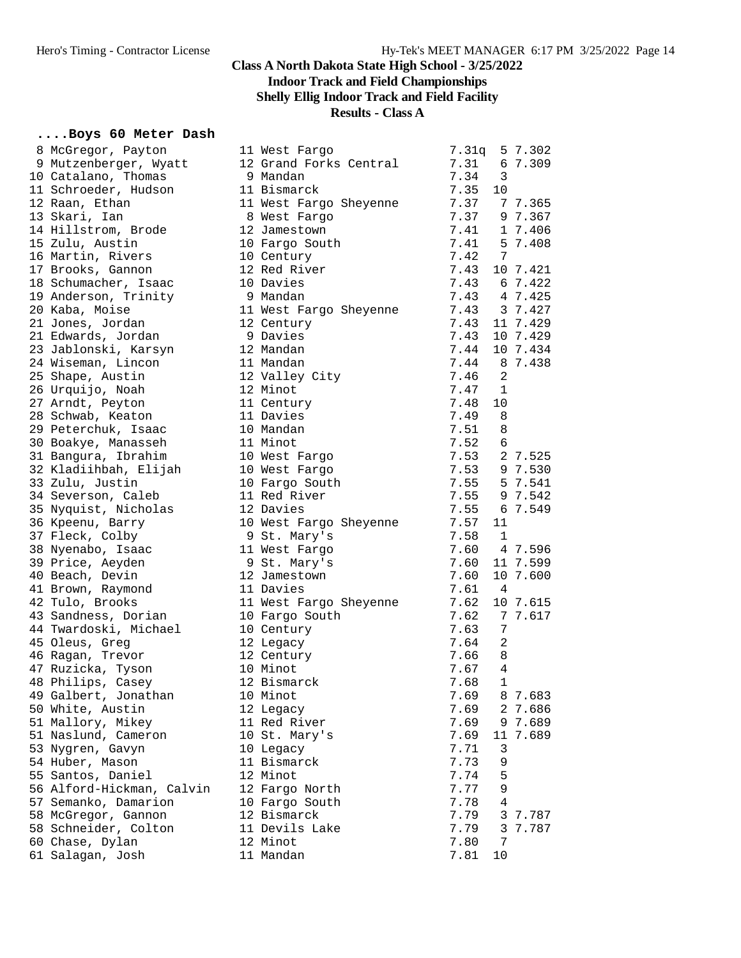## **Indoor Track and Field Championships**

**Shelly Ellig Indoor Track and Field Facility**

**Results - Class A**

#### **....Boys 60 Meter Dash**

| 8 McGregor, Payton                         | 11 West Fargo                 | 7.31q | 5 7.302      |
|--------------------------------------------|-------------------------------|-------|--------------|
| 9 Mutzenberger, Wyatt                      | 12 Grand Forks Central        | 7.31  | 6 7.309      |
| 10 Catalano, Thomas                        | 9 Mandan                      | 7.34  | 3            |
| 11 Schroeder, Hudson                       | 11 Bismarck                   | 7.35  | 10           |
| 12 Raan, Ethan                             | 11 West Fargo Sheyenne        | 7.37  | 7 7.365      |
| 13 Skari, Ian                              | 8 West Fargo                  | 7.37  | 9 7.367      |
| 14 Hillstrom, Brode                        | 12 Jamestown                  | 7.41  | 1 7.406      |
| 15 Zulu, Austin                            | 10 Fargo South                | 7.41  | 5 7.408      |
| 16 Martin, Rivers                          | 10 Century                    | 7.42  | 7            |
| 17 Brooks, Gannon                          | 12 Red River                  | 7.43  | 10 7.421     |
| 18 Schumacher, Isaac                       | 10 Davies                     | 7.43  | 6 7.422      |
| 19 Anderson, Trinity                       | 9 Mandan                      | 7.43  | 4 7.425      |
| 20 Kaba, Moise                             | 11 West Fargo Sheyenne        | 7.43  | 3 7.427      |
| 21 Jones, Jordan                           | 12 Century                    | 7.43  | 11 7.429     |
| 21 Edwards, Jordan                         | 9 Davies                      | 7.43  | 10 7.429     |
|                                            | 12 Mandan                     | 7.44  | 10 7.434     |
| 23 Jablonski, Karsyn<br>24 Wiseman, Lincon | 11 Mandan                     | 7.44  | 8 7.438      |
|                                            |                               |       | 2            |
| 25 Shape, Austin                           | 12 Valley City                | 7.46  |              |
| 26 Urquijo, Noah                           | 12 Minot                      | 7.47  | 1            |
| 27 Arndt, Peyton                           | 11 Century                    | 7.48  | 10           |
| 28 Schwab, Keaton                          | 11 Davies                     | 7.49  | 8            |
| 29 Peterchuk, Isaac                        | 10 Mandan                     | 7.51  | 8            |
| 30 Boakye, Manasseh                        | 11 Minot                      | 7.52  | 6            |
| 31 Bangura, Ibrahim                        | 10 West Fargo                 | 7.53  | 2 7.525      |
| 32 Kladiihbah, Elijah                      | 10 West Fargo                 | 7.53  | 9 7.530      |
| 33 Zulu, Justin                            | 10 Fargo South                | 7.55  | 5 7.541      |
| 34 Severson, Caleb                         | 11 Red River                  | 7.55  | 9 7.542      |
| 35 Nyquist, Nicholas                       | 12 Davies                     | 7.55  | 6 7.549      |
| 36 Kpeenu, Barry                           | 10 West Fargo Sheyenne        | 7.57  | 11           |
| 37 Fleck, Colby                            | 9 St. Mary's                  | 7.58  | 1            |
| 38 Nyenabo, Isaac                          | 11 West Fargo                 | 7.60  | 4 7.596      |
| 39 Price, Aeyden                           | 9 St. Mary's                  | 7.60  | 11 7.599     |
| 40 Beach, Devin                            | 12 Jamestown                  | 7.60  | 10 7.600     |
| 41 Brown, Raymond                          | 11 Davies                     | 7.61  | 4            |
| 42 Tulo, Brooks                            | 11 West Fargo Sheyenne        | 7.62  | 10 7.615     |
| 43 Sandness, Dorian                        | 10 Fargo South                | 7.62  | 7 7.617      |
| 44 Twardoski, Michael                      | 10 Century                    | 7.63  | 7            |
| 45 Oleus, Greg                             | 12 Legacy                     | 7.64  | 2            |
| 46 Ragan, Trevor                           | 12 Century                    | 7.66  | 8            |
| 47 Ruzicka, Tyson                          | 10 Minot                      | 7.67  | 4            |
| 48 Philips, Casey                          | 12 Bismarck                   | 7.68  | $\mathbf{1}$ |
| 49 Galbert, Jonathan                       | 10 Minot                      | 7.69  | 8 7.683      |
| 50 White, Austin                           | 12 Legacy                     | 7.69  | 2 7.686      |
| 51 Mallory, Mikey                          | 11 Red River                  | 7.69  | 9 7.689      |
| 51 Naslund, Cameron                        | 10 St. Mary's                 | 7.69  | 11 7.689     |
| 53 Nygren, Gavyn                           | 10 Legacy                     | 7.71  | 3            |
| 54 Huber, Mason                            | 11 Bismarck                   | 7.73  | 9            |
| 55 Santos, Daniel                          | 12 Minot                      | 7.74  | 5            |
|                                            |                               |       | 9            |
| 56 Alford-Hickman, Calvin                  | 12 Fargo North                | 7.77  | 4            |
| 57 Semanko, Damarion                       | 10 Fargo South<br>12 Bismarck | 7.78  |              |
| 58 McGregor, Gannon                        |                               | 7.79  | 3 7.787      |
| 58 Schneider, Colton                       | 11 Devils Lake                | 7.79  | 3 7.787      |
| 60 Chase, Dylan                            | 12 Minot                      | 7.80  | 7            |
| 61 Salagan, Josh                           | 11 Mandan                     | 7.81  | 10           |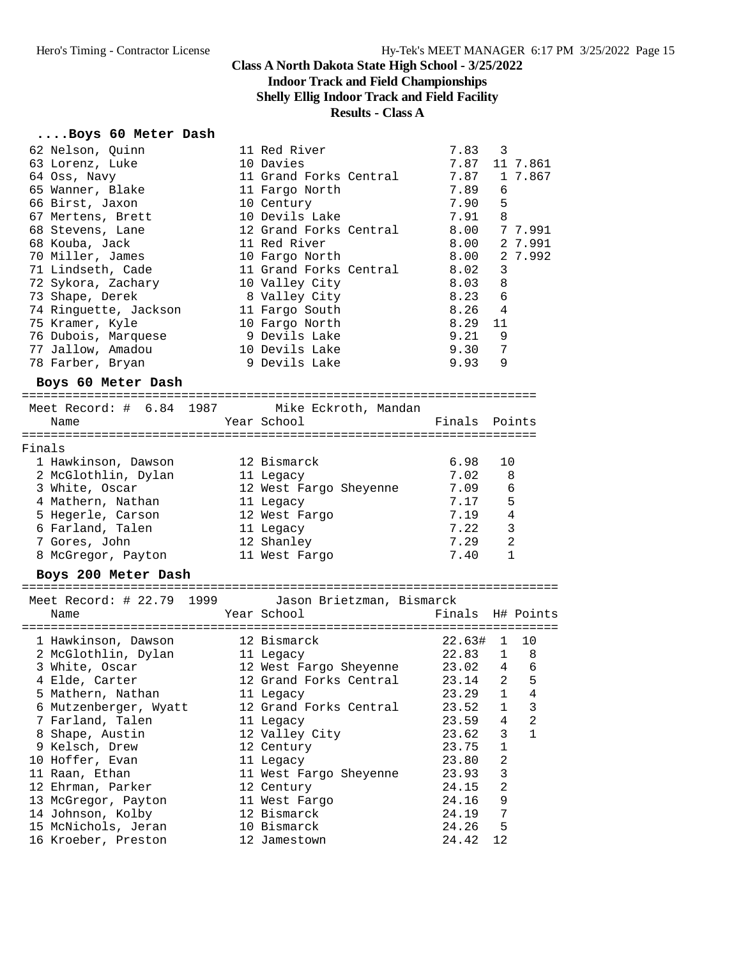#### **Class A North Dakota State High School - 3/25/2022 Indoor Track and Field Championships Shelly Ellig Indoor Track and Field Facility**

#### **Results - Class A**

## **....Boys 60 Meter Dash**

| 62 Nelson, Quinn<br>63 Lorenz, Luke<br>64 Oss, Navy<br>65 Wanner, Blake<br>66 Birst, Jaxon<br>67 Mertens, Brett<br>68 Stevens, Lane<br>68 Kouba, Jack<br>70 Miller, James<br>71 Lindseth, Cade<br>72 Sykora, Zachary<br>73 Shape, Derek<br>74 Ringuette, Jackson<br>75 Kramer, Kyle<br>76 Dubois, Marquese<br>77 Jallow, Amadou<br>78 Farber, Bryan<br>Boys 60 Meter Dash | 11 Red River<br>10 Davies<br>11 Grand Forks Central<br>11 Fargo North<br>10 Century<br>10 Devils Lake<br>12 Grand Forks Central<br>11 Red River<br>10 Fargo North<br>11 Grand Forks Central<br>10 Valley City<br>8 Valley City<br>11 Fargo South<br>10 Fargo North<br>9 Devils Lake<br>10 Devils Lake<br>9 Devils Lake | 7.83<br>7.87<br>7.89<br>7.90<br>7.91<br>8.00<br>8.00<br>8.02<br>8.03<br>8.23<br>$8.26$ 4<br>8.29<br>9.21<br>9.30<br>9.93 | $\overline{\phantom{a}}$<br>11 7.861<br>7.87 1 7.867<br>6<br>5<br>- 8<br>8.00 7 7.991<br>2 7.991<br>2 7.992<br>3<br>8<br>6<br>11<br>- 9<br>7<br>9 |
|---------------------------------------------------------------------------------------------------------------------------------------------------------------------------------------------------------------------------------------------------------------------------------------------------------------------------------------------------------------------------|------------------------------------------------------------------------------------------------------------------------------------------------------------------------------------------------------------------------------------------------------------------------------------------------------------------------|--------------------------------------------------------------------------------------------------------------------------|---------------------------------------------------------------------------------------------------------------------------------------------------|
| Meet Record: # 6.84 1987 Mike Eckroth, Mandan                                                                                                                                                                                                                                                                                                                             |                                                                                                                                                                                                                                                                                                                        |                                                                                                                          |                                                                                                                                                   |
| Name                                                                                                                                                                                                                                                                                                                                                                      | Year School                                                                                                                                                                                                                                                                                                            | Finals Points                                                                                                            |                                                                                                                                                   |
|                                                                                                                                                                                                                                                                                                                                                                           |                                                                                                                                                                                                                                                                                                                        |                                                                                                                          |                                                                                                                                                   |
| Finals<br>1 Hawkinson, Dawson                                                                                                                                                                                                                                                                                                                                             | 12 Bismarck                                                                                                                                                                                                                                                                                                            | 6.98                                                                                                                     | 10                                                                                                                                                |
| 2 McGlothlin, Dylan                                                                                                                                                                                                                                                                                                                                                       | 11 Legacy                                                                                                                                                                                                                                                                                                              | 7.02                                                                                                                     | 8                                                                                                                                                 |
| 3 White, Oscar                                                                                                                                                                                                                                                                                                                                                            | 12 West Fargo Sheyenne                                                                                                                                                                                                                                                                                                 | 7.09                                                                                                                     | 6                                                                                                                                                 |
| 4 Mathern, Nathan                                                                                                                                                                                                                                                                                                                                                         | 11 Legacy                                                                                                                                                                                                                                                                                                              | 7.17                                                                                                                     | 5                                                                                                                                                 |
| 5 Hegerle, Carson                                                                                                                                                                                                                                                                                                                                                         | 12 West Fargo                                                                                                                                                                                                                                                                                                          | 7.19                                                                                                                     | 4                                                                                                                                                 |
| 6 Farland, Talen                                                                                                                                                                                                                                                                                                                                                          | 11 Legacy                                                                                                                                                                                                                                                                                                              | 7.22                                                                                                                     | 3                                                                                                                                                 |
| 7 Gores, John                                                                                                                                                                                                                                                                                                                                                             | 12 Shanley                                                                                                                                                                                                                                                                                                             | 7.29                                                                                                                     | 2                                                                                                                                                 |
| 8 McGregor, Payton                                                                                                                                                                                                                                                                                                                                                        | 11 West Fargo                                                                                                                                                                                                                                                                                                          | 7.40                                                                                                                     | 1                                                                                                                                                 |
| Boys 200 Meter Dash                                                                                                                                                                                                                                                                                                                                                       |                                                                                                                                                                                                                                                                                                                        |                                                                                                                          |                                                                                                                                                   |
|                                                                                                                                                                                                                                                                                                                                                                           |                                                                                                                                                                                                                                                                                                                        |                                                                                                                          |                                                                                                                                                   |
| Meet Record: # 22.79 1999 Jason Brietzman, Bismarck                                                                                                                                                                                                                                                                                                                       |                                                                                                                                                                                                                                                                                                                        |                                                                                                                          |                                                                                                                                                   |
| Name                                                                                                                                                                                                                                                                                                                                                                      | Year School                                                                                                                                                                                                                                                                                                            |                                                                                                                          | Finals H# Points                                                                                                                                  |
| 1 Hawkinson, Dawson                                                                                                                                                                                                                                                                                                                                                       | 12 Bismarck                                                                                                                                                                                                                                                                                                            | 22.63# 1 10                                                                                                              |                                                                                                                                                   |
| 1 nami----<br>2 McGlothlin, Dylan                                                                                                                                                                                                                                                                                                                                         | 11 Legacy                                                                                                                                                                                                                                                                                                              | 22.83                                                                                                                    | $1 \quad 8$                                                                                                                                       |
| 3 White, Oscar                                                                                                                                                                                                                                                                                                                                                            | 12 West Fargo Sheyenne                                                                                                                                                                                                                                                                                                 | $23.02$ 4 6                                                                                                              |                                                                                                                                                   |
| 4 Elde, Carter                                                                                                                                                                                                                                                                                                                                                            | 12 Grand Forks Central                                                                                                                                                                                                                                                                                                 | 23.14 2                                                                                                                  | $\overline{5}$                                                                                                                                    |
| 5 Mathern, Nathan                                                                                                                                                                                                                                                                                                                                                         | 11 Legacy                                                                                                                                                                                                                                                                                                              | 23.29                                                                                                                    | 1<br>4                                                                                                                                            |
| 6 Mutzenberger, Wyatt                                                                                                                                                                                                                                                                                                                                                     | 12 Grand Forks Central                                                                                                                                                                                                                                                                                                 | 23.52                                                                                                                    | 1<br>3                                                                                                                                            |
| 7 Farland, Talen                                                                                                                                                                                                                                                                                                                                                          | 11 Legacy                                                                                                                                                                                                                                                                                                              | 23.59                                                                                                                    | $\overline{2}$<br>4                                                                                                                               |
| 8 Shape, Austin                                                                                                                                                                                                                                                                                                                                                           | 12 Valley City                                                                                                                                                                                                                                                                                                         | 23.62                                                                                                                    | 3<br>1                                                                                                                                            |
| 9 Kelsch, Drew                                                                                                                                                                                                                                                                                                                                                            | 12 Century                                                                                                                                                                                                                                                                                                             | 23.75                                                                                                                    | $\mathbf{1}$                                                                                                                                      |
| 10 Hoffer, Evan                                                                                                                                                                                                                                                                                                                                                           | 11 Legacy                                                                                                                                                                                                                                                                                                              | 23.80                                                                                                                    | 2                                                                                                                                                 |
| 11 Raan, Ethan                                                                                                                                                                                                                                                                                                                                                            | 11 West Fargo Sheyenne                                                                                                                                                                                                                                                                                                 | 23.93                                                                                                                    | 3                                                                                                                                                 |
| 12 Ehrman, Parker                                                                                                                                                                                                                                                                                                                                                         | 12 Century                                                                                                                                                                                                                                                                                                             | 24.15                                                                                                                    | 2                                                                                                                                                 |
| 13 McGregor, Payton                                                                                                                                                                                                                                                                                                                                                       | 11 West Fargo                                                                                                                                                                                                                                                                                                          | 24.16                                                                                                                    | 9                                                                                                                                                 |
| 14 Johnson, Kolby                                                                                                                                                                                                                                                                                                                                                         | 12 Bismarck                                                                                                                                                                                                                                                                                                            | 24.19                                                                                                                    | 7                                                                                                                                                 |
| 15 McNichols, Jeran<br>16 Kroeber, Preston                                                                                                                                                                                                                                                                                                                                | 10 Bismarck<br>12 Jamestown                                                                                                                                                                                                                                                                                            | 24.26<br>24.42                                                                                                           | 5<br>12                                                                                                                                           |
|                                                                                                                                                                                                                                                                                                                                                                           |                                                                                                                                                                                                                                                                                                                        |                                                                                                                          |                                                                                                                                                   |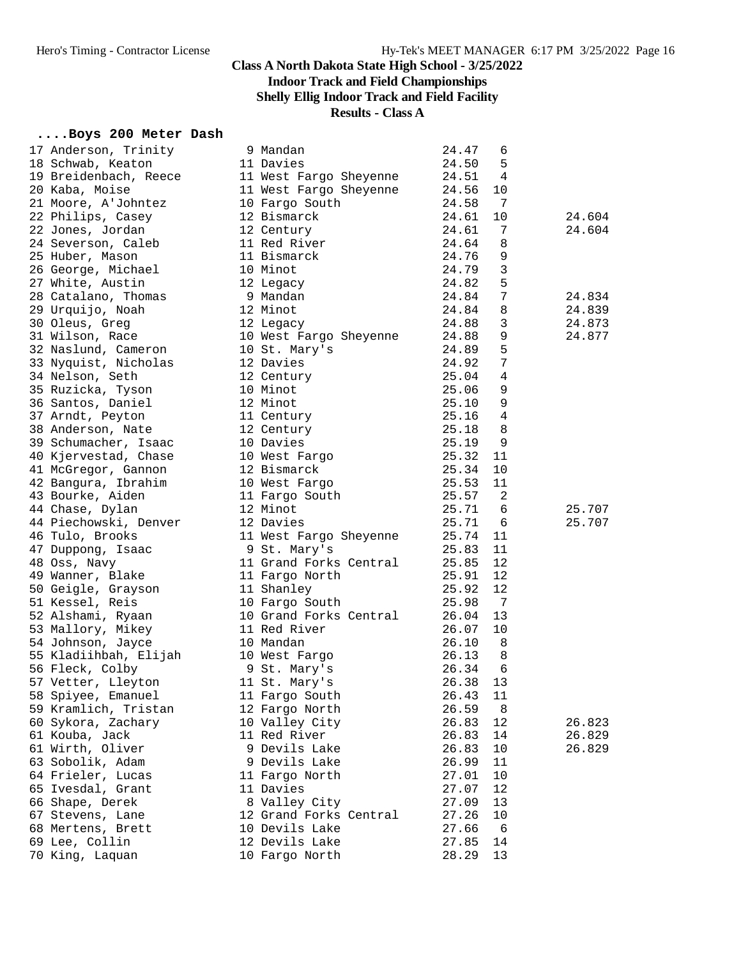#### **Class A North Dakota State High School - 3/25/2022 Indoor Track and Field Championships Shelly Ellig Indoor Track and Field Facility**

## **Results - Class A**

## **....Boys 200 Meter Dash**

| 17 Anderson, Trinity                   | 9 Mandan                                                 | 24.47          | 6               |        |
|----------------------------------------|----------------------------------------------------------|----------------|-----------------|--------|
| 18 Schwab, Keaton                      | 11 Davies                                                | 24.50          | 5               |        |
| 19 Breidenbach, Reece                  | 11 West Fargo Sheyenne                                   | 24.51          | 4               |        |
| 20 Kaba, Moise                         | 11 West Fargo Sheyenne                                   | 24.56          | 10              |        |
| 21 Moore, A'Johntez                    | 10 Fargo South                                           | 24.58          | 7               |        |
| 22 Philips, Casey                      | 12 Bismarck                                              | 24.61          | 10              | 24.604 |
| 22 Jones, Jordan                       | 12 Century                                               | 24.61          | 7               | 24.604 |
| 24 Severson, Caleb                     | 11 Red River                                             | 24.64          | 8               |        |
| 25 Huber, Mason                        | 11 Bismarck                                              | 24.76          | 9               |        |
| 26 George, Michael                     | 10 Minot                                                 | 24.79          | 3               |        |
| 27 White, Austin                       | 12 Legacy                                                | 24.82          | 5               |        |
| 28 Catalano, Thomas                    | $9$ Mandan                                               | 24.84          | $7\phantom{.0}$ | 24.834 |
| 29 Urquijo, Noah                       | 12 Minot<br>12 Legacy<br>10 West Fargo Sheyenne          | 24.84          | 8               | 24.839 |
| 30 Oleus, Greg                         |                                                          | 24.88          | $\overline{3}$  | 24.873 |
| 31 Wilson, Race                        |                                                          | 24.88          | 9               | 24.877 |
| 32 Naslund, Cameron 10 St. Mary's      |                                                          | 24.89          | 5               |        |
| 33 Nyquist, Nicholas                   | 12 Davies                                                | 24.92          | $7\phantom{.0}$ |        |
| 34 Nelson, Seth                        |                                                          | 25.04          | $\overline{4}$  |        |
|                                        | 12 Century<br>10 Minot                                   | 25.06          | 9               |        |
| 35 Ruzicka, Tyson<br>36 Santos, Daniel | 12 Minot                                                 | 25.10          | 9               |        |
| 37 Arndt, Peyton                       | 11 Century                                               | 25.16          | 4               |        |
| 38 Anderson, Nate                      | 12 Century                                               | 25.18          | 8               |        |
| 39 Schumacher, Isaac                   | 10 Davies                                                | 25.19          | 9               |        |
| 40 Kjervestad, Chase                   |                                                          | 25.32          | 11              |        |
| 41 McGregor, Gannon                    | 10 West Fargo<br>12 Bismarck<br>10 West Fargo            | 25.34          | 10              |        |
| 42 Bangura, Ibrahim                    |                                                          | 25.53          | 11              |        |
| 43 Bourke, Aiden                       | 11 Fargo South                                           | 25.57          | -2              |        |
|                                        | 12 Minot                                                 |                | 6               |        |
| 44 Chase, Dylan                        | 12 Davies                                                | 25.71<br>25.71 | 6               | 25.707 |
| 44 Piechowski, Denver                  |                                                          |                | 11              | 25.707 |
| 46 Tulo, Brooks                        | 11 West Fargo Sheyenne<br>9 St. Mary's                   | 25.74          |                 |        |
| 47 Duppong, Isaac                      |                                                          | 25.83          | 11              |        |
| 48 Oss, Navy                           | 11 Grand Forks Central                                   | 25.85          | 12              |        |
| 49 Wanner, Blake                       | 11 Fargo North                                           | 25.91          | 12              |        |
| 50 Geigle, Grayson                     | 11 Shanley                                               | 25.92          | 12              |        |
| 51 Kessel, Reis                        | 10 Fargo South                                           | 25.98          | $\overline{7}$  |        |
| 52 Alshami, Ryaan                      |                                                          | 26.04          | 13              |        |
| 53 Mallory, Mikey                      | 10 Fargo South<br>10 Grand Forks Central<br>11 Red River | 26.07          | 10              |        |
| 54 Johnson, Jayce                      | 10 Mandan                                                | 26.10          | 8               |        |
| 55 Kladiihbah, Elijah 10 West Fargo    |                                                          | 26.13          | 8               |        |
| 56 Fleck, Colby                        | 9 St. Mary's                                             | 26.34          | 6               |        |
| 57 Vetter, Lleyton                     | 11 St. Mary's                                            | 26.38          | 13              |        |
| 58 Spiyee, Emanuel                     | 11 Fargo South                                           | 26.43          | 11              |        |
| 59 Kramlich, Tristan                   | 12 Fargo North                                           | 26.59          | 8               |        |
| 60 Sykora, Zachary                     | 10 Valley City                                           | 26.83          | 12              | 26.823 |
| 61 Kouba, Jack                         | 11 Red River                                             | 26.83          | 14              | 26.829 |
| 61 Wirth, Oliver                       | 9 Devils Lake                                            | 26.83          | 10              | 26.829 |
| 63 Sobolik, Adam                       | 9 Devils Lake                                            | 26.99          | 11              |        |
| 64 Frieler, Lucas                      | 11 Fargo North                                           | 27.01          | 10              |        |
| 65 Ivesdal, Grant                      | 11 Davies                                                | 27.07          | 12              |        |
| 66 Shape, Derek                        | 8 Valley City                                            | 27.09          | 13              |        |
| 67 Stevens, Lane                       | 12 Grand Forks Central                                   | 27.26          | 10              |        |
| 68 Mertens, Brett                      | 10 Devils Lake                                           | 27.66          | - 6             |        |
| 69 Lee, Collin                         | 12 Devils Lake                                           | 27.85          | 14              |        |
| 70 King, Laquan                        | 10 Fargo North                                           | 28.29          | 13              |        |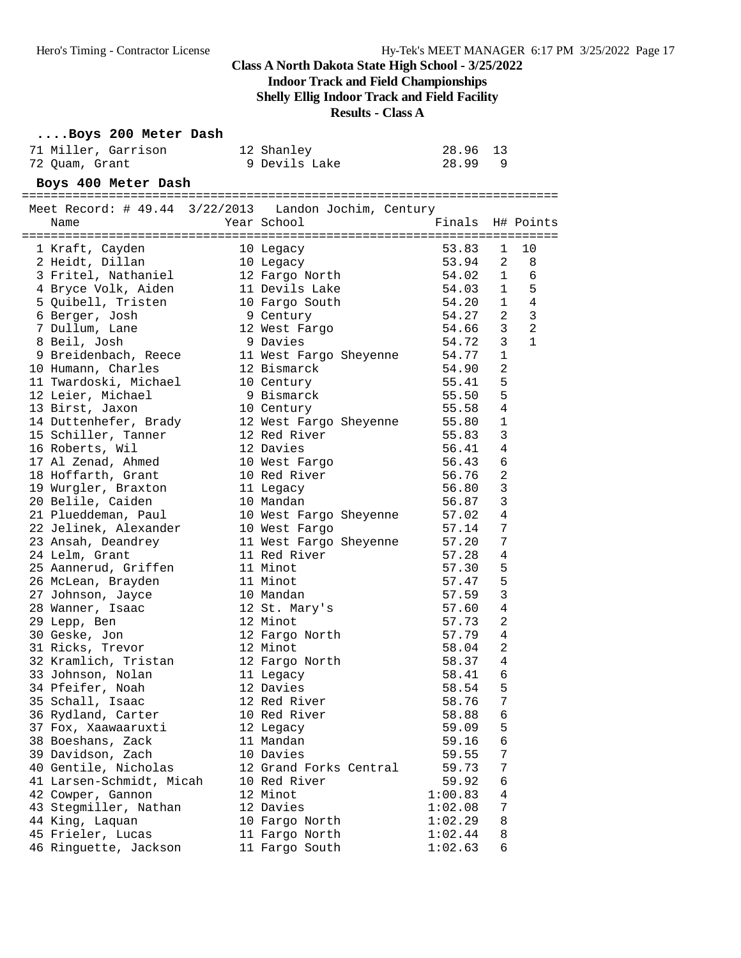**Indoor Track and Field Championships**

**Shelly Ellig Indoor Track and Field Facility**

**Results - Class A**

#### **....Boys 200 Meter Dash**

| 71 Miller, Garrison | 12 Shanley    | 28.96 13 |
|---------------------|---------------|----------|
| 72 Ouam, Grant      | 9 Devils Lake | 28.99    |

#### **Boys 400 Meter Dash**

| Meet Record: # 49.44 3/22/2013 Landon Jochim, Century                                                           |                              |           |                |                |
|-----------------------------------------------------------------------------------------------------------------|------------------------------|-----------|----------------|----------------|
| Name                                                                                                            | Year School                  | Finals    |                | H# Points      |
|                                                                                                                 |                              |           |                |                |
| 1 Kraft, Cayden<br>1 Kraft, Cayden 10 Legacy<br>2 Heidt, Dillan 10 Legacy<br>3 Fritel, Nathaniel 12 Fargo North |                              | 53.83     | $\mathbf{1}$   | 10             |
|                                                                                                                 |                              | 53.94     | 2              | 8              |
|                                                                                                                 |                              | $54.02$ 1 |                | 6              |
| 4 Bryce Volk, Aiden 11 Devils Lake                                                                              |                              | 54.03 1   |                | 5              |
| 5 Quibell, Tristen                                                                                              | 10 Fargo South               | 54.20     |                | $1 \quad 4$    |
| 6 Berger, Josh                                                                                                  | 9 Century                    | 54.27     | 2              | $\mathbf{3}$   |
| 7 Dullum, Lane                                                                                                  | 12 West Fargo                | 54.66     | $\mathbf{3}$   | $\overline{a}$ |
| 8 Beil, Josh                                                                                                    | 9 Davies                     | 54.72     | 3              | $\mathbf{1}$   |
|                                                                                                                 |                              |           | 1              |                |
| 10 Humann, Charles                                                                                              | 12 Bismarck                  | 54.90     | $\overline{2}$ |                |
| 11 Twardoski, Michael                                                                                           | 10 Century                   | 55.41     | 5              |                |
| 12 Leier, Michael                                                                                               | 9 Bismarck                   | 55.50     | 5              |                |
| 13 Birst, Jaxon                                                                                                 | 10 Century                   | 55.58     | $\overline{4}$ |                |
| 14 Duttenhefer, Brady                                                                                           | 12 West Fargo Sheyenne       | 55.80     | $\mathbf{1}$   |                |
| 15 Schiller, Tanner                                                                                             | 12 Red River                 | 55.83     | $\overline{3}$ |                |
| 16 Roberts, Wil                                                                                                 | 12 Davies                    | 56.41     | 4              |                |
| 17 Al Zenad, Ahmed                                                                                              | 10 West Fargo                | 56.43     | 6              |                |
| 18 Hoffarth, Grant                                                                                              | 10 Red River                 | 56.76     | 2              |                |
| 19 Wurgler, Braxton                                                                                             | 11 Legacy                    | 56.80     | $\mathbf{3}$   |                |
| 20 Belile, Caiden                                                                                               | 10 Mandan                    | 56.87     | $\mathsf 3$    |                |
| 21 Plueddeman, Paul                                                                                             | 10 West Fargo Sheyenne       | 57.02     | $\overline{4}$ |                |
| 22 Jelinek, Alexander                                                                                           | 10 West Fargo                | 57.14     | 7              |                |
| 23 Ansah, Deandrey                                                                                              | 11 West Fargo Sheyenne 57.20 |           | 7              |                |
| 24 Lelm, Grant                                                                                                  | 11 Red River                 | 57.28     | 4              |                |
| 25 Aannerud, Griffen                                                                                            | 11 Minot                     | 57.30     | 5              |                |
| 26 McLean, Brayden                                                                                              | 11 Minot                     | 57.47     | 5              |                |
| 27 Johnson, Jayce                                                                                               | 10 Mandan                    | 57.59     | 3              |                |
| 28 Wanner, Isaac                                                                                                | 12 St. Mary's                | 57.60     | 4              |                |
| 29 Lepp, Ben                                                                                                    | 12 Minot                     | 57.73     | $\overline{2}$ |                |
| 30 Geske, Jon                                                                                                   | 12 Fargo North               | 57.79     | 4              |                |
| 31 Ricks, Trevor                                                                                                | 12 Minot                     | 58.04     | $\overline{2}$ |                |
| 32 Kramlich, Tristan                                                                                            | 12 Fargo North               | 58.37     | $\overline{4}$ |                |
| 33 Johnson, Nolan                                                                                               | 11 Legacy                    | 58.41     | 6              |                |
| 34 Pfeifer, Noah                                                                                                | 12 Davies                    | 58.54     | 5              |                |
| 35 Schall, Isaac                                                                                                | 12 Red River                 | 58.76     | 7              |                |
| 36 Rydland, Carter                                                                                              | 10 Red River                 | 58.88     | $\epsilon$     |                |
| 37 Fox, Xaawaaruxti                                                                                             | 12 Legacy                    | 59.09     | 5              |                |
| 38 Boeshans, Zack                                                                                               | 11 Mandan                    | 59.16     | 6              |                |
| 39 Davidson, Zach                                                                                               | 10 Davies                    | 59.55     | 7              |                |
| 40 Gentile, Nicholas                                                                                            | 12 Grand Forks Central       | 59.73     | 7              |                |
| 41 Larsen-Schmidt, Micah                                                                                        | 10 Red River                 | 59.92     | 6              |                |
| 42 Cowper, Gannon                                                                                               | 12 Minot                     | 1:00.83   | 4              |                |
| 43 Stegmiller, Nathan                                                                                           | 12 Davies                    | 1:02.08   | 7              |                |
| 44 King, Laquan                                                                                                 | 10 Fargo North               | 1:02.29   | 8              |                |
| 45 Frieler, Lucas                                                                                               | 11 Fargo North               | 1:02.44   | 8              |                |
| 46 Ringuette, Jackson                                                                                           | 11 Fargo South               | 1:02.63   | 6              |                |
|                                                                                                                 |                              |           |                |                |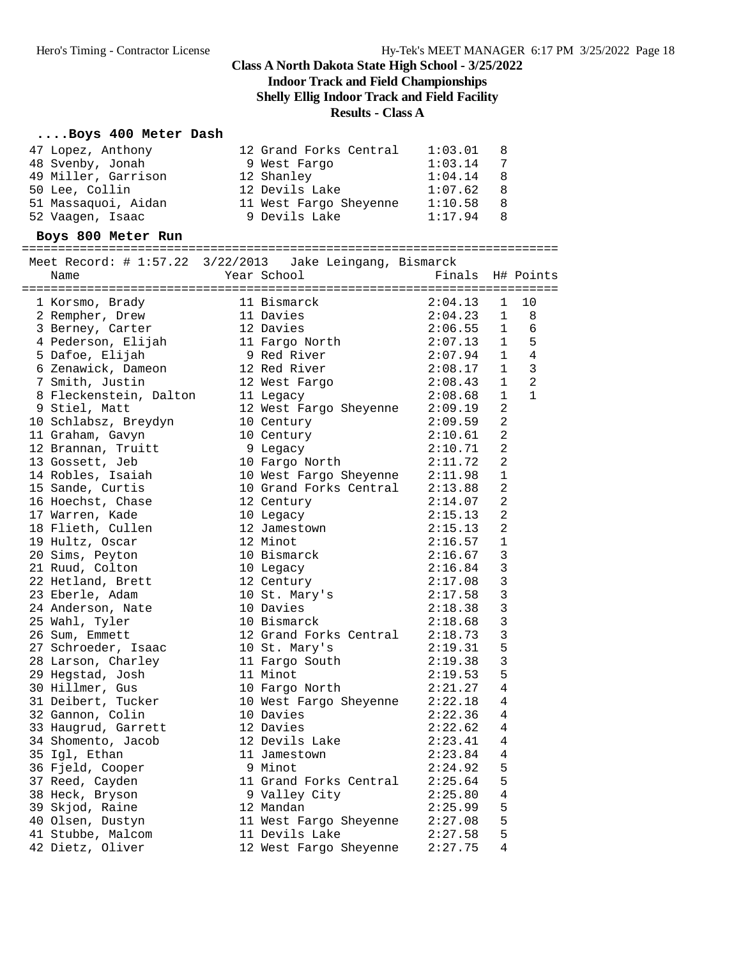#### **Class A North Dakota State High School - 3/25/2022 Indoor Track and Field Championships Shelly Ellig Indoor Track and Field Facility**

## **Results - Class A**

#### **....Boys 400 Meter Dash**

| 50 Lee, Collin<br>12 Devils Lake<br>1:07.62<br>8<br>51 Massaquoi, Aidan 11 West Fargo Sheyenne 1:10.58<br>8<br>9 Devils Lake<br>8<br>52 Vaagen, Isaac<br>1:17.94<br>Boys 800 Meter Run<br>Meet Record: # 1:57.22 3/22/2013 Jake Leingang, Bismarck<br>Year School<br>Finals H# Points<br>Name<br>2:04.13<br>11 Bismarck<br>11 Davies<br>$\mathbf{1}$<br>10<br>1 Korsmo, Brady<br>2:04.23<br>2 Rempher, Drew<br>$\mathbf{1}$<br>$\overline{\phantom{1}}$ 8<br>3 Berney, Carter<br>12 Davies<br>2:06.55<br>$\mathbf{1}$<br>6<br>5<br>4 Pederson, Elijah<br>11 Fargo North 2:07.13<br>$\mathbf{1}$<br>$1 \quad 4$<br>9 Red River<br>5 Dafoe, Elijah<br>2:07.94<br>$\overline{3}$<br>12 Red River<br>6 Zenawick, Dameon<br>2:08.17<br>1<br>2<br>$\mathbf{1}$<br>7 Smith, Justin<br>2:08.43<br>12 West Fargo<br>8 Fleckenstein, Dalton<br>2:08.68<br>$\mathbf{1}$<br>$\mathbf{1}$<br>11 Legacy<br>12 West Fargo Sheyenne 2:09.19<br>2<br>9 Stiel, Matt<br>$\overline{a}$<br>10 Schlabsz, Breydyn<br>2:09.59<br>10 Century<br>$\overline{2}$<br>11 Graham, Gavyn<br>10 Century<br>2:10.61<br>$\overline{2}$<br>12 Brannan, Truitt<br>9 Legacy<br>2:10.71<br>2<br>2:11.72<br>13 Gossett, Jeb<br>10 Fargo North<br>10 West Fargo Sheyenne 2:11.98<br>14 Robles, Isaiah<br>1<br>10 Grand Forks Central 2:13.88<br>2<br>15 Sande, Curtis<br>16 Hoechst, Chase<br>2<br>12 Century<br>2:14.07<br>2<br>17 Warren, Kade<br>10 Legacy<br>2:15.13<br>$\overline{2}$<br>18 Flieth, Cullen<br>12 Jamestown<br>2:15.13<br>12 Minot<br>$\mathbf{1}$<br>19 Hultz, Oscar<br>2:16.57<br>3<br>20 Sims, Peyton<br>10 Bismarck<br>2:16.67<br>3<br>21 Ruud, Colton<br>2:16.84<br>10 Legacy<br>3<br>22 Hetland, Brett<br>12 Century<br>2:17.08<br>$\mathbf{3}$<br>23 Eberle, Adam<br>10 St. Mary's<br>2:17.58<br>$\mathbf{3}$<br>24 Anderson, Nate<br>10 Davies<br>2:18.38<br>$\mathbf{3}$<br>25 Wahl, Tyler<br>10 Bismarck<br>2:18.68<br>12 Grand Forks Central 2:18.73<br>$\mathsf 3$<br>26 Sum, Emmett<br>5<br>2:19.31<br>27 Schroeder, Isaac<br>10 St. Mary's<br>$\mathsf 3$<br>2:19.38<br>28 Larson, Charley<br>11 Fargo South<br>5<br>11 Minot<br>29 Hegstad, Josh<br>2:19.53<br>10 Fargo North<br>2:21.27 4<br>30 Hillmer, Gus<br>31 Deibert, Tucker<br>2:22.18<br>10 West Fargo Sheyenne<br>4<br>32 Gannon, Colin<br>10 Davies<br>2:22.36<br>4<br>12 Davies<br>33 Haugrud, Garrett<br>2:22.62<br>4<br>12 Devils Lake<br>34 Shomento, Jacob<br>2:23.41<br>4<br>35 Igl, Ethan<br>11 Jamestown<br>2:23.84<br>4<br>9 Minot<br>5<br>36 Fjeld, Cooper<br>2:24.92<br>5<br>37 Reed, Cayden<br>11 Grand Forks Central<br>2:25.64<br>38 Heck, Bryson<br>9 Valley City<br>2:25.80<br>4<br>39 Skjod, Raine<br>12 Mandan<br>5<br>2:25.99<br>5<br>40 Olsen, Dustyn<br>11 West Fargo Sheyenne<br>2:27.08<br>5<br>41 Stubbe, Malcom<br>11 Devils Lake<br>2:27.58<br>42 Dietz, Oliver<br>4<br>12 West Fargo Sheyenne | 47 Lopez, Anthony<br>48 Svenby, Jonah<br>49 Miller, Garrison | 12 Grand Forks Central<br>9 West Fargo<br>12 Shanley | 1:03.01<br>1:03.14<br>1:04.14 | 8<br>7<br>8 |  |
|---------------------------------------------------------------------------------------------------------------------------------------------------------------------------------------------------------------------------------------------------------------------------------------------------------------------------------------------------------------------------------------------------------------------------------------------------------------------------------------------------------------------------------------------------------------------------------------------------------------------------------------------------------------------------------------------------------------------------------------------------------------------------------------------------------------------------------------------------------------------------------------------------------------------------------------------------------------------------------------------------------------------------------------------------------------------------------------------------------------------------------------------------------------------------------------------------------------------------------------------------------------------------------------------------------------------------------------------------------------------------------------------------------------------------------------------------------------------------------------------------------------------------------------------------------------------------------------------------------------------------------------------------------------------------------------------------------------------------------------------------------------------------------------------------------------------------------------------------------------------------------------------------------------------------------------------------------------------------------------------------------------------------------------------------------------------------------------------------------------------------------------------------------------------------------------------------------------------------------------------------------------------------------------------------------------------------------------------------------------------------------------------------------------------------------------------------------------------------------------------------------------------------------------------------------------------------------------------------------------------------------------------------------------------------------------------------------------------------------------------------------------------------------------------------------------------------------------------------------------------------------|--------------------------------------------------------------|------------------------------------------------------|-------------------------------|-------------|--|
|                                                                                                                                                                                                                                                                                                                                                                                                                                                                                                                                                                                                                                                                                                                                                                                                                                                                                                                                                                                                                                                                                                                                                                                                                                                                                                                                                                                                                                                                                                                                                                                                                                                                                                                                                                                                                                                                                                                                                                                                                                                                                                                                                                                                                                                                                                                                                                                                                                                                                                                                                                                                                                                                                                                                                                                                                                                                                 |                                                              |                                                      |                               |             |  |
|                                                                                                                                                                                                                                                                                                                                                                                                                                                                                                                                                                                                                                                                                                                                                                                                                                                                                                                                                                                                                                                                                                                                                                                                                                                                                                                                                                                                                                                                                                                                                                                                                                                                                                                                                                                                                                                                                                                                                                                                                                                                                                                                                                                                                                                                                                                                                                                                                                                                                                                                                                                                                                                                                                                                                                                                                                                                                 |                                                              |                                                      |                               |             |  |
|                                                                                                                                                                                                                                                                                                                                                                                                                                                                                                                                                                                                                                                                                                                                                                                                                                                                                                                                                                                                                                                                                                                                                                                                                                                                                                                                                                                                                                                                                                                                                                                                                                                                                                                                                                                                                                                                                                                                                                                                                                                                                                                                                                                                                                                                                                                                                                                                                                                                                                                                                                                                                                                                                                                                                                                                                                                                                 |                                                              |                                                      |                               |             |  |
|                                                                                                                                                                                                                                                                                                                                                                                                                                                                                                                                                                                                                                                                                                                                                                                                                                                                                                                                                                                                                                                                                                                                                                                                                                                                                                                                                                                                                                                                                                                                                                                                                                                                                                                                                                                                                                                                                                                                                                                                                                                                                                                                                                                                                                                                                                                                                                                                                                                                                                                                                                                                                                                                                                                                                                                                                                                                                 |                                                              |                                                      |                               |             |  |
|                                                                                                                                                                                                                                                                                                                                                                                                                                                                                                                                                                                                                                                                                                                                                                                                                                                                                                                                                                                                                                                                                                                                                                                                                                                                                                                                                                                                                                                                                                                                                                                                                                                                                                                                                                                                                                                                                                                                                                                                                                                                                                                                                                                                                                                                                                                                                                                                                                                                                                                                                                                                                                                                                                                                                                                                                                                                                 |                                                              |                                                      |                               |             |  |
|                                                                                                                                                                                                                                                                                                                                                                                                                                                                                                                                                                                                                                                                                                                                                                                                                                                                                                                                                                                                                                                                                                                                                                                                                                                                                                                                                                                                                                                                                                                                                                                                                                                                                                                                                                                                                                                                                                                                                                                                                                                                                                                                                                                                                                                                                                                                                                                                                                                                                                                                                                                                                                                                                                                                                                                                                                                                                 |                                                              |                                                      |                               |             |  |
|                                                                                                                                                                                                                                                                                                                                                                                                                                                                                                                                                                                                                                                                                                                                                                                                                                                                                                                                                                                                                                                                                                                                                                                                                                                                                                                                                                                                                                                                                                                                                                                                                                                                                                                                                                                                                                                                                                                                                                                                                                                                                                                                                                                                                                                                                                                                                                                                                                                                                                                                                                                                                                                                                                                                                                                                                                                                                 |                                                              |                                                      |                               |             |  |
|                                                                                                                                                                                                                                                                                                                                                                                                                                                                                                                                                                                                                                                                                                                                                                                                                                                                                                                                                                                                                                                                                                                                                                                                                                                                                                                                                                                                                                                                                                                                                                                                                                                                                                                                                                                                                                                                                                                                                                                                                                                                                                                                                                                                                                                                                                                                                                                                                                                                                                                                                                                                                                                                                                                                                                                                                                                                                 |                                                              |                                                      |                               |             |  |
|                                                                                                                                                                                                                                                                                                                                                                                                                                                                                                                                                                                                                                                                                                                                                                                                                                                                                                                                                                                                                                                                                                                                                                                                                                                                                                                                                                                                                                                                                                                                                                                                                                                                                                                                                                                                                                                                                                                                                                                                                                                                                                                                                                                                                                                                                                                                                                                                                                                                                                                                                                                                                                                                                                                                                                                                                                                                                 |                                                              |                                                      |                               |             |  |
|                                                                                                                                                                                                                                                                                                                                                                                                                                                                                                                                                                                                                                                                                                                                                                                                                                                                                                                                                                                                                                                                                                                                                                                                                                                                                                                                                                                                                                                                                                                                                                                                                                                                                                                                                                                                                                                                                                                                                                                                                                                                                                                                                                                                                                                                                                                                                                                                                                                                                                                                                                                                                                                                                                                                                                                                                                                                                 |                                                              |                                                      |                               |             |  |
|                                                                                                                                                                                                                                                                                                                                                                                                                                                                                                                                                                                                                                                                                                                                                                                                                                                                                                                                                                                                                                                                                                                                                                                                                                                                                                                                                                                                                                                                                                                                                                                                                                                                                                                                                                                                                                                                                                                                                                                                                                                                                                                                                                                                                                                                                                                                                                                                                                                                                                                                                                                                                                                                                                                                                                                                                                                                                 |                                                              |                                                      |                               |             |  |
|                                                                                                                                                                                                                                                                                                                                                                                                                                                                                                                                                                                                                                                                                                                                                                                                                                                                                                                                                                                                                                                                                                                                                                                                                                                                                                                                                                                                                                                                                                                                                                                                                                                                                                                                                                                                                                                                                                                                                                                                                                                                                                                                                                                                                                                                                                                                                                                                                                                                                                                                                                                                                                                                                                                                                                                                                                                                                 |                                                              |                                                      |                               |             |  |
|                                                                                                                                                                                                                                                                                                                                                                                                                                                                                                                                                                                                                                                                                                                                                                                                                                                                                                                                                                                                                                                                                                                                                                                                                                                                                                                                                                                                                                                                                                                                                                                                                                                                                                                                                                                                                                                                                                                                                                                                                                                                                                                                                                                                                                                                                                                                                                                                                                                                                                                                                                                                                                                                                                                                                                                                                                                                                 |                                                              |                                                      |                               |             |  |
|                                                                                                                                                                                                                                                                                                                                                                                                                                                                                                                                                                                                                                                                                                                                                                                                                                                                                                                                                                                                                                                                                                                                                                                                                                                                                                                                                                                                                                                                                                                                                                                                                                                                                                                                                                                                                                                                                                                                                                                                                                                                                                                                                                                                                                                                                                                                                                                                                                                                                                                                                                                                                                                                                                                                                                                                                                                                                 |                                                              |                                                      |                               |             |  |
|                                                                                                                                                                                                                                                                                                                                                                                                                                                                                                                                                                                                                                                                                                                                                                                                                                                                                                                                                                                                                                                                                                                                                                                                                                                                                                                                                                                                                                                                                                                                                                                                                                                                                                                                                                                                                                                                                                                                                                                                                                                                                                                                                                                                                                                                                                                                                                                                                                                                                                                                                                                                                                                                                                                                                                                                                                                                                 |                                                              |                                                      |                               |             |  |
|                                                                                                                                                                                                                                                                                                                                                                                                                                                                                                                                                                                                                                                                                                                                                                                                                                                                                                                                                                                                                                                                                                                                                                                                                                                                                                                                                                                                                                                                                                                                                                                                                                                                                                                                                                                                                                                                                                                                                                                                                                                                                                                                                                                                                                                                                                                                                                                                                                                                                                                                                                                                                                                                                                                                                                                                                                                                                 |                                                              |                                                      |                               |             |  |
|                                                                                                                                                                                                                                                                                                                                                                                                                                                                                                                                                                                                                                                                                                                                                                                                                                                                                                                                                                                                                                                                                                                                                                                                                                                                                                                                                                                                                                                                                                                                                                                                                                                                                                                                                                                                                                                                                                                                                                                                                                                                                                                                                                                                                                                                                                                                                                                                                                                                                                                                                                                                                                                                                                                                                                                                                                                                                 |                                                              |                                                      |                               |             |  |
|                                                                                                                                                                                                                                                                                                                                                                                                                                                                                                                                                                                                                                                                                                                                                                                                                                                                                                                                                                                                                                                                                                                                                                                                                                                                                                                                                                                                                                                                                                                                                                                                                                                                                                                                                                                                                                                                                                                                                                                                                                                                                                                                                                                                                                                                                                                                                                                                                                                                                                                                                                                                                                                                                                                                                                                                                                                                                 |                                                              |                                                      |                               |             |  |
|                                                                                                                                                                                                                                                                                                                                                                                                                                                                                                                                                                                                                                                                                                                                                                                                                                                                                                                                                                                                                                                                                                                                                                                                                                                                                                                                                                                                                                                                                                                                                                                                                                                                                                                                                                                                                                                                                                                                                                                                                                                                                                                                                                                                                                                                                                                                                                                                                                                                                                                                                                                                                                                                                                                                                                                                                                                                                 |                                                              |                                                      |                               |             |  |
|                                                                                                                                                                                                                                                                                                                                                                                                                                                                                                                                                                                                                                                                                                                                                                                                                                                                                                                                                                                                                                                                                                                                                                                                                                                                                                                                                                                                                                                                                                                                                                                                                                                                                                                                                                                                                                                                                                                                                                                                                                                                                                                                                                                                                                                                                                                                                                                                                                                                                                                                                                                                                                                                                                                                                                                                                                                                                 |                                                              |                                                      |                               |             |  |
|                                                                                                                                                                                                                                                                                                                                                                                                                                                                                                                                                                                                                                                                                                                                                                                                                                                                                                                                                                                                                                                                                                                                                                                                                                                                                                                                                                                                                                                                                                                                                                                                                                                                                                                                                                                                                                                                                                                                                                                                                                                                                                                                                                                                                                                                                                                                                                                                                                                                                                                                                                                                                                                                                                                                                                                                                                                                                 |                                                              |                                                      |                               |             |  |
|                                                                                                                                                                                                                                                                                                                                                                                                                                                                                                                                                                                                                                                                                                                                                                                                                                                                                                                                                                                                                                                                                                                                                                                                                                                                                                                                                                                                                                                                                                                                                                                                                                                                                                                                                                                                                                                                                                                                                                                                                                                                                                                                                                                                                                                                                                                                                                                                                                                                                                                                                                                                                                                                                                                                                                                                                                                                                 |                                                              |                                                      |                               |             |  |
|                                                                                                                                                                                                                                                                                                                                                                                                                                                                                                                                                                                                                                                                                                                                                                                                                                                                                                                                                                                                                                                                                                                                                                                                                                                                                                                                                                                                                                                                                                                                                                                                                                                                                                                                                                                                                                                                                                                                                                                                                                                                                                                                                                                                                                                                                                                                                                                                                                                                                                                                                                                                                                                                                                                                                                                                                                                                                 |                                                              |                                                      |                               |             |  |
|                                                                                                                                                                                                                                                                                                                                                                                                                                                                                                                                                                                                                                                                                                                                                                                                                                                                                                                                                                                                                                                                                                                                                                                                                                                                                                                                                                                                                                                                                                                                                                                                                                                                                                                                                                                                                                                                                                                                                                                                                                                                                                                                                                                                                                                                                                                                                                                                                                                                                                                                                                                                                                                                                                                                                                                                                                                                                 |                                                              |                                                      |                               |             |  |
|                                                                                                                                                                                                                                                                                                                                                                                                                                                                                                                                                                                                                                                                                                                                                                                                                                                                                                                                                                                                                                                                                                                                                                                                                                                                                                                                                                                                                                                                                                                                                                                                                                                                                                                                                                                                                                                                                                                                                                                                                                                                                                                                                                                                                                                                                                                                                                                                                                                                                                                                                                                                                                                                                                                                                                                                                                                                                 |                                                              |                                                      |                               |             |  |
|                                                                                                                                                                                                                                                                                                                                                                                                                                                                                                                                                                                                                                                                                                                                                                                                                                                                                                                                                                                                                                                                                                                                                                                                                                                                                                                                                                                                                                                                                                                                                                                                                                                                                                                                                                                                                                                                                                                                                                                                                                                                                                                                                                                                                                                                                                                                                                                                                                                                                                                                                                                                                                                                                                                                                                                                                                                                                 |                                                              |                                                      |                               |             |  |
|                                                                                                                                                                                                                                                                                                                                                                                                                                                                                                                                                                                                                                                                                                                                                                                                                                                                                                                                                                                                                                                                                                                                                                                                                                                                                                                                                                                                                                                                                                                                                                                                                                                                                                                                                                                                                                                                                                                                                                                                                                                                                                                                                                                                                                                                                                                                                                                                                                                                                                                                                                                                                                                                                                                                                                                                                                                                                 |                                                              |                                                      |                               |             |  |
|                                                                                                                                                                                                                                                                                                                                                                                                                                                                                                                                                                                                                                                                                                                                                                                                                                                                                                                                                                                                                                                                                                                                                                                                                                                                                                                                                                                                                                                                                                                                                                                                                                                                                                                                                                                                                                                                                                                                                                                                                                                                                                                                                                                                                                                                                                                                                                                                                                                                                                                                                                                                                                                                                                                                                                                                                                                                                 |                                                              |                                                      |                               |             |  |
|                                                                                                                                                                                                                                                                                                                                                                                                                                                                                                                                                                                                                                                                                                                                                                                                                                                                                                                                                                                                                                                                                                                                                                                                                                                                                                                                                                                                                                                                                                                                                                                                                                                                                                                                                                                                                                                                                                                                                                                                                                                                                                                                                                                                                                                                                                                                                                                                                                                                                                                                                                                                                                                                                                                                                                                                                                                                                 |                                                              |                                                      |                               |             |  |
|                                                                                                                                                                                                                                                                                                                                                                                                                                                                                                                                                                                                                                                                                                                                                                                                                                                                                                                                                                                                                                                                                                                                                                                                                                                                                                                                                                                                                                                                                                                                                                                                                                                                                                                                                                                                                                                                                                                                                                                                                                                                                                                                                                                                                                                                                                                                                                                                                                                                                                                                                                                                                                                                                                                                                                                                                                                                                 |                                                              |                                                      |                               |             |  |
|                                                                                                                                                                                                                                                                                                                                                                                                                                                                                                                                                                                                                                                                                                                                                                                                                                                                                                                                                                                                                                                                                                                                                                                                                                                                                                                                                                                                                                                                                                                                                                                                                                                                                                                                                                                                                                                                                                                                                                                                                                                                                                                                                                                                                                                                                                                                                                                                                                                                                                                                                                                                                                                                                                                                                                                                                                                                                 |                                                              |                                                      |                               |             |  |
|                                                                                                                                                                                                                                                                                                                                                                                                                                                                                                                                                                                                                                                                                                                                                                                                                                                                                                                                                                                                                                                                                                                                                                                                                                                                                                                                                                                                                                                                                                                                                                                                                                                                                                                                                                                                                                                                                                                                                                                                                                                                                                                                                                                                                                                                                                                                                                                                                                                                                                                                                                                                                                                                                                                                                                                                                                                                                 |                                                              |                                                      |                               |             |  |
|                                                                                                                                                                                                                                                                                                                                                                                                                                                                                                                                                                                                                                                                                                                                                                                                                                                                                                                                                                                                                                                                                                                                                                                                                                                                                                                                                                                                                                                                                                                                                                                                                                                                                                                                                                                                                                                                                                                                                                                                                                                                                                                                                                                                                                                                                                                                                                                                                                                                                                                                                                                                                                                                                                                                                                                                                                                                                 |                                                              |                                                      |                               |             |  |
|                                                                                                                                                                                                                                                                                                                                                                                                                                                                                                                                                                                                                                                                                                                                                                                                                                                                                                                                                                                                                                                                                                                                                                                                                                                                                                                                                                                                                                                                                                                                                                                                                                                                                                                                                                                                                                                                                                                                                                                                                                                                                                                                                                                                                                                                                                                                                                                                                                                                                                                                                                                                                                                                                                                                                                                                                                                                                 |                                                              |                                                      |                               |             |  |
|                                                                                                                                                                                                                                                                                                                                                                                                                                                                                                                                                                                                                                                                                                                                                                                                                                                                                                                                                                                                                                                                                                                                                                                                                                                                                                                                                                                                                                                                                                                                                                                                                                                                                                                                                                                                                                                                                                                                                                                                                                                                                                                                                                                                                                                                                                                                                                                                                                                                                                                                                                                                                                                                                                                                                                                                                                                                                 |                                                              |                                                      |                               |             |  |
|                                                                                                                                                                                                                                                                                                                                                                                                                                                                                                                                                                                                                                                                                                                                                                                                                                                                                                                                                                                                                                                                                                                                                                                                                                                                                                                                                                                                                                                                                                                                                                                                                                                                                                                                                                                                                                                                                                                                                                                                                                                                                                                                                                                                                                                                                                                                                                                                                                                                                                                                                                                                                                                                                                                                                                                                                                                                                 |                                                              |                                                      |                               |             |  |
|                                                                                                                                                                                                                                                                                                                                                                                                                                                                                                                                                                                                                                                                                                                                                                                                                                                                                                                                                                                                                                                                                                                                                                                                                                                                                                                                                                                                                                                                                                                                                                                                                                                                                                                                                                                                                                                                                                                                                                                                                                                                                                                                                                                                                                                                                                                                                                                                                                                                                                                                                                                                                                                                                                                                                                                                                                                                                 |                                                              |                                                      |                               |             |  |
|                                                                                                                                                                                                                                                                                                                                                                                                                                                                                                                                                                                                                                                                                                                                                                                                                                                                                                                                                                                                                                                                                                                                                                                                                                                                                                                                                                                                                                                                                                                                                                                                                                                                                                                                                                                                                                                                                                                                                                                                                                                                                                                                                                                                                                                                                                                                                                                                                                                                                                                                                                                                                                                                                                                                                                                                                                                                                 |                                                              |                                                      |                               |             |  |
|                                                                                                                                                                                                                                                                                                                                                                                                                                                                                                                                                                                                                                                                                                                                                                                                                                                                                                                                                                                                                                                                                                                                                                                                                                                                                                                                                                                                                                                                                                                                                                                                                                                                                                                                                                                                                                                                                                                                                                                                                                                                                                                                                                                                                                                                                                                                                                                                                                                                                                                                                                                                                                                                                                                                                                                                                                                                                 |                                                              |                                                      |                               |             |  |
|                                                                                                                                                                                                                                                                                                                                                                                                                                                                                                                                                                                                                                                                                                                                                                                                                                                                                                                                                                                                                                                                                                                                                                                                                                                                                                                                                                                                                                                                                                                                                                                                                                                                                                                                                                                                                                                                                                                                                                                                                                                                                                                                                                                                                                                                                                                                                                                                                                                                                                                                                                                                                                                                                                                                                                                                                                                                                 |                                                              |                                                      |                               |             |  |
|                                                                                                                                                                                                                                                                                                                                                                                                                                                                                                                                                                                                                                                                                                                                                                                                                                                                                                                                                                                                                                                                                                                                                                                                                                                                                                                                                                                                                                                                                                                                                                                                                                                                                                                                                                                                                                                                                                                                                                                                                                                                                                                                                                                                                                                                                                                                                                                                                                                                                                                                                                                                                                                                                                                                                                                                                                                                                 |                                                              |                                                      |                               |             |  |
|                                                                                                                                                                                                                                                                                                                                                                                                                                                                                                                                                                                                                                                                                                                                                                                                                                                                                                                                                                                                                                                                                                                                                                                                                                                                                                                                                                                                                                                                                                                                                                                                                                                                                                                                                                                                                                                                                                                                                                                                                                                                                                                                                                                                                                                                                                                                                                                                                                                                                                                                                                                                                                                                                                                                                                                                                                                                                 |                                                              |                                                      |                               |             |  |
|                                                                                                                                                                                                                                                                                                                                                                                                                                                                                                                                                                                                                                                                                                                                                                                                                                                                                                                                                                                                                                                                                                                                                                                                                                                                                                                                                                                                                                                                                                                                                                                                                                                                                                                                                                                                                                                                                                                                                                                                                                                                                                                                                                                                                                                                                                                                                                                                                                                                                                                                                                                                                                                                                                                                                                                                                                                                                 |                                                              |                                                      |                               |             |  |
|                                                                                                                                                                                                                                                                                                                                                                                                                                                                                                                                                                                                                                                                                                                                                                                                                                                                                                                                                                                                                                                                                                                                                                                                                                                                                                                                                                                                                                                                                                                                                                                                                                                                                                                                                                                                                                                                                                                                                                                                                                                                                                                                                                                                                                                                                                                                                                                                                                                                                                                                                                                                                                                                                                                                                                                                                                                                                 |                                                              |                                                      |                               |             |  |
|                                                                                                                                                                                                                                                                                                                                                                                                                                                                                                                                                                                                                                                                                                                                                                                                                                                                                                                                                                                                                                                                                                                                                                                                                                                                                                                                                                                                                                                                                                                                                                                                                                                                                                                                                                                                                                                                                                                                                                                                                                                                                                                                                                                                                                                                                                                                                                                                                                                                                                                                                                                                                                                                                                                                                                                                                                                                                 |                                                              |                                                      |                               |             |  |
|                                                                                                                                                                                                                                                                                                                                                                                                                                                                                                                                                                                                                                                                                                                                                                                                                                                                                                                                                                                                                                                                                                                                                                                                                                                                                                                                                                                                                                                                                                                                                                                                                                                                                                                                                                                                                                                                                                                                                                                                                                                                                                                                                                                                                                                                                                                                                                                                                                                                                                                                                                                                                                                                                                                                                                                                                                                                                 |                                                              |                                                      |                               |             |  |
|                                                                                                                                                                                                                                                                                                                                                                                                                                                                                                                                                                                                                                                                                                                                                                                                                                                                                                                                                                                                                                                                                                                                                                                                                                                                                                                                                                                                                                                                                                                                                                                                                                                                                                                                                                                                                                                                                                                                                                                                                                                                                                                                                                                                                                                                                                                                                                                                                                                                                                                                                                                                                                                                                                                                                                                                                                                                                 |                                                              |                                                      |                               |             |  |
|                                                                                                                                                                                                                                                                                                                                                                                                                                                                                                                                                                                                                                                                                                                                                                                                                                                                                                                                                                                                                                                                                                                                                                                                                                                                                                                                                                                                                                                                                                                                                                                                                                                                                                                                                                                                                                                                                                                                                                                                                                                                                                                                                                                                                                                                                                                                                                                                                                                                                                                                                                                                                                                                                                                                                                                                                                                                                 |                                                              |                                                      |                               |             |  |
|                                                                                                                                                                                                                                                                                                                                                                                                                                                                                                                                                                                                                                                                                                                                                                                                                                                                                                                                                                                                                                                                                                                                                                                                                                                                                                                                                                                                                                                                                                                                                                                                                                                                                                                                                                                                                                                                                                                                                                                                                                                                                                                                                                                                                                                                                                                                                                                                                                                                                                                                                                                                                                                                                                                                                                                                                                                                                 |                                                              |                                                      |                               |             |  |
|                                                                                                                                                                                                                                                                                                                                                                                                                                                                                                                                                                                                                                                                                                                                                                                                                                                                                                                                                                                                                                                                                                                                                                                                                                                                                                                                                                                                                                                                                                                                                                                                                                                                                                                                                                                                                                                                                                                                                                                                                                                                                                                                                                                                                                                                                                                                                                                                                                                                                                                                                                                                                                                                                                                                                                                                                                                                                 |                                                              |                                                      |                               |             |  |
|                                                                                                                                                                                                                                                                                                                                                                                                                                                                                                                                                                                                                                                                                                                                                                                                                                                                                                                                                                                                                                                                                                                                                                                                                                                                                                                                                                                                                                                                                                                                                                                                                                                                                                                                                                                                                                                                                                                                                                                                                                                                                                                                                                                                                                                                                                                                                                                                                                                                                                                                                                                                                                                                                                                                                                                                                                                                                 |                                                              |                                                      | 2:27.75                       |             |  |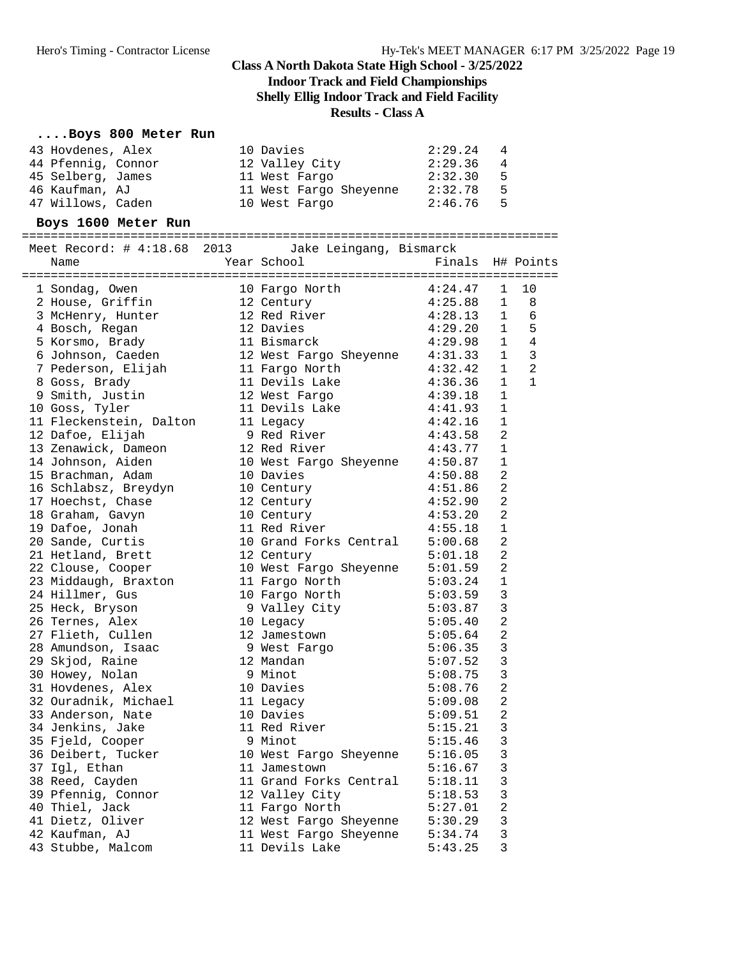**Indoor Track and Field Championships**

**Shelly Ellig Indoor Track and Field Facility**

#### **Results - Class A**

#### **....Boys 800 Meter Run**

| 43 Hovdenes, Alex  | 10 Davies              | 2:29.24 | 4   |
|--------------------|------------------------|---------|-----|
| 44 Pfennig, Connor | 12 Valley City         | 2:29.36 | -4  |
| 45 Selberg, James  | 11 West Fargo          | 2:32.30 | - 5 |
| 46 Kaufman, AJ     | 11 West Fargo Sheyenne | 2:32.78 | - 5 |
| 47 Willows, Caden  | 10 West Fargo          | 2:46.76 | - 5 |

#### **Boys 1600 Meter Run**

| Meet Record: # 4:18.68 2013 Jake Leingang, Bismarck<br>Name | Year School                    | Finals H# Points |                |              |
|-------------------------------------------------------------|--------------------------------|------------------|----------------|--------------|
|                                                             |                                |                  |                |              |
| 1 Sondag, Owen                                              | 10 Fargo North                 | 4:24.47          | 1              | 10           |
| 2 House, Griffin                                            | 12 Century                     | 4:25.88          | $\mathbf 1$    | 8            |
| 3 McHenry, Hunter                                           | 12 Red River                   | 4:28.13          | $\mathbf 1$    | 6            |
| 4 Bosch, Regan                                              | 12 Davies                      | 4:29.20          | $\mathbf 1$    | 5            |
| 5 Korsmo, Brady                                             | 11 Bismarck                    | 4:29.98          | $\mathbf 1$    | 4            |
| 6 Johnson, Caeden<br>7 Pederson, Elijah                     | 12 West Fargo Sheyenne 4:31.33 |                  | $\mathbf 1$    | 3            |
|                                                             | 11 Fargo North                 | 4:32.42          | $\mathbf 1$    | 2            |
| 8 Goss, Brady                                               | 11 Devils Lake                 | 4:36.36          | $\mathbf{1}$   | $\mathbf{1}$ |
| 9 Smith, Justin                                             | 12 West Fargo                  | 4:39.18          | $\mathbf{1}$   |              |
| 10 Goss, Tyler                                              | 11 Devils Lake                 | 4:41.93          | 1              |              |
| 11 Fleckenstein, Dalton<br>12 Dafoe, Elijah                 | 11 Legacy                      | 4:42.16          | $\mathbf 1$    |              |
| 12 Dafoe, Elijah                                            | 9 Red River                    | 4:43.58          | $\overline{2}$ |              |
| 13 Zenawick, Dameon                                         | 12 Red River                   | 4:43.77          | 1              |              |
| 14 Johnson, Aiden                                           | 10 West Fargo Sheyenne 4:50.87 |                  | $\mathbf{1}$   |              |
| 15 Brachman, Adam                                           | 10 Davies                      | 4:50.88          | $\mathbf{2}$   |              |
| 16 Schlabsz, Breydyn<br>17 Hoechst, Chase                   | 10 Century                     | 4:51.86          | 2              |              |
|                                                             | 12 Century                     | 4:52.90          | $\mathbf{2}$   |              |
| 18 Graham, Gavyn                                            | 10 Century                     | 4:53.20          | $\mathbf{2}$   |              |
| 19 Dafoe, Jonah                                             | 11 Red River                   | 4:55.18          | $\mathbf{1}$   |              |
| 20 Sande, Curtis                                            | 10 Grand Forks Central 5:00.68 |                  | $\overline{2}$ |              |
| 21 Hetland, Brett                                           | 12 Century                     | 5:01.18          | $\overline{2}$ |              |
| 22 Clouse, Cooper                                           | 10 West Fargo Sheyenne 5:01.59 |                  | 2              |              |
| 23 Middaugh, Braxton                                        | 11 Fargo North                 | 5:03.24          | $\mathbf{1}$   |              |
| 24 Hillmer, Gus                                             | 10 Fargo North                 | 5:03.59          | 3              |              |
| 25 Heck, Bryson                                             | 9 Valley City                  | 5:03.87          | 3              |              |
| 26 Ternes, Alex                                             | 10 Legacy                      | 5:05.40          | $\overline{c}$ |              |
| 27 Flieth, Cullen                                           | 12 Jamestown                   | 5:05.64          | $\overline{a}$ |              |
| 28 Amundson, Isaac                                          | 9 West Fargo                   | 5:06.35          | 3              |              |
| 29 Skjod, Raine                                             | 12 Mandan                      | 5:07.52          | 3              |              |
| 30 Howey, Nolan                                             | 9 Minot                        | 5:08.75          | $\mathbf{3}$   |              |
| 31 Hovdenes, Alex                                           | 10 Davies                      | 5:08.76          | $\overline{a}$ |              |
| 32 Ouradnik, Michael                                        | 11 Legacy                      | 5:09.08          | $\overline{c}$ |              |
| 33 Anderson, Nate                                           | 10 Davies                      | 5:09.51          | $\overline{2}$ |              |
| 34 Jenkins, Jake                                            | 11 Red River                   | 5:15.21          | 3              |              |
| 35 Fjeld, Cooper                                            | 9 Minot                        | 5:15.46          | 3              |              |
| 36 Deibert, Tucker                                          | 10 West Fargo Sheyenne 5:16.05 |                  | 3              |              |
| 37 Igl, Ethan                                               | 11 Jamestown                   | 5:16.67          | 3              |              |
| 38 Reed, Cayden                                             | 11 Grand Forks Central         | 5:18.11          | 3              |              |
| 39 Pfennig, Connor                                          | 12 Valley City                 | 5:18.53          | $\mathbf{3}$   |              |
| 40 Thiel, Jack                                              | 11 Fargo North                 | 5:27.01          | $\overline{a}$ |              |
| 41 Dietz, Oliver                                            | 12 West Fargo Sheyenne 5:30.29 |                  | 3              |              |
| 42 Kaufman, AJ                                              | 11 West Fargo Sheyenne 5:34.74 |                  | $\mathbf{3}$   |              |
| 43 Stubbe, Malcom                                           | 11 Devils Lake                 | 5:43.25          | 3              |              |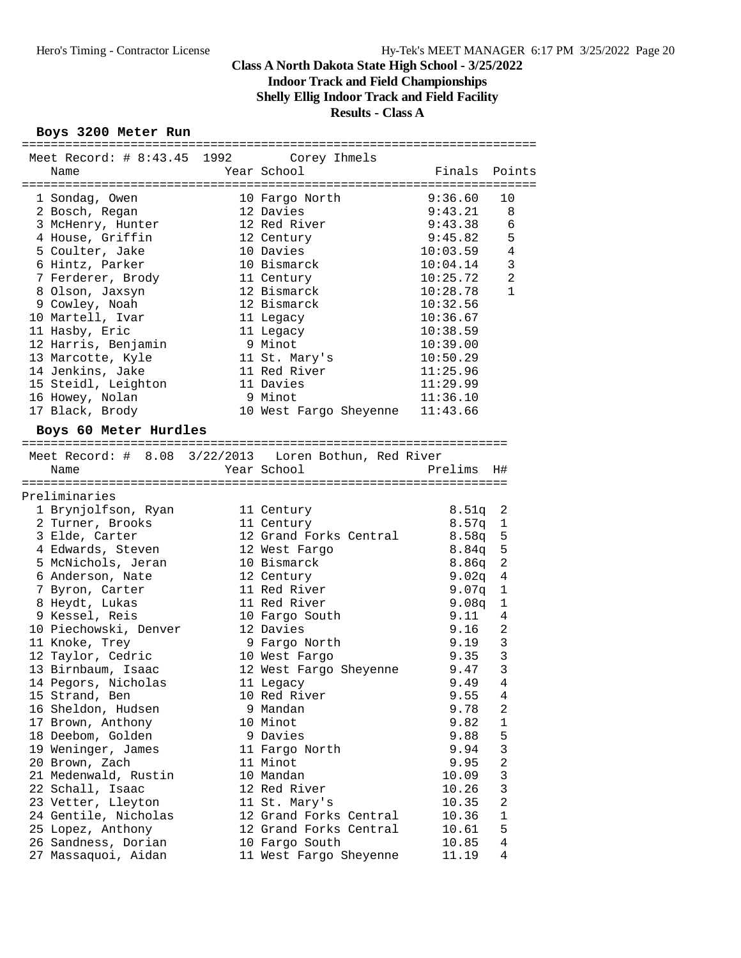**Indoor Track and Field Championships**

**Shelly Ellig Indoor Track and Field Facility**

#### **Results - Class A**

#### **Boys 3200 Meter Run**

| Meet Record: # 8:43.45 1992 Corey Ihmels |                                                       |               |                |
|------------------------------------------|-------------------------------------------------------|---------------|----------------|
| Name                                     | Year School                                           | Finals Points |                |
|                                          |                                                       |               |                |
| 1 Sondag, Owen                           | 10 Fargo North                                        | 9:36.60       | 10             |
| 2 Bosch, Regan                           | 12 Davies                                             | 9:43.21       | 8              |
| 3 McHenry, Hunter                        | 12 Red River                                          | 9:43.38       | 6              |
| 4 House, Griffin                         | 12 Century                                            | 9:45.82       | 5              |
| 5 Coulter, Jake                          | 10 Davies                                             | 10:03.59      | $\overline{4}$ |
| 6 Hintz, Parker                          | 10 Bismarck                                           | 10:04.14      | $\mathbf{3}$   |
| 7 Ferderer, Brody                        | 11 Century                                            | 10:25.72      | $\overline{a}$ |
| 8 Olson, Jaxsyn                          | 12 Bismarck                                           | 10:28.78      | $\mathbf{1}$   |
| 9 Cowley, Noah                           | 12 Bismarck                                           | 10:32.56      |                |
| 10 Martell, Ivar                         | 11 Legacy                                             | 10:36.67      |                |
| 11 Hasby, Eric                           | 11 Legacy                                             | 10:38.59      |                |
| 12 Harris, Benjamin                      | 9 Minot                                               | 10:39.00      |                |
| 13 Marcotte, Kyle                        | 11 St. Mary's                                         | 10:50.29      |                |
| 14 Jenkins, Jake                         | 11 Red River                                          | 11:25.96      |                |
| 15 Steidl, Leighton                      | 11 Davies                                             | 11:29.99      |                |
| 16 Howey, Nolan                          | 9 Minot                                               | 11:36.10      |                |
|                                          | 10 West Fargo Sheyenne 11:43.66                       |               |                |
| 17 Black, Brody                          |                                                       |               |                |
| Boys 60 Meter Hurdles                    |                                                       |               |                |
|                                          |                                                       |               |                |
|                                          | Meet Record: # 8.08 3/22/2013 Loren Bothun, Red River |               |                |
| Name                                     | Year School                                           | Prelims       | H#             |
|                                          |                                                       |               |                |
| Preliminaries                            |                                                       |               |                |
| 1 Brynjolfson, Ryan                      | 11 Century                                            | 8.51q         | 2              |
| 2 Turner, Brooks                         | 11 Century                                            | 8.57q         | 1              |
| 3 Elde, Carter                           | 12 Grand Forks Central                                | 8.58q         | 5              |
| 4 Edwards, Steven                        | 12 West Fargo                                         | 8.84q         | 5              |
| 5 McNichols, Jeran                       | 10 Bismarck                                           | 8.86q         | $\sqrt{2}$     |
| 6 Anderson, Nate                         | 12 Century                                            | 9.02q         | 4              |
| 7 Byron, Carter                          | 11 Red River                                          | 9.07q         | 1              |
| 8 Heydt, Lukas                           | 11 Red River                                          | 9.08q         | 1              |
| 9 Kessel, Reis                           | 10 Fargo South                                        | 9.11          | 4              |
| 10 Piechowski, Denver                    | 12 Davies                                             | 9.16          | $\overline{a}$ |
| 11 Knoke, Trey                           | 9 Fargo North                                         | 9.19          | $\mathsf 3$    |
| 12 Taylor, Cedric                        | 10 West Fargo                                         | 9.35          | $\mathsf 3$    |
| 13 Birnbaum, Isaac                       | 12 West Fargo Sheyenne                                | 9.47          | 3              |
| 14 Pegors, Nicholas                      | ll Legacy                                             | 9.49          | $\overline{4}$ |
| 15 Strand, Ben                           | 10 Red River                                          | 9.55          | 4              |
| 16 Sheldon, Hudsen                       | 9 Mandan                                              | 9.78          | 2              |
| 17 Brown, Anthony                        | 10 Minot                                              | 9.82          | 1              |
| 18 Deebom, Golden                        | 9 Davies                                              | 9.88          | 5              |
| 19 Weninger, James                       | 11 Fargo North                                        | 9.94          | 3              |
| 20 Brown, Zach                           | 11 Minot                                              | 9.95          | $\overline{c}$ |
| 21 Medenwald, Rustin                     | 10 Mandan                                             | 10.09         | 3              |
| 22 Schall, Isaac                         | 12 Red River                                          | 10.26         | 3              |
| 23 Vetter, Lleyton                       |                                                       | 10.35         | $\overline{c}$ |
|                                          | 11 St. Mary's<br>12 Grand Forks Central               | 10.36         | $1\,$          |
| 24 Gentile, Nicholas                     |                                                       |               |                |
| 25 Lopez, Anthony                        | 12 Grand Forks Central                                | 10.61         | 5              |
| 26 Sandness, Dorian                      | 10 Fargo South                                        | 10.85         | 4              |
| 27 Massaquoi, Aidan                      | 11 West Fargo Sheyenne                                | 11.19         | 4              |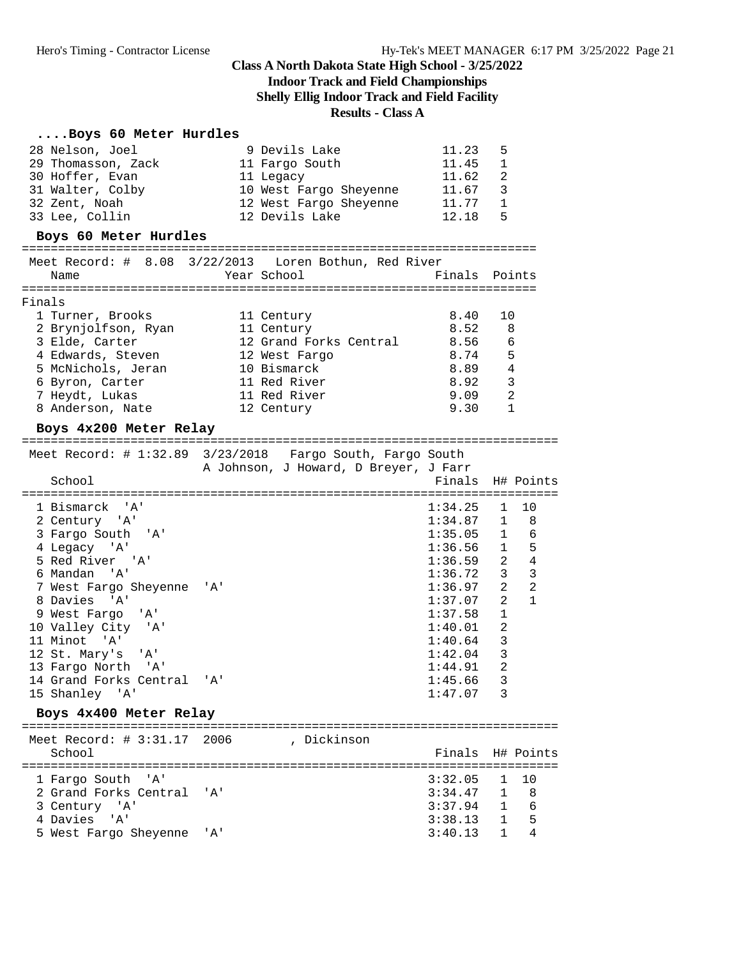## **Indoor Track and Field Championships**

**Shelly Ellig Indoor Track and Field Facility**

#### **Results - Class A**

#### **....Boys 60 Meter Hurdles**

5 West Fargo Sheyenne 'A'

| 28 Nelson, Joel<br>29 Thomasson, Zack<br>30 Hoffer, Evan<br>31 Walter, Colby<br>32 Zent, Noah<br>33 Lee, Collin                                                                                                                                                                                                                             | 9 Devils Lake<br>11 Fargo South<br>11 Legacy<br>10 West Fargo Sheyenne<br>12 West Fargo Sheyenne<br>12 Devils Lake               | 11.23<br>11.45<br>11.62<br>11.67 3<br>11.77<br>12.18                                                                                                                          | 5<br>1<br>2<br>1<br>5                                                                                                                                     |                                                         |
|---------------------------------------------------------------------------------------------------------------------------------------------------------------------------------------------------------------------------------------------------------------------------------------------------------------------------------------------|----------------------------------------------------------------------------------------------------------------------------------|-------------------------------------------------------------------------------------------------------------------------------------------------------------------------------|-----------------------------------------------------------------------------------------------------------------------------------------------------------|---------------------------------------------------------|
| Boys 60 Meter Hurdles                                                                                                                                                                                                                                                                                                                       |                                                                                                                                  |                                                                                                                                                                               |                                                                                                                                                           |                                                         |
| Meet Record: # 8.08 3/22/2013 Loren Bothun, Red River<br>Name                                                                                                                                                                                                                                                                               | Year School                                                                                                                      | Finals Points                                                                                                                                                                 |                                                                                                                                                           |                                                         |
| Finals<br>1 Turner, Brooks<br>2 Brynjolfson, Ryan<br>3 Elde, Carter<br>4 Edwards, Steven<br>5 McNichols, Jeran<br>6 Byron, Carter<br>7 Heydt, Lukas<br>8 Anderson, Nate                                                                                                                                                                     | 11 Century<br>11 Century<br>12 Grand Forks Central<br>12 West Fargo<br>10 Bismarck<br>11 Red River<br>11 Red River<br>12 Century | 8.40<br>8.52<br>8.56<br>8.74<br>8.89<br>8.92<br>9.09<br>9.30                                                                                                                  | 10                                                                                                                                                        | 8<br>6<br>5<br>4<br>3<br>2<br>1                         |
| Boys 4x200 Meter Relay<br>Meet Record: # 1:32.89 3/23/2018 Fargo South, Fargo South                                                                                                                                                                                                                                                         | A Johnson, J Howard, D Breyer, J Farr                                                                                            |                                                                                                                                                                               |                                                                                                                                                           |                                                         |
| School                                                                                                                                                                                                                                                                                                                                      |                                                                                                                                  | Finals                                                                                                                                                                        |                                                                                                                                                           | H# Points                                               |
| 1 Bismarck 'A'<br>2 Century 'A'<br>3 Fargo South 'A'<br>4 Legacy 'A'<br>5 Red River 'A'<br>6 Mandan 'A'<br>7 West Fargo Sheyenne 'A'<br>8 Davies 'A'<br>9 West Fargo<br>'' A '<br>10 Valley City 'A'<br>11 Minot 'A'<br>12 St. Mary's<br>'' A '<br>13 Fargo North 'A'<br>14 Grand Forks Central<br>15 Shanley 'A'<br>Boys 4x400 Meter Relay | $\overline{A}$                                                                                                                   | 1:34.25<br>1:34.87<br>1:35.05<br>$1:36.56$ 1 5<br>$1:36.59$ 2 4<br>1:36.72<br>1:36.97<br>1:37.07<br>1:37.58<br>1:40.01<br>1:40.64<br>1:42.04<br>1:44.91<br>1:45.66<br>1:47.07 | $\mathbf{1}$<br>$\mathbf{1}$<br>$\mathbf{1}$<br>$\overline{\mathbf{3}}$<br>2<br>2<br>$\mathbf{1}$<br>2<br>$\overline{3}$<br>$\overline{3}$<br>2<br>3<br>3 | 10<br>8<br>- 6<br>$\overline{3}$<br>$\overline{2}$<br>1 |
| Meet Record: # 3:31.17 2006<br>School                                                                                                                                                                                                                                                                                                       | , Dickinson                                                                                                                      | Finals                                                                                                                                                                        |                                                                                                                                                           | H# Points                                               |
| 1 Fargo South 'A'<br>2 Grand Forks Central<br>3 Century 'A'                                                                                                                                                                                                                                                                                 | " A '                                                                                                                            | 3:32.05<br>3:34.47<br>3:37.94                                                                                                                                                 | 1<br>1<br>1                                                                                                                                               | 10<br>8<br>6                                            |

3 Century 'A' 3:37.94 1 6

 $3:38.13$  1 5<br> $3:40.13$  1 4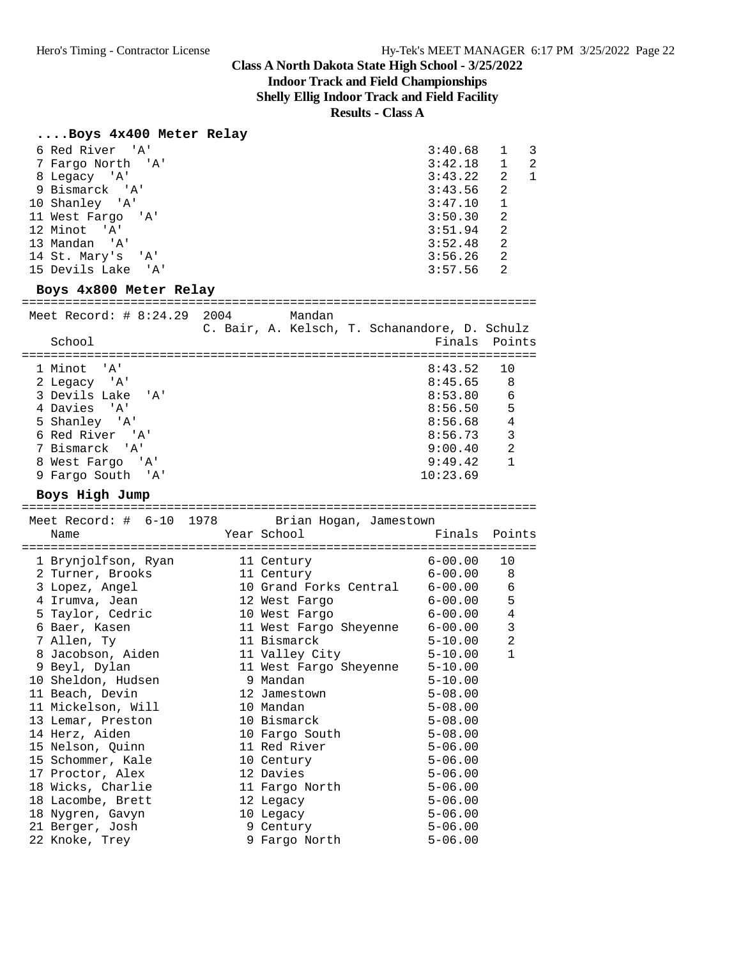## **Indoor Track and Field Championships**

**Shelly Ellig Indoor Track and Field Facility**

**Results - Class A**

#### **....Boys 4x400 Meter Relay**

| 6 Red River 'A'                                         | 3:40.68       | 1              | 3            |
|---------------------------------------------------------|---------------|----------------|--------------|
| 7 Fargo North 'A'                                       | $3:42.18$ 1   |                | 2            |
| 8 Legacy 'A'                                            | 3:43.22 2     |                | $\mathbf{1}$ |
| 9 Bismarck 'A'                                          | 3:43.56       | 2              |              |
| 10 Shanley 'A'                                          | 3:47.10       | $\mathbf{1}$   |              |
| 11 West Fargo 'A'                                       | 3:50.30       | 2              |              |
| 12 Minot 'A'                                            | 3:51.94       | 2              |              |
| 13 Mandan 'A'                                           | 3:52.48       | $\overline{2}$ |              |
| 14 St. Mary's 'A'                                       | 3:56.26       | $\overline{2}$ |              |
| 15 Devils Lake 'A'                                      | 3:57.56       | 2              |              |
| Boys 4x800 Meter Relay                                  |               |                |              |
|                                                         |               |                |              |
| :====================================                   |               |                |              |
| Meet Record: $\#$ 8:24.29 2004 Mandan                   |               |                |              |
| C. Bair, A. Kelsch, T. Schanandore, D. Schulz<br>School | Finals Points |                |              |
|                                                         |               |                |              |
| 1 Minot 'A'                                             | 8:43.52 10    |                |              |
| 2 Legacy 'A'                                            | 8:45.65 8     |                |              |
| 3 Devils Lake 'A'                                       | 8:53.80       | $\epsilon$     |              |
| 4 Davies 'A'                                            | 8:56.50       | 5              |              |
| 5 Shanley 'A'                                           | 8:56.68       | $\overline{4}$ |              |
| 6 Red River 'A'                                         | 8:56.73       | $\overline{3}$ |              |

 8 West Fargo 'A' 9:49.42 1 9 Fargo South 'A' 10:23.69

#### **Boys High Jump**

| Name               |                                                                                | Finals Points                                                                                                                                                                                                           |                                                                                                                                                                                                                                                                                                                                                                                                                                                                       |
|--------------------|--------------------------------------------------------------------------------|-------------------------------------------------------------------------------------------------------------------------------------------------------------------------------------------------------------------------|-----------------------------------------------------------------------------------------------------------------------------------------------------------------------------------------------------------------------------------------------------------------------------------------------------------------------------------------------------------------------------------------------------------------------------------------------------------------------|
|                    |                                                                                |                                                                                                                                                                                                                         |                                                                                                                                                                                                                                                                                                                                                                                                                                                                       |
|                    |                                                                                |                                                                                                                                                                                                                         | 10                                                                                                                                                                                                                                                                                                                                                                                                                                                                    |
|                    |                                                                                |                                                                                                                                                                                                                         | 8                                                                                                                                                                                                                                                                                                                                                                                                                                                                     |
| 3 Lopez, Angel     |                                                                                |                                                                                                                                                                                                                         | $\epsilon$                                                                                                                                                                                                                                                                                                                                                                                                                                                            |
|                    |                                                                                |                                                                                                                                                                                                                         | 5                                                                                                                                                                                                                                                                                                                                                                                                                                                                     |
| 5 Taylor, Cedric   |                                                                                |                                                                                                                                                                                                                         | $\,4$                                                                                                                                                                                                                                                                                                                                                                                                                                                                 |
| 6 Baer, Kasen      |                                                                                |                                                                                                                                                                                                                         | $\overline{3}$                                                                                                                                                                                                                                                                                                                                                                                                                                                        |
| 7 Allen, Ty        |                                                                                |                                                                                                                                                                                                                         | $\overline{2}$                                                                                                                                                                                                                                                                                                                                                                                                                                                        |
|                    |                                                                                |                                                                                                                                                                                                                         | $\mathbf{1}$                                                                                                                                                                                                                                                                                                                                                                                                                                                          |
| 9 Beyl, Dylan      |                                                                                |                                                                                                                                                                                                                         |                                                                                                                                                                                                                                                                                                                                                                                                                                                                       |
| 10 Sheldon, Hudsen |                                                                                | $5 - 10.00$                                                                                                                                                                                                             |                                                                                                                                                                                                                                                                                                                                                                                                                                                                       |
| 11 Beach, Devin    |                                                                                |                                                                                                                                                                                                                         |                                                                                                                                                                                                                                                                                                                                                                                                                                                                       |
| 11 Mickelson, Will |                                                                                | $5 - 08.00$                                                                                                                                                                                                             |                                                                                                                                                                                                                                                                                                                                                                                                                                                                       |
| 13 Lemar, Preston  |                                                                                | $5 - 08.00$                                                                                                                                                                                                             |                                                                                                                                                                                                                                                                                                                                                                                                                                                                       |
| 14 Herz, Aiden     |                                                                                | $5 - 08.00$                                                                                                                                                                                                             |                                                                                                                                                                                                                                                                                                                                                                                                                                                                       |
| 15 Nelson, Quinn   |                                                                                |                                                                                                                                                                                                                         |                                                                                                                                                                                                                                                                                                                                                                                                                                                                       |
| 15 Schommer, Kale  |                                                                                |                                                                                                                                                                                                                         |                                                                                                                                                                                                                                                                                                                                                                                                                                                                       |
| 17 Proctor, Alex   |                                                                                | $5 - 06.00$                                                                                                                                                                                                             |                                                                                                                                                                                                                                                                                                                                                                                                                                                                       |
| 18 Wicks, Charlie  |                                                                                |                                                                                                                                                                                                                         |                                                                                                                                                                                                                                                                                                                                                                                                                                                                       |
| 18 Lacombe, Brett  |                                                                                | $5 - 06.00$                                                                                                                                                                                                             |                                                                                                                                                                                                                                                                                                                                                                                                                                                                       |
| 18 Nygren, Gavyn   |                                                                                | $5 - 06.00$                                                                                                                                                                                                             |                                                                                                                                                                                                                                                                                                                                                                                                                                                                       |
| 21 Berger, Josh    |                                                                                | $5 - 06.00$                                                                                                                                                                                                             |                                                                                                                                                                                                                                                                                                                                                                                                                                                                       |
| 22 Knoke, Trey     |                                                                                | $5 - 06.00$                                                                                                                                                                                                             |                                                                                                                                                                                                                                                                                                                                                                                                                                                                       |
|                    | 1 Brynjolfson, Ryan<br>2 Turner, Brooks<br>4 Irumva, Jean<br>8 Jacobson, Aiden | 11 Century<br>11 Century<br>9 Mandan<br>12 Jamestown<br>10 Mandan<br>10 Bismarck<br>10 Fargo South<br>11 Red River<br>10 Century<br>12 Davies<br>11 Fargo North<br>12 Legacy<br>10 Legacy<br>9 Century<br>9 Fargo North | Meet Record: # 6-10 1978 Brian Hogan, Jamestown<br>Year School and the control of the control of the control of the control of the control of the control of the c<br>$6 - 00.00$<br>$6 - 00.00$<br>10 Grand Forks Central 6-00.00<br>12 West Fargo 6-00.00<br>10 West Fargo 6-00.00<br>11 West Fargo Sheyenne 6-00.00<br>11 Bismarck 5-10.00<br>11 Valley City 5-10.00<br>11 West Fargo Sheyenne 5-10.00<br>$5 - 08.00$<br>$5 - 06.00$<br>$5 - 06.00$<br>$5 - 06.00$ |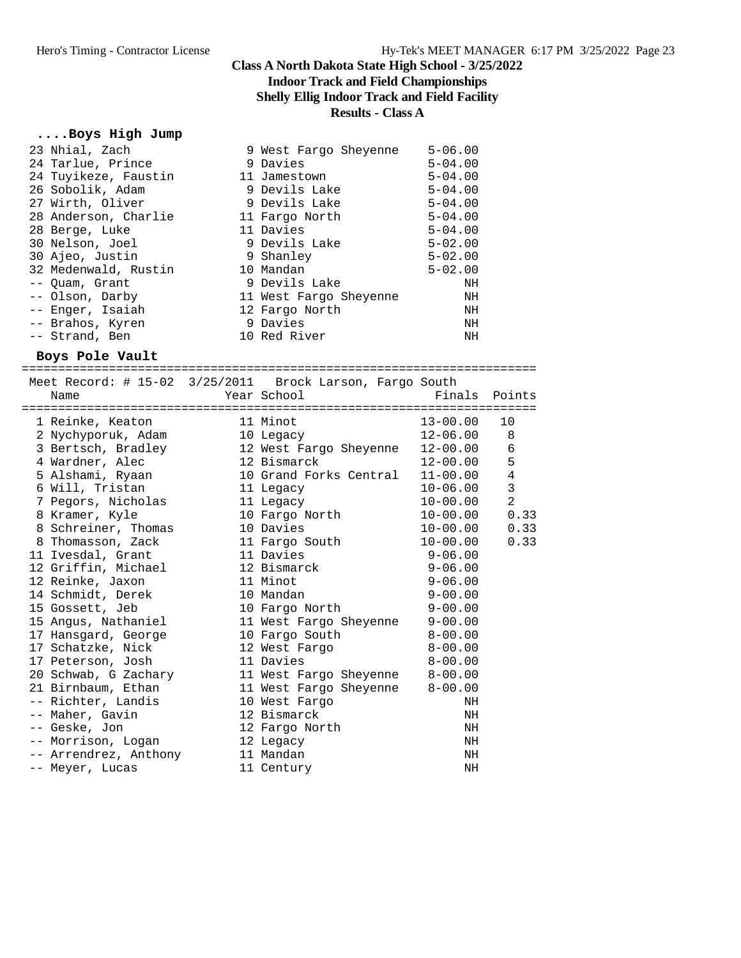#### **Class A North Dakota State High School - 3/25/2022 Indoor Track and Field Championships Shelly Ellig Indoor Track and Field Facility Results - Class A**

#### **....Boys High Jump**

| 23 Nhial, Zach       | 9 West Fargo Sheyenne  | $5 - 06.00$ |
|----------------------|------------------------|-------------|
| 24 Tarlue, Prince    | 9 Davies               | $5 - 04.00$ |
| 24 Tuyikeze, Faustin | 11 Jamestown           | $5 - 04.00$ |
| 26 Sobolik, Adam     | 9 Devils Lake          | $5 - 04.00$ |
| 27 Wirth, Oliver     | 9 Devils Lake          | $5 - 04.00$ |
| 28 Anderson, Charlie | 11 Fargo North         | $5 - 04.00$ |
| 28 Berge, Luke       | 11 Davies              | $5 - 04.00$ |
| 30 Nelson, Joel      | 9 Devils Lake          | $5 - 02.00$ |
| 30 Ajeo, Justin      | 9 Shanley              | $5 - 02.00$ |
| 32 Medenwald, Rustin | 10 Mandan              | $5 - 02.00$ |
| -- Quam, Grant       | 9 Devils Lake          | ΝH          |
| -- Olson, Darby      | 11 West Fargo Sheyenne | NH          |
| -- Enger, Isaiah     | 12 Fargo North         | NH          |
| -- Brahos, Kyren     | 9 Davies               | NH          |
| -- Strand, Ben       | 10 Red River           | ΝH          |
|                      |                        |             |

#### **Boys Pole Vault**

|                                                  |           | Meet Record: # 15-02 3/25/2011 Brock Larson, Fargo South |              |                |
|--------------------------------------------------|-----------|----------------------------------------------------------|--------------|----------------|
| Name                                             |           | Year School States                                       | Finals       | Points         |
|                                                  |           |                                                          |              |                |
| 1 Reinke, Keaton                                 |           | 11 Minot                                                 | 13-00.00     | 10             |
| 2 Nychyporuk, Adam 10 Legacy                     |           |                                                          | 12-06.00     | 8              |
|                                                  |           | 3 Bertsch, Bradley 12 West Fargo Sheyenne 12-00.00       |              | 6              |
| 4 Wardner, Alec                                  |           | 12 Bismarck                                              | 12-00.00     | 5              |
|                                                  |           | 5 Alshami, Ryaan 10 Grand Forks Central 11-00.00         |              | $\overline{4}$ |
| 6 Will, Tristan                                  | 11 Legacy |                                                          | $10 - 06.00$ | $\mathbf{3}$   |
| 7 Pegors, Nicholas 11 Legacy                     |           |                                                          | $10 - 00.00$ | $\overline{2}$ |
| 8 Kramer, Kyle                                   |           | 10 Fargo North                                           | $10 - 00.00$ | 0.33           |
| 8 Schreiner, Thomas 10 Davies                    |           |                                                          | $10 - 00.00$ | 0.33           |
| 8 Thomasson, Zack 11 Fargo South                 |           |                                                          | $10 - 00.00$ | 0.33           |
| 11 Ivesdal, Grant                                |           | 11 Davies                                                | $9 - 06.00$  |                |
| 12 Griffin, Michael                  12 Bismarck |           |                                                          | $9 - 06.00$  |                |
| 12 Reinke, Jaxon                                 | 11 Minot  |                                                          | $9 - 06.00$  |                |
| 14 Schmidt, Derek                                |           | 10 Mandan                                                | $9-00.00$    |                |
| 15 Gossett, Jeb                                  |           | 10 Fargo North                                           | $9 - 00.00$  |                |
|                                                  |           | 15 Angus, Nathaniel 11 West Fargo Sheyenne 9-00.00       |              |                |
| 17 Hansgard, George                              |           | 10 Fargo South 8-00.00                                   |              |                |
| 17 Schatzke, Nick                                |           | 12 West Fargo                                            | $8 - 00.00$  |                |
| 17 Peterson, Josh                                |           | 11 Davies                                                | $8 - 00.00$  |                |
| 20 Schwab, G Zachary                             |           | 11 West Fargo Sheyenne 8-00.00                           |              |                |
| 21 Birnbaum, Ethan                               |           | 11 West Fargo Sheyenne 8-00.00                           |              |                |
| -- Richter, Landis                               |           | 10 West Fargo                                            | ΝH           |                |
| -- Maher, Gavin                                  |           | 12 Bismarck                                              | NH           |                |
| -- Geske, Jon                                    |           | 12 Fargo North                                           | NH           |                |
| -- Morrison, Logan 12 Legacy                     |           |                                                          | NH           |                |
| -- Arrendrez, Anthony 11 Mandan                  |           |                                                          | ΝH           |                |
| -- Meyer, Lucas                                  |           | 11 Century                                               | NH           |                |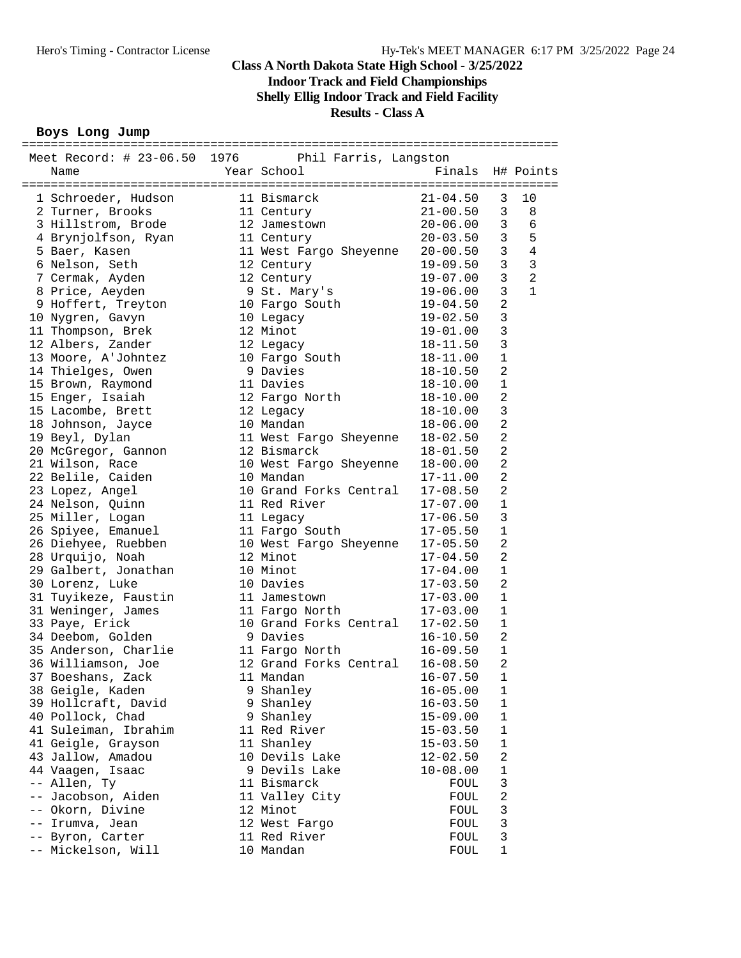## **Indoor Track and Field Championships**

**Shelly Ellig Indoor Track and Field Facility**

#### **Results - Class A**

#### **Boys Long Jump**

| Meet Record: # 23-06.50 1976 Phil Farris, Langston |                                                                                            |                                              |                            |                |
|----------------------------------------------------|--------------------------------------------------------------------------------------------|----------------------------------------------|----------------------------|----------------|
| Name                                               | Year School                                                                                | Finals                                       |                            | H# Points      |
|                                                    |                                                                                            |                                              |                            |                |
| 1 Schroeder, Hudson 11 Bismarck                    |                                                                                            | $21 - 04.50$                                 | 3                          | 10             |
| 2 Turner, Brooks                                   | 11 Century                                                                                 | 21-00.50<br>20-06.00                         | 3                          | 8              |
| 3 Hillstrom, Brode                                 | 12 Jamestown                                                                               |                                              | $\overline{3}$             | 6              |
| 4 Brynjolfson, Ryan                                | 11 Century                                                                                 | 20-03.50                                     | $\mathbf{3}$               | 5              |
| 5 Baer, Kasen                                      | 11 West Fargo Sheyenne                                                                     | $20 - 00.50$                                 | $\mathbf{3}$               | $\overline{4}$ |
| 6 Nelson, Seth                                     | 12 Century                                                                                 | 19-09.50                                     | 3                          | 3              |
| 7 Cermak, Ayden                                    | 12 Century                                                                                 | $19 - 07.00$                                 | $\mathbf{3}$               | 2              |
| 8 Price, Aeyden                                    | 9 St. Mary's                                                                               | $19 - 06.00$                                 | $\mathbf{3}$               | $\mathbf{1}$   |
| 9 Hoffert, Treyton                                 | 10 Fargo South                                                                             | $19 - 04.50$                                 | $\overline{2}$             |                |
| 10 Nygren, Gavyn                                   | 10 Legacy                                                                                  | $19 - 02.50$                                 | $\mathbf{3}$               |                |
| 11 Thompson, Brek                                  | 12 Minot                                                                                   | $19 - 01.00$                                 | 3                          |                |
| 12 Albers, Zander                                  | 12 Legacy                                                                                  | $18 - 11.50$                                 | 3                          |                |
| 13 Moore, A'Johntez                                | 10 Fargo South                                                                             | 18-11.00                                     | $\mathbf{1}$               |                |
| 14 Thielges, Owen                                  | 9 Davies                                                                                   | $18 - 10.50$                                 | $\overline{2}$             |                |
| 15 Brown, Raymond                                  | 11 Davies                                                                                  | $18 - 10.00$                                 | $\mathbf{1}$               |                |
| 15 Enger, Isaiah                                   | 12 Fargo North                                                                             | $18 - 10.00$                                 | $\overline{2}$             |                |
| 15 Lacombe, Brett                                  | 12 Legacy                                                                                  | 18-10.00                                     | 3                          |                |
| 18 Johnson, Jayce                                  | 10 Mandan                                                                                  | $18 - 06.00$                                 | $\overline{2}$             |                |
| 19 Beyl, Dylan                                     |                                                                                            |                                              | $\overline{2}$             |                |
| 20 McGregor, Gannon                                | 11 West Fargo Sheyenne 18-02.50<br>12 Bismarck 18-01.50<br>10 West Fargo Sheyenne 18-00.00 |                                              | $\overline{a}$             |                |
| 21 Wilson, Race                                    |                                                                                            |                                              | $\overline{2}$             |                |
| 22 Belile, Caiden                                  | 10 Mandan                                                                                  | 17-11.00                                     | 2                          |                |
| 23 Lopez, Angel                                    | 10 Grand Forks Central                                                                     | $17 - 08.50$                                 | $\overline{2}$             |                |
| 24 Nelson, Quinn                                   | 11 Red River                                                                               | $17 - 07.00$                                 | 1                          |                |
| 25 Miller, Logan                                   | 11 Legacy                                                                                  | $17 - 06.50$                                 | 3                          |                |
| 26 Spiyee, Emanuel                                 | 11 Fargo South                                                                             | $17 - 05.50$                                 | $\mathbf 1$                |                |
| 26 Diehyee, Ruebben                                | 10 West Fargo Sheyenne 17-05.50                                                            |                                              | $\overline{2}$             |                |
| 28 Urquijo, Noah                                   | 12 Minot                                                                                   | $17 - 04.50$                                 | 2                          |                |
| 29 Galbert, Jonathan                               | 10 Minot                                                                                   | 17-04.00                                     | $\mathbf{1}$               |                |
| 30 Lorenz, Luke                                    | 10 Davies                                                                                  | $17 - 03.50$                                 | $\overline{a}$             |                |
| 31 Tuyikeze, Faustin                               | 11 Jamestown                                                                               | $17 - 03.00$<br>$17 - 03.00$<br>$27 - 03.00$ | $\mathbf{1}$               |                |
| 31 Weninger, James                                 | 11 Fargo North                                                                             |                                              | $\mathbf{1}$               |                |
| 33 Paye, Erick                                     | 10 Grand Forks Central 17-02.50                                                            |                                              | $\mathbf{1}$               |                |
| 34 Deebom, Golden                                  | 9 Davies                                                                                   | $16 - 10.50$                                 | 2                          |                |
| 35 Anderson, Charlie                               | 11 Fargo North                                                                             | $16 - 09.50$                                 | $\mathbf{1}$               |                |
| 36 Williamson, Joe                                 | 12 Grand Forks Central 16-08.50                                                            |                                              | $\overline{2}$             |                |
| 37 Boeshans, Zack                                  | 11 Mandan                                                                                  | $16 - 07.50$                                 | $\mathbf{1}$               |                |
| 38 Geigle, Kaden                                   | 9 Shanley                                                                                  | $16 - 05.00$                                 | $\mathbf 1$                |                |
| 39 Hollcraft, David                                | 9 Shanley                                                                                  | $16 - 03.50$                                 | $\mathbf 1$                |                |
| 40 Pollock, Chad                                   | 9 Shanley                                                                                  | $15 - 09.00$                                 | $\mathbf 1$                |                |
| 41 Suleiman, Ibrahim                               | 11 Red River                                                                               | $15 - 03.50$                                 | $\mathbf 1$                |                |
| 41 Geigle, Grayson                                 | 11 Shanley                                                                                 | $15 - 03.50$                                 | 1<br>2                     |                |
| 43 Jallow, Amadou                                  | 10 Devils Lake                                                                             | $12 - 02.50$                                 |                            |                |
| 44 Vaagen, Isaac                                   | 9 Devils Lake                                                                              | $10 - 08.00$                                 | $\mathbf 1$                |                |
| -- Allen, Ty                                       | 11 Bismarck                                                                                | FOUL                                         | $\mathbf{3}$<br>$\sqrt{2}$ |                |
| -- Jacobson, Aiden                                 | 11 Valley City<br>12 Minot                                                                 | FOUL                                         |                            |                |
| -- Okorn, Divine<br>-- Irumva, Jean                | 12 West Fargo                                                                              | FOUL                                         | 3<br>3                     |                |
| -- Byron, Carter                                   | 11 Red River                                                                               | FOUL<br>FOUL                                 | 3                          |                |
| -- Mickelson, Will                                 | 10 Mandan                                                                                  | FOUL                                         | $\mathbf 1$                |                |
|                                                    |                                                                                            |                                              |                            |                |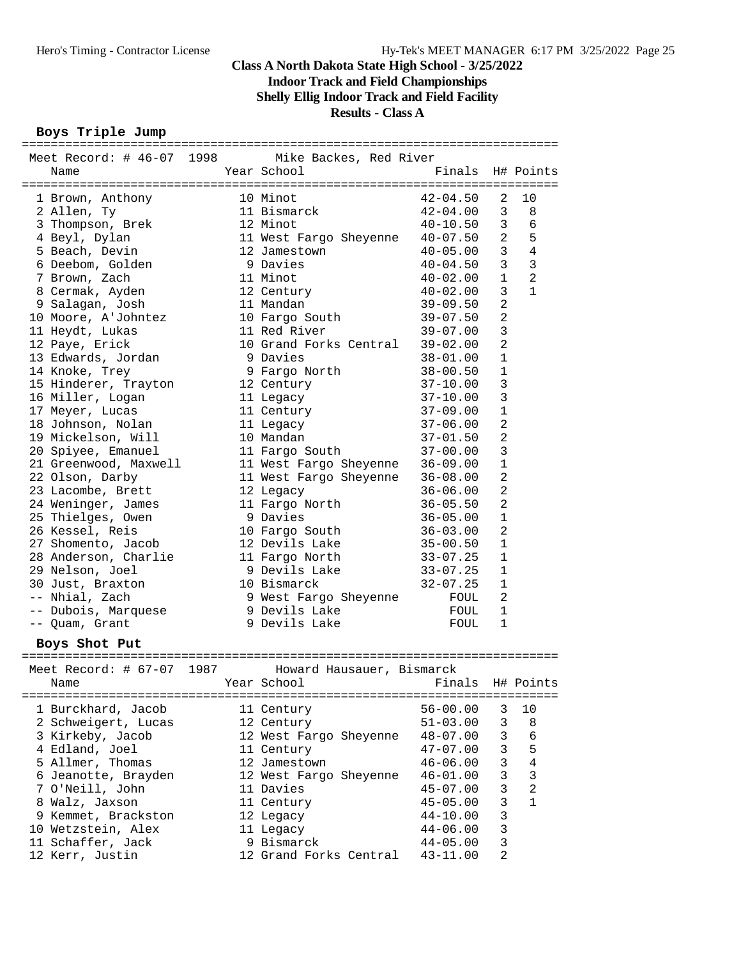#### **Indoor Track and Field Championships**

**Shelly Ellig Indoor Track and Field Facility**

#### **Results - Class A**

#### **Boys Triple Jump**

| Meet Record: # 46-07 1998 | Mike Backes, Red River          |                  |                |                |
|---------------------------|---------------------------------|------------------|----------------|----------------|
| Name                      | Year School                     | Finals H# Points |                |                |
|                           |                                 |                  |                |                |
| 1 Brown, Anthony          | 10 Minot                        | 42-04.50         | 2              | 10             |
| 2 Allen, Ty               | 11 Bismarck                     | 42-04.00         | 3              | 8              |
| 3 Thompson, Brek          | 12 Minot                        | $40 - 10.50$     | 3              | 6              |
| 4 Beyl, Dylan             | 11 West Fargo Sheyenne 40-07.50 |                  | $\overline{a}$ | 5              |
| 5 Beach, Devin            | 12 Jamestown                    | 40-05.00         | $\mathbf{3}$   | $\overline{4}$ |
| 6 Deebom, Golden          | 9 Davies                        | 40-04.50         | 3              | 3              |
| 7 Brown, Zach             | 11 Minot                        | 40-02.00         | 1              | 2              |
| 8 Cermak, Ayden           | 12 Century                      | $40-02$ .00      | 3              | 1              |
| 9 Salagan, Josh           | 11 Mandan                       | 39-09.50         | $\overline{2}$ |                |
| 10 Moore, A'Johntez       | 10 Fargo South                  | $39 - 07.50$     | $\overline{2}$ |                |
| 11 Heydt, Lukas           | 11 Red River                    | 39-07.00         | 3              |                |
| 12 Paye, Erick            | 10 Grand Forks Central 39-02.00 |                  | $\overline{2}$ |                |
| 13 Edwards, Jordan        | 9 Davies                        | $38 - 01.00$     | 1              |                |
| 14 Knoke, Trey            | 9 Fargo North                   | 38-00.50         | 1              |                |
| 15 Hinderer, Trayton      | 12 Century                      | $37 - 10.00$     | 3              |                |
| 16 Miller, Logan          | 11 Legacy                       | 37-10.00         | 3              |                |
| 17 Meyer, Lucas           | 11 Century                      | $37 - 09.00$     | $\mathbf{1}$   |                |
| 18 Johnson, Nolan         | 11 Legacy                       | 37-06.00         | $\overline{2}$ |                |
| 19 Mickelson, Will        | 10 Mandan                       | $37 - 01.50$     | $\overline{2}$ |                |
| 20 Spiyee, Emanuel        | 11 Fargo South                  | $37 - 00.00$     | 3              |                |
| 21 Greenwood, Maxwell     | 11 West Fargo Sheyenne 36-09.00 |                  | 1              |                |
| 22 Olson, Darby           | 11 West Fargo Sheyenne 36-08.00 |                  | $\overline{2}$ |                |
| 23 Lacombe, Brett         | 12 Legacy                       | $36 - 06.00$     | $\overline{2}$ |                |
| 24 Weninger, James        | 11 Fargo North                  | $36 - 05.50$     | $\overline{2}$ |                |
| 25 Thielges, Owen         | 9 Davies                        | $36 - 05.00$     | 1              |                |
| 26 Kessel, Reis           | 10 Fargo South                  | 36-03.00         | $\overline{2}$ |                |
| 27 Shomento, Jacob        | 12 Devils Lake                  | $35 - 00.50$     | 1              |                |
| 28 Anderson, Charlie      | 11 Fargo North                  | 33-07.25         | 1              |                |
| 29 Nelson, Joel           | 9 Devils Lake                   | 33-07.25         | $\mathbf{1}$   |                |
| 30 Just, Braxton          | 10 Bismarck                     | $32 - 07.25$     | 1              |                |
| -- Nhial, Zach            | 9 West Fargo Sheyenne           |                  | 2              |                |
|                           | 9 Devils Lake                   | FOUL             | 1              |                |
| -- Dubois, Marquese       | 9 Devils Lake                   | FOUL             | 1              |                |
| -- Quam, Grant            |                                 | FOUL             |                |                |
| Boys Shot Put             |                                 |                  |                |                |
|                           |                                 |                  |                |                |
| Meet Record: # 67-07 1987 | Howard Hausauer, Bismarck       |                  |                |                |
| Name                      | Year School                     | Finals H# Points |                |                |
|                           |                                 |                  |                |                |
| 1 Burckhard, Jacob        | 11 Century                      | $56 - 00.00$     | 3              | 10             |
| 2 Schweigert, Lucas       | 12 Century                      | $51 - 03.00$     | 3              | 8              |
| 3 Kirkeby, Jacob          | 12 West Fargo Sheyenne          | $48 - 07.00$     | 3              | 6              |
| 4 Edland, Joel            | 11 Century                      | $47 - 07.00$     | 3              | 5              |
| 5 Allmer, Thomas          | 12 Jamestown                    | $46 - 06.00$     | 3              | 4              |
| 6 Jeanotte, Brayden       | 12 West Fargo Sheyenne          | $46 - 01.00$     | 3              | 3              |
| 7 O'Neill, John           | 11 Davies                       | $45 - 07.00$     | 3              | $\overline{a}$ |
| 8 Walz, Jaxson            | 11 Century                      | $45 - 05.00$     | 3              | $\mathbf{1}$   |
| 9 Kemmet, Brackston       | 12 Legacy                       | $44 - 10.00$     | 3              |                |

 10 Wetzstein, Alex 11 Legacy 44-06.00 3 11 Schaffer, Jack 9 Bismarck 44-05.00 3 12 Kerr, Justin 12 Grand Forks Central 43-11.00 2

==========================================================================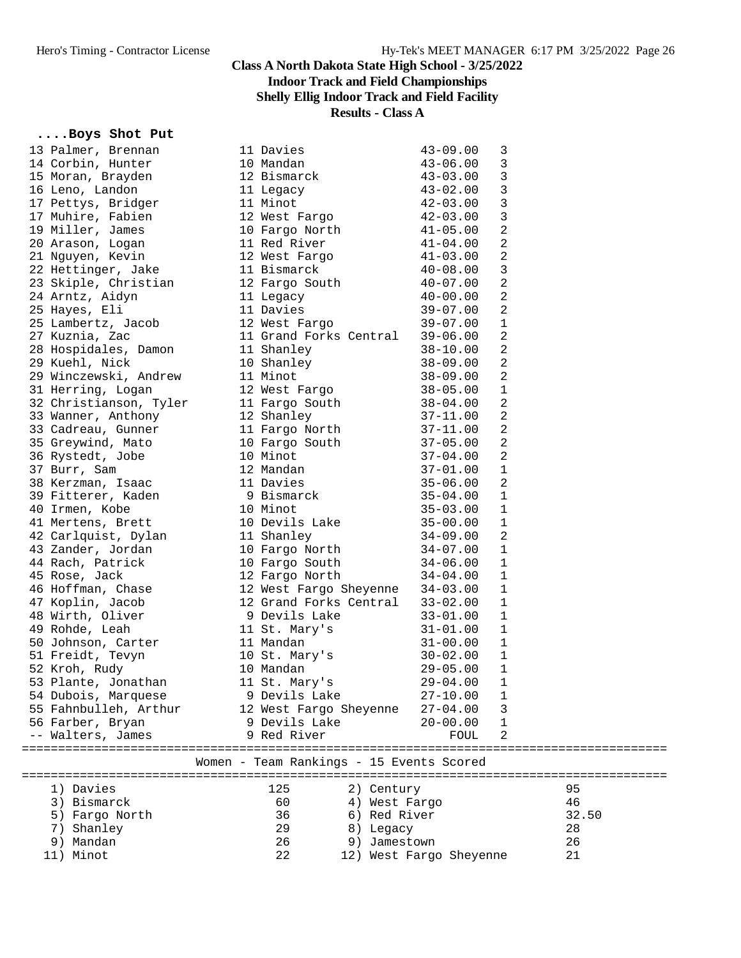# **Indoor Track and Field Championships**

## **Shelly Ellig Indoor Track and Field Facility**

**Results - Class A**

#### **....Boys Shot Put**

| 13 Palmer, Brennan     | 11 Davies                                | $43 - 09.00$            | 3 |       |
|------------------------|------------------------------------------|-------------------------|---|-------|
| 14 Corbin, Hunter      | 10 Mandan                                | $43 - 06.00$            | 3 |       |
| 15 Moran, Brayden      | 12 Bismarck                              | $43 - 03.00$            | 3 |       |
| 16 Leno, Landon        | 11 Legacy                                | $43 - 02.00$            | 3 |       |
| 17 Pettys, Bridger     | 11 Minot                                 | $42 - 03.00$            | 3 |       |
| 17 Muhire, Fabien      | 12 West Fargo                            | $42 - 03.00$            | 3 |       |
| 19 Miller, James       | 10 Fargo North                           | $41 - 05.00$            | 2 |       |
| 20 Arason, Logan       | 11 Red River                             | $41 - 04.00$            | 2 |       |
| 21 Nguyen, Kevin       | 12 West Fargo                            | $41 - 03.00$            | 2 |       |
| 22 Hettinger, Jake     | 11 Bismarck                              | $40 - 08.00$            | 3 |       |
| 23 Skiple, Christian   | 12 Fargo South                           | $40 - 07.00$            | 2 |       |
| 24 Arntz, Aidyn        | 11 Legacy                                | $40 - 00.00$            | 2 |       |
| 25 Hayes, Eli          | 11 Davies                                | $39 - 07.00$            | 2 |       |
|                        |                                          | $39 - 07.00$            | 1 |       |
| 25 Lambertz, Jacob     | 12 West Fargo                            |                         |   |       |
| 27 Kuznia, Zac         | 11 Grand Forks Central                   | $39 - 06.00$            | 2 |       |
| 28 Hospidales, Damon   | 11 Shanley                               | $38 - 10.00$            | 2 |       |
| 29 Kuehl, Nick         | 10 Shanley                               | $38 - 09.00$            | 2 |       |
| 29 Winczewski, Andrew  | 11 Minot                                 | $38 - 09.00$            | 2 |       |
| 31 Herring, Logan      | 12 West Fargo                            | $38 - 05.00$            | 1 |       |
| 32 Christianson, Tyler | 11 Fargo South                           | $38 - 04.00$            | 2 |       |
| 33 Wanner, Anthony     | 12 Shanley                               | $37 - 11.00$            | 2 |       |
| 33 Cadreau, Gunner     | 11 Fargo North                           | $37 - 11.00$            | 2 |       |
| 35 Greywind, Mato      | 10 Fargo South                           | $37 - 05.00$            | 2 |       |
| 36 Rystedt, Jobe       | 10 Minot                                 | $37 - 04.00$            | 2 |       |
| 37 Burr, Sam           | 12 Mandan                                | $37 - 01.00$            | 1 |       |
| 38 Kerzman, Isaac      | 11 Davies                                | $35 - 06.00$            | 2 |       |
| 39 Fitterer, Kaden     | 9 Bismarck                               | $35 - 04.00$            | 1 |       |
| 40 Irmen, Kobe         | 10 Minot                                 | $35 - 03.00$            | 1 |       |
| 41 Mertens, Brett      | 10 Devils Lake                           | $35 - 00.00$            | 1 |       |
| 42 Carlquist, Dylan    | 11 Shanley                               | $34 - 09.00$            | 2 |       |
| 43 Zander, Jordan      | 10 Fargo North                           | $34 - 07.00$            | 1 |       |
| 44 Rach, Patrick       | 10 Fargo South                           | $34 - 06.00$            | 1 |       |
| 45 Rose, Jack          | 12 Fargo North                           | $34 - 04.00$            | 1 |       |
| 46 Hoffman, Chase      | 12 West Fargo Sheyenne                   | $34 - 03.00$            | 1 |       |
|                        | 12 Grand Forks Central                   |                         | 1 |       |
| 47 Koplin, Jacob       |                                          | $33 - 02.00$            |   |       |
| 48 Wirth, Oliver       | 9 Devils Lake                            | $33 - 01.00$            | 1 |       |
| 49 Rohde, Leah         | 11 St. Mary's                            | $31 - 01.00$            | 1 |       |
| 50 Johnson, Carter     | 11 Mandan                                | $31 - 00.00$            | 1 |       |
| 51 Freidt, Tevyn       | 10 St. Mary's                            | $30 - 02.00$            | 1 |       |
| 52 Kroh, Rudy          | 10 Mandan                                | $29 - 05.00$            | 1 |       |
| 53 Plante, Jonathan    | 11 St. Mary's                            | 29-04.00                | 1 |       |
| 54 Dubois, Marquese    | 9 Devils Lake                            | $27 - 10.00$            | 1 |       |
| 55 Fahnbulleh, Arthur  | 12 West Fargo Sheyenne                   | $27 - 04.00$            | 3 |       |
| 56 Farber, Bryan       | 9 Devils Lake                            | $20 - 00.00$            | 1 |       |
| -- Walters, James      | 9 Red River                              | FOUL                    | 2 |       |
|                        |                                          |                         |   |       |
|                        | Women - Team Rankings - 15 Events Scored |                         |   |       |
| 1) Davies              | 125<br>2) Century                        |                         |   | 95    |
| 3) Bismarck            | 60<br>4) West Fargo                      |                         |   | 46    |
| 5) Fargo North         | 36<br>6) Red River                       |                         |   | 32.50 |
| 7) Shanley             | 29<br>8) Legacy                          |                         |   | 28    |
| 9) Mandan              | 26<br>9) Jamestown                       |                         |   | 26    |
| 11) Minot              | 22                                       | 12) West Fargo Sheyenne |   | 21    |
|                        |                                          |                         |   |       |